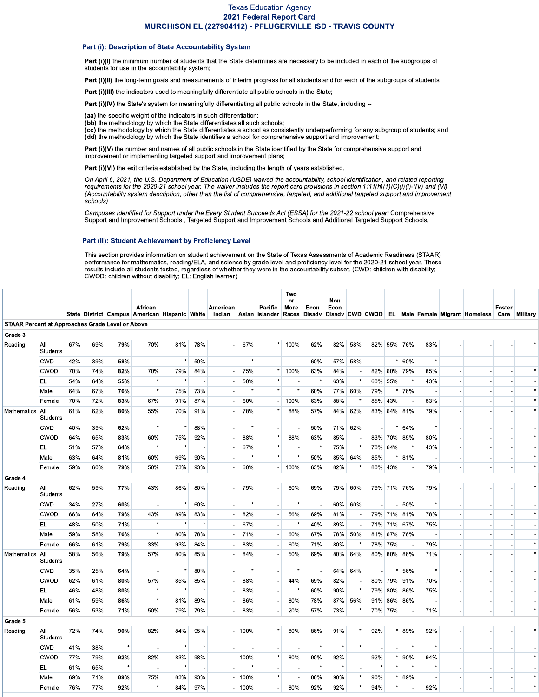# **Texas Education Agency** 2021 Federal Report Card MURCHISON EL (227904112) - PFLUGERVILLE ISD - TRAVIS COUNTY

#### Part (i): Description of State Accountability System

Part (i)(I) the minimum number of students that the State determines are necessary to be included in each of the subgroups of students for use in the accountability system;

Part (i)(II) the long-term goals and measurements of interim progress for all students and for each of the subgroups of students;

Part (i)(III) the indicators used to meaningfully differentiate all public schools in the State;

Part (i)(IV) the State's system for meaningfully differentiating all public schools in the State, including --

(aa) the specific weight of the indicators in such differentiation;

(bb) the methodology by which the State differentiates all such schools;

(cc) the methodology by which the State differentiates a school as consistently underperforming for any subgroup of students; and (dd) the methodology by which the State identifies a school for comprehensive support and improvement;

Part (i)(V) the number and names of all public schools in the State identified by the State for comprehensive support and improvement or implementing targeted support and improvement plans;

Part (i)(VI) the exit criteria established by the State, including the length of years established.

On April 6, 2021, the U.S. Department of Education (USDE) waived the accountability, school identification, and related reporting requirements for the 2020-21 school year. The waiver includes the report card provisions in section 1111(h)(1)(C)(i)(l)-(IV) and (VI) (Accountability system description, other than the list of comprehensive, targeted, and additional targeted support and improvement schools)

Campuses Identified for Support under the Every Student Succeeds Act (ESSA) for the 2021-22 school year: Comprehensive Support and Improvement Schools, Targeted Support and Improvement Schools and Additional Targeted Support Schools.

### Part (ii): Student Achievement by Proficiency Level

This section provides information on student achievement on the State of Texas Assessments of Academic Readiness (STAAR) performance for mathematics, reading/ELA, and science by grade level and proficiency level for the 2020-21 school year. These results include all students tested, regardless of whether they were in the accountability subset. (CWD: children with disability; CWOD: children without disability; EL: English learner)

|                                                         |                               |     |     |         |                                                                 |              |     |          |              |         | Two                      |         |             |                          |     |         |                |                          |                          |                                                                                           |        |  |
|---------------------------------------------------------|-------------------------------|-----|-----|---------|-----------------------------------------------------------------|--------------|-----|----------|--------------|---------|--------------------------|---------|-------------|--------------------------|-----|---------|----------------|--------------------------|--------------------------|-------------------------------------------------------------------------------------------|--------|--|
|                                                         |                               |     |     |         | African<br>State District Campus American Hispanic White Indian |              |     | American |              | Pacific | or<br>More               | Econ    | Non<br>Econ |                          |     |         |                |                          |                          | Asian Islander Races Disady Disady CWD CWOD EL Male Female Migrant Homeless Care Military | Foster |  |
| <b>STAAR Percent at Approaches Grade Level or Above</b> |                               |     |     |         |                                                                 |              |     |          |              |         |                          |         |             |                          |     |         |                |                          |                          |                                                                                           |        |  |
| Grade 3                                                 |                               |     |     |         |                                                                 |              |     |          |              |         |                          |         |             |                          |     |         |                |                          |                          |                                                                                           |        |  |
| Reading                                                 | All<br>Students               | 67% | 69% | 79%     | 70%                                                             | 81%          | 78% |          | 67%          |         | 100%                     | 62%     | 82%         | 58%                      |     |         | 82% 55% 76%    | 83%                      |                          |                                                                                           |        |  |
|                                                         | <b>CWD</b>                    | 42% | 39% | 58%     |                                                                 |              | 50% |          |              |         |                          | 60%     | 57%         | 58%                      |     |         | 60%            |                          |                          |                                                                                           |        |  |
|                                                         | <b>CWOD</b>                   | 70% | 74% | 82%     | 70%                                                             | 79%          | 84% |          | 75%          |         | 100%                     | 63%     | 84%         | $\overline{\phantom{a}}$ |     | 82% 60% | 79%            | 85%                      |                          |                                                                                           |        |  |
|                                                         | EL.                           | 54% | 64% | 55%     |                                                                 |              |     |          | 50%          |         |                          | $\star$ | 63%         | $\ast$                   |     | 60% 55% |                | 43%                      | $\overline{a}$           |                                                                                           |        |  |
|                                                         | Male                          | 64% | 67% | 76%     | $\star$                                                         | 75%          | 73% |          |              |         | $\star$                  | 60%     | 77%         | 60%                      | 79% |         | 76%            |                          |                          |                                                                                           |        |  |
|                                                         | Female                        | 70% | 72% | 83%     | 67%                                                             | 91%          | 87% |          | 60%          |         | 100%                     | 63%     | 88%         |                          |     | 85% 43% |                | 83%                      | $\overline{\phantom{a}}$ |                                                                                           |        |  |
| Mathematics                                             | All<br>Students               | 61% | 62% | 80%     | 55%                                                             | 70%          | 91% |          | 78%          |         | 88%                      | 57%     | 84%         | 62%                      |     |         | 83% 64% 81%    | 79%                      | $\ddot{\phantom{1}}$     |                                                                                           |        |  |
|                                                         | <b>CWD</b>                    | 40% | 39% | 62%     | $\star$                                                         |              | 88% |          |              |         | ÷,                       | 50%     | 71%         | 62%                      |     |         | 64%            |                          | $\blacksquare$           |                                                                                           |        |  |
|                                                         | <b>CWOD</b>                   | 64% | 65% | 83%     | 60%                                                             | 75%          | 92% |          | 88%          |         | 88%                      | 63%     | 85%         |                          |     | 83% 70% | 85%            | 80%                      |                          |                                                                                           |        |  |
|                                                         | EL.                           | 51% | 57% | 64%     | $\star$                                                         | $\ast$       |     |          | 67%          |         | $\overline{\phantom{a}}$ |         | 75%         | $\star$                  |     | 70% 64% |                | 43%                      | $\overline{a}$           |                                                                                           |        |  |
|                                                         | Male                          | 63% | 64% | 81%     | 60%                                                             | 69%          | 90% |          |              |         | $\pmb{\ast}$             | 50%     | 85%         | 64%                      | 85% |         | 81%            |                          | $\overline{\phantom{a}}$ |                                                                                           |        |  |
|                                                         | Female                        | 59% | 60% | 79%     | 50%                                                             | 73%          | 93% |          | 60%          |         | 100%                     | 63%     | 82%         | $\star$                  |     | 80% 43% |                | 79%                      |                          |                                                                                           |        |  |
| Grade 4                                                 |                               |     |     |         |                                                                 |              |     |          |              |         |                          |         |             |                          |     |         |                |                          |                          |                                                                                           |        |  |
| Reading                                                 | All<br><b>Students</b>        | 62% | 59% | 77%     | 43%                                                             | 86%          | 80% |          | 79%          |         | 60%                      | 69%     | 79%         | 60%                      |     |         | 79% 71% 76%    | 79%                      |                          |                                                                                           |        |  |
|                                                         | <b>CWD</b>                    | 34% | 27% | 60%     | $\sim$                                                          | $\pmb{\ast}$ | 60% |          | $\pmb{\ast}$ |         | $\pmb{\ast}$             | $\sim$  | 60%         | 60%                      |     |         | 50%            | $\star$                  | $\blacksquare$           |                                                                                           |        |  |
|                                                         | CWOD                          | 66% | 64% | 79%     | 43%                                                             | 89%          | 83% |          | 82%          |         | 56%                      | 69%     | 81%         |                          |     | 79% 71% | 81%            | 78%                      | ÷,                       |                                                                                           |        |  |
|                                                         | EL                            | 48% | 50% | 71%     |                                                                 |              |     |          | 67%          |         |                          | 40%     | 89%         |                          |     | 71% 71% | 67%            | 75%                      |                          |                                                                                           |        |  |
|                                                         | Male                          | 59% | 58% | 76%     | $\star$                                                         | 80%          | 78% |          | 71%          |         | 60%                      | 67%     | 78%         | 50%                      |     |         | 81% 67% 76%    | $\overline{\phantom{a}}$ |                          |                                                                                           |        |  |
|                                                         | Female                        | 66% | 61% | 79%     | 33%                                                             | 93%          | 84% |          | 83%          |         | 60%                      | 71%     | 80%         |                          |     | 78% 75% |                | 79%                      | $\overline{a}$           |                                                                                           |        |  |
| Mathematics                                             | <b>All</b><br><b>Students</b> | 58% | 56% | 79%     | 57%                                                             | 80%          | 85% |          | 84%          |         | 50%                      | 69%     | 80%         | 64%                      |     |         | 80% 80% 86%    | 71%                      |                          |                                                                                           |        |  |
|                                                         | <b>CWD</b>                    | 35% | 25% | 64%     |                                                                 |              | 80% |          | $\star$      |         | $\pmb{\ast}$             | $\sim$  | 64%         | 64%                      |     |         | 56%            | $\star$                  |                          |                                                                                           |        |  |
|                                                         | CWOD                          | 62% | 61% | 80%     | 57%                                                             | 85%          | 85% |          | 88%          |         | 44%                      | 69%     | 82%         |                          |     | 80% 79% | 91%            | 70%                      | $\overline{\phantom{a}}$ |                                                                                           |        |  |
|                                                         | EL.                           | 46% | 48% | 80%     |                                                                 |              |     |          | 83%          |         |                          | 60%     | 90%         |                          |     | 79% 80% | 86%            | 75%                      | $\blacksquare$           |                                                                                           |        |  |
|                                                         | Male                          | 61% | 59% | 86%     |                                                                 | 81%          | 89% |          | 86%          |         | 80%                      | 78%     | 87%         | 56%                      |     | 91% 86% | 86%            |                          |                          |                                                                                           |        |  |
|                                                         | Female                        | 56% | 53% | 71%     | 50%                                                             | 79%          | 79% |          | 83%          |         | 20%                      | 57%     | 73%         |                          |     | 70% 75% |                | 71%                      | $\overline{\phantom{a}}$ |                                                                                           |        |  |
| Grade 5                                                 |                               |     |     |         |                                                                 |              |     |          |              |         |                          |         |             |                          |     |         |                |                          |                          |                                                                                           |        |  |
| Reading                                                 | All<br><b>Students</b>        | 72% | 74% | 90%     | 82%                                                             | 84%          | 95% |          | 100%         |         | 80%                      | 86%     | 91%         | $\star$                  | 92% | $\star$ | 89%            | 92%                      |                          |                                                                                           |        |  |
|                                                         | <b>CWD</b>                    | 41% | 38% | $\star$ | $\overline{\phantom{a}}$                                        | $\star$      |     |          |              |         | $\overline{\phantom{a}}$ | $\star$ | $\star$     | $\star$                  |     |         | $\star$        | $\star$                  |                          |                                                                                           |        |  |
|                                                         | CWOD                          | 77% | 79% | 92%     | 82%                                                             | 83%          | 98% |          | 100%         |         | 80%                      | 90%     | 92%         | $\mathbf{r}$             | 92% |         | 90%            | 94%                      | $\overline{a}$           |                                                                                           |        |  |
|                                                         | EL.                           | 61% | 65% | $\star$ | $\sim$                                                          |              |     |          |              |         | $\overline{a}$           |         |             | $\blacksquare$           |     |         |                |                          |                          |                                                                                           |        |  |
|                                                         | Male                          | 69% | 71% | 89%     | 75%                                                             | 83%          | 93% |          | 100%         |         |                          | 80%     | 90%         |                          | 90% |         | 89%            |                          |                          |                                                                                           |        |  |
|                                                         | Female                        | 76% | 77% | 92%     | $\star$                                                         | 84%          | 97% |          | 100%         |         | 80%                      | 92%     | 92%         | $\star$                  | 94% |         | $\overline{a}$ | 92%                      |                          |                                                                                           |        |  |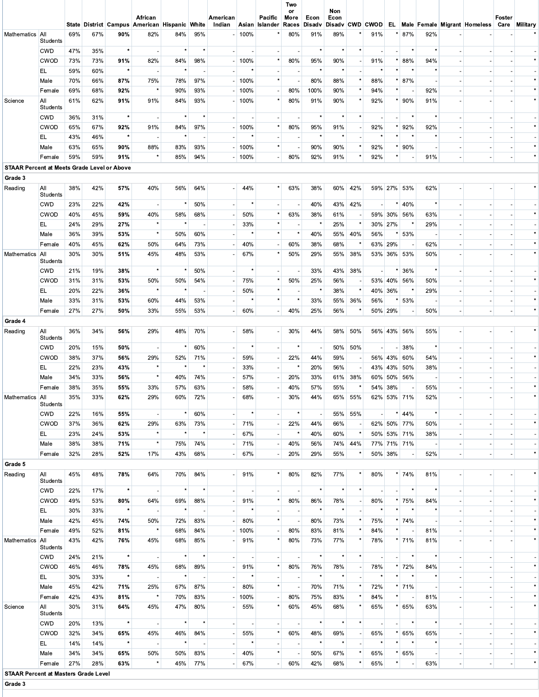|                                                    |                               |            |            |                | African                                              |                     |            | American |                 | Pacific        | Two<br>or<br>More | Econ           | <b>Non</b><br>Econ |                          |               |             |                            |                                                      | Foster                                                        |  |
|----------------------------------------------------|-------------------------------|------------|------------|----------------|------------------------------------------------------|---------------------|------------|----------|-----------------|----------------|-------------------|----------------|--------------------|--------------------------|---------------|-------------|----------------------------|------------------------------------------------------|---------------------------------------------------------------|--|
| Mathematics All                                    | <b>Students</b>               | 69%        | 67%        | 90%            | State District Campus American Hispanic White<br>82% | 84%                 | 95%        | Indian   | 100%            | Asian Islander | Races<br>80%      | Disadv<br>91%  | 89%                |                          | 91%           |             | 87%                        | 92%                                                  | Disady CWD CWOD EL Male Female Migrant Homeless Care Military |  |
|                                                    | <b>CWD</b>                    | 47%        | 35%        | $\star$        | $\blacksquare$                                       | $\pmb{\ast}$        | $\star$    |          | $\blacksquare$  |                |                   | $\star$        | $\star$            | $\star$                  |               |             |                            | $\star$                                              | $\overline{\phantom{a}}$                                      |  |
|                                                    | <b>CWOD</b>                   | 73%        | 73%        | 91%            | 82%                                                  | 84%                 | 98%        |          | 100%            |                | 80%               | 95%            | 90%                |                          | 91%           |             | 88%                        | 94%                                                  |                                                               |  |
|                                                    | EL                            | 59%        | 60%        | $\star$        | $\sim$                                               | $\pmb{\ast}$        |            |          | $\star$         |                |                   | $\star$        | $\star$            |                          |               |             |                            |                                                      | $\overline{\phantom{a}}$                                      |  |
|                                                    | Male<br>Female                | 70%<br>69% | 66%<br>68% | 87%<br>92%     | 75%<br>$\star$                                       | 78%<br>90%          | 97%<br>93% |          | 100%<br>100%    | $\star$        | 80%               | 80%<br>100%    | 88%<br>90%         |                          | 88%<br>94%    |             | 87%                        | 92%                                                  |                                                               |  |
| Science                                            | All<br><b>Students</b>        | 61%        | 62%        | 91%            | 91%                                                  | 84%                 | 93%        |          | 100%            |                | 80%               | 91%            | 90%                |                          | 92%           |             | 90%                        | 91%                                                  |                                                               |  |
|                                                    | <b>CWD</b>                    | 36%        | 31%        | $\star$        | $\overline{\phantom{a}}$                             | $\pmb{\ast}$        |            |          |                 |                |                   | $\star$        | $\star$            |                          |               |             | $\star$                    | $\star$<br>$\overline{\phantom{a}}$                  | $\overline{\phantom{a}}$                                      |  |
|                                                    | <b>CWOD</b>                   | 65%        | 67%        | 92%<br>$\star$ | 91%                                                  | 84%<br>$\pmb{\ast}$ | 97%        |          | 100%<br>$\star$ | $\star$        | 80%               | 95%            | 91%<br>$\star$     |                          | 92%           | $\star$     | 92%                        | 92%<br>$\overline{\phantom{a}}$<br>$\star$           | $\blacksquare$                                                |  |
|                                                    | EL.<br>Male                   | 43%<br>63% | 46%<br>65% | 90%            | $\blacksquare$<br>88%                                | 83%                 | 93%        |          | 100%            | $\star$        |                   | 90%            | 90%                | $\overline{\phantom{a}}$ | 92%           |             | $90\%$                     | $\overline{\phantom{a}}$                             | $\blacksquare$<br>$\blacksquare$                              |  |
|                                                    | Female                        | 59%        | 59%        | 91%            | $\star$                                              | 85%                 | 94%        |          | 100%            |                | 80%               | 92%            | 91%                |                          | 92%           |             |                            | 91%<br>$\overline{a}$                                | ÷.                                                            |  |
| <b>STAAR Percent at Meets Grade Level or Above</b> |                               |            |            |                |                                                      |                     |            |          |                 |                |                   |                |                    |                          |               |             |                            |                                                      |                                                               |  |
| Grade 3                                            |                               |            |            |                |                                                      |                     |            |          |                 |                |                   |                |                    |                          |               |             |                            |                                                      |                                                               |  |
| Reading                                            | All<br><b>Students</b>        | 38%        | 42%        | 57%            | 40%                                                  | 56%                 | 64%        |          | 44%             |                | 63%               | 38%            | 60%                | 42%                      |               |             | 59% 27% 53%                | 62%                                                  |                                                               |  |
|                                                    | <b>CWD</b>                    | 23%        | 22%        | 42%            | $\blacksquare$                                       | $\pmb{\ast}$        | 50%        |          | $\pmb{\ast}$    |                |                   | 40%            | 43%                | 42%                      | $\sim$        |             | 40%                        | $\star$                                              | $\overline{a}$<br>$\sim$                                      |  |
|                                                    | <b>CWOD</b>                   | 40%        | 45%        | 59%            | 40%                                                  | 58%<br>$\star$      | 68%        |          | 50%             |                | 63%               | 38%            | 61%                |                          |               |             | 59% 30% 56%                | 63%                                                  |                                                               |  |
|                                                    | EL.<br>Male                   | 24%<br>36% | 29%<br>39% | 27%<br>53%     | $\star$<br>$\star$                                   | 50%                 | 60%        |          | 33%             |                |                   | 40%            | 25%<br>55%         | 40%                      | 56%           | 30% 27%     | 53%                        | 29%<br>$\overline{\phantom{a}}$                      |                                                               |  |
|                                                    | Female                        | 40%        | 45%        | 62%            | 50%                                                  | 64%                 | 73%        |          | 40%             |                | 60%               | 38%            | 68%                |                          | 63% 29%       |             |                            | 62%<br>$\overline{a}$                                |                                                               |  |
| Mathematics All                                    |                               | 30%        | 30%        | 51%            | 45%                                                  | 48%                 | 53%        |          | 67%             |                | 50%               | 29%            | 55%                | 38%                      |               |             | 53% 36% 53%                | 50%                                                  |                                                               |  |
|                                                    | Students<br><b>CWD</b>        | 21%        | 19%        | 38%            | $\star$                                              |                     | 50%        |          | $\pmb{\ast}$    |                |                   | 33%            | 43%                | 38%                      |               |             | 36%                        |                                                      |                                                               |  |
|                                                    | <b>CWOD</b>                   | 31%        | 31%        | 53%            | 50%                                                  | 50%                 | 54%        |          | 75%             |                | 50%               | 25%            | 56%                |                          |               |             | 53% 40% 56%                | 50%<br>$\sim$                                        |                                                               |  |
|                                                    | EL.                           | 20%        | 22%        | 36%            | $\star$                                              |                     |            |          | 50%             |                |                   |                | 38%                |                          | 40% 36%       |             |                            | 29%<br>$\overline{\phantom{a}}$                      |                                                               |  |
|                                                    | Male                          | 33%        | 31%        | 53%            | 60%                                                  | 44%                 | 53%        |          | $\star$         |                |                   | 33%            | 55%                | 36%                      | 56%           |             | 53%                        | $\sim$<br>$\overline{\phantom{a}}$                   | $\overline{\phantom{a}}$                                      |  |
| Grade 4                                            | Female                        | 27%        | 27%        | 50%            | 33%                                                  | 55%                 | 53%        |          | 60%             |                | 40%               | 25%            | 56%                |                          |               | 50% 29%     |                            | 50%                                                  | $\blacksquare$                                                |  |
| Reading                                            | All<br>Students               | 36%        | 34%        | 56%            | 29%                                                  | 48%                 | 70%        |          | 58%             |                | 30%               | 44%            | 58%                | 50%                      |               |             | 56% 43% 56%                | 55%                                                  |                                                               |  |
|                                                    | <b>CWD</b>                    | 20%        | 15%        | 50%            | $\sim$                                               |                     | 60%        |          |                 |                |                   |                | 50%                | 50%                      |               |             | 38%                        |                                                      |                                                               |  |
|                                                    | <b>CWOD</b>                   | 38%        | 37%        | 56%            | 29%                                                  | 52%                 | 71%        |          | 59%             |                | 22%               | 44%            | 59%                |                          |               | 56% 43% 60% |                            | 54%<br>$\blacksquare$                                | $\sim$                                                        |  |
|                                                    | <b>EL</b><br>Male             | 22%<br>34% | 23%<br>33% | 43%<br>56%     |                                                      | 40%                 | 74%        |          | 33%<br>57%      | ٠              | 20%               | 20%<br>33%     | 56%<br>61%         | 38%                      |               |             | 43% 43% 50%<br>60% 50% 56% | 38%<br>$\blacksquare$                                | $\sim$                                                        |  |
|                                                    | Female                        | 38%        | 35%        | 55%            | 33%                                                  | 57%                 | 63%        |          | 58%             |                | 40%               | 57%            | 55%                |                          | 54% 38%       |             |                            | 55%                                                  |                                                               |  |
| Mathematics   All                                  | Students                      | 35%        | 33%        | 62%            | 29%                                                  | 60%                 | 72%        |          | 68%             |                | 30%               | 44%            | 65%                | 55%                      |               |             | 62% 53% 71%                | 52%                                                  |                                                               |  |
|                                                    | <b>CWD</b>                    | 22%        | 16%        | 55%            | $\overline{\phantom{a}}$                             | $\pmb{\ast}$        | 60%        |          | $\star$         |                |                   |                | 55%                | 55%                      |               |             | 44%                        | $\star$<br>$\overline{\phantom{a}}$                  | $\overline{\phantom{a}}$                                      |  |
|                                                    | <b>CWOD</b><br>EL             | 37%<br>23% | 36%<br>24% | 62%<br>53%     | 29%<br>$\star$                                       | 63%<br>$\star$      | 73%        |          | 71%<br>67%      |                | 22%               | 44%<br>40%     | 66%<br>60%         |                          |               |             | 62% 50% 77%<br>50% 53% 71% | 50%<br>$\overline{\phantom{a}}$<br>38%<br>$\omega$   | $\blacksquare$<br>$\sim$                                      |  |
|                                                    | Male                          | 38%        | 38%        | 71%            | $\star$                                              | 75%                 | 74%        |          | 71%             |                | 40%               | 56%            | 74%                | 44%                      |               |             | 77% 71% 71%                | $\overline{\phantom{a}}$<br>$\overline{\phantom{a}}$ | $\blacksquare$                                                |  |
|                                                    | Female                        | 32%        | 28%        | 52%            | 17%                                                  | 43%                 | 68%        |          | 67%             |                | 20%               | 29%            | 55%                |                          |               | 50% 38%     |                            | 52%<br>$\overline{\phantom{a}}$                      | $\overline{\phantom{a}}$                                      |  |
| Grade 5                                            |                               |            |            |                |                                                      |                     |            |          |                 |                |                   |                |                    |                          |               |             |                            |                                                      |                                                               |  |
| Reading                                            | All<br>Students               | 45%        | 48%        | 78%            | 64%                                                  | 70%                 | 84%        |          | 91%             |                | 80%               | 82%            | 77%                |                          | 80%           |             | 74%                        | 81%                                                  | $\blacksquare$                                                |  |
|                                                    | <b>CWD</b>                    | 22%        | 17%        | $\star$        | $\blacksquare$                                       | $\star$             |            |          |                 |                |                   | $\star$        | $\star$            | $\star$                  |               |             |                            | $\overline{\phantom{a}}$                             | $\overline{\phantom{a}}$                                      |  |
|                                                    | CWOD<br>EL.                   | 49%<br>30% | 53%<br>33% | 80%<br>$\star$ | 64%<br>$\overline{\phantom{a}}$                      | 69%                 | 88%        |          | 91%             |                | 80%               | 86%<br>$\star$ | 78%                |                          | 80%           |             | 75%                        | 84%                                                  |                                                               |  |
|                                                    | Male                          | 42%        | 45%        | 74%            | 50%                                                  | 72%                 | 83%        |          | 80%             |                |                   | 80%            | 73%                |                          | 75%           |             | 74%                        | $\overline{\phantom{a}}$                             | $\overline{\phantom{a}}$                                      |  |
|                                                    | Female                        | 49%        | 52%        | 81%            | $\star$                                              | 68%                 | 84%        |          | 100%            |                | 80%               | 83%            | 81%                |                          | 84%           |             |                            | 81%<br>$\frac{1}{2}$                                 | $\overline{\phantom{a}}$                                      |  |
| Mathematics All                                    | Students                      | 43%        | 42%        | 76%            | 45%                                                  | 68%<br>$\star$      | 85%<br>大   |          | 91%             |                | 80%               | 73%            | 77%<br>$\star$     |                          | 78%           |             | $*$ 71%                    | 81%                                                  |                                                               |  |
|                                                    | <b>CWD</b><br><b>CWOD</b>     | 24%<br>46% | 21%<br>46% | $\star$<br>78% | $\overline{\phantom{a}}$<br>45%                      | 68%                 | 89%        |          | 91%             |                | 80%               | 76%            | 78%                |                          | 78%           |             | 72%                        | $\overline{\phantom{a}}$<br>84%                      | $\overline{\phantom{a}}$<br>$\overline{\phantom{a}}$          |  |
|                                                    | EL.                           | 30%        | 33%        | $\star$        | $\overline{\phantom{a}}$                             | $\star$             |            |          |                 |                |                   |                |                    |                          |               |             |                            | $\overline{a}$                                       | $\blacksquare$                                                |  |
|                                                    | Male                          | 45%        | 42%        | 71%            | 25%                                                  | 67%                 | 87%        |          | 80%             | $\star$        |                   | 70%            | 71%                | $\ast$                   | 72%           |             | $*$ 71%                    | $\sim$<br>$\sim$                                     | $\overline{\phantom{a}}$                                      |  |
|                                                    | Female                        | 42%        | 43%        | 81%            | $\star$                                              | 70%                 | 83%        |          | 100%            |                | 80%               | 75%            | 83%                |                          | 84%           |             |                            | 81%<br>$\frac{1}{2}$                                 |                                                               |  |
| Science                                            | All<br>Students<br><b>CWD</b> | 30%<br>20% | 31%<br>13% | 64%<br>$\star$ | 45%<br>$\blacksquare$                                | 47%<br>$\star$      | 80%        |          | 55%             |                | 60%               | 45%            | 68%                |                          | 65%<br>$\sim$ |             | 65%                        | 63%<br>$\star$<br>$\blacksquare$                     | $\sim$<br>$\overline{\phantom{a}}$                            |  |
|                                                    | <b>CWOD</b>                   | 32%        | 34%        | 65%            | 45%                                                  | 46%                 | 84%        |          | 55%             |                | 60%               | 48%            | 69%                |                          | 65%           |             | 65%                        | 65%<br>$\overline{\phantom{a}}$                      | $\overline{\phantom{a}}$                                      |  |
|                                                    | EL.                           | 14%        | 14%        | $\star$        | $\overline{\phantom{a}}$                             | $\pmb{\ast}$        |            |          |                 | $\star$        |                   | $\star$        |                    |                          |               |             |                            |                                                      | $\overline{\phantom{a}}$                                      |  |
|                                                    | Male<br>Female                | 34%<br>27% | 34%<br>28% | 65%<br>63%     | 50%<br>$\star$                                       | 50%<br>45%          | 83%<br>77% |          | 40%<br>67%      |                | 60%               | 50%<br>42%     | 67%<br>68%         |                          | 65%<br>65%    |             | 65%                        | $\blacksquare$<br>63%<br>٠                           | $\sim$<br>$\blacksquare$                                      |  |
| <b>STAAR Percent at Masters Grade Level</b>        |                               |            |            |                |                                                      |                     |            |          |                 |                |                   |                |                    |                          |               |             |                            |                                                      |                                                               |  |
| Grade 3                                            |                               |            |            |                |                                                      |                     |            |          |                 |                |                   |                |                    |                          |               |             |                            |                                                      |                                                               |  |
|                                                    |                               |            |            |                |                                                      |                     |            |          |                 |                |                   |                |                    |                          |               |             |                            |                                                      |                                                               |  |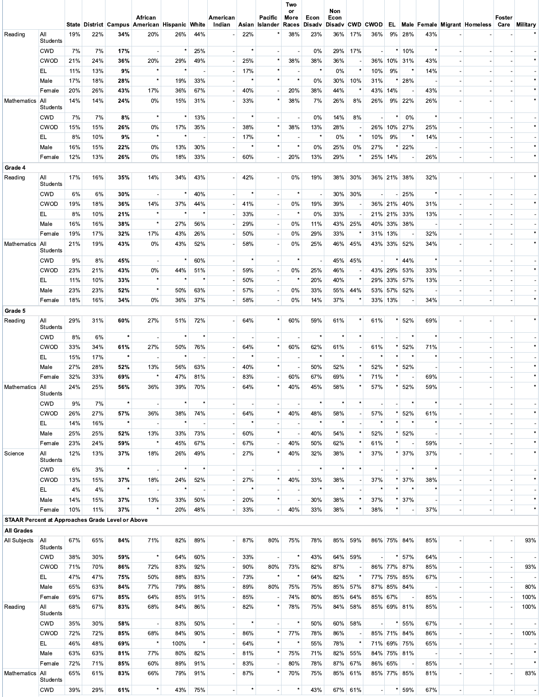| State District Campus American Hispanic White<br>Disady CWD CWOD EL Male Female Migrant Homeless Care Military<br>Asian Islander<br>19%<br>Reading<br>All<br>22%<br>34%<br>20%<br>26%<br>44%<br>22%<br>38%<br>23%<br>36%<br>17%<br>36%<br>9% 28%<br>43%<br>Students<br><b>CWD</b><br>7%<br>7%<br>17%<br>$\star$<br>25%<br>$\star$<br>0%<br>29%<br>17%<br>10%<br>$\star$<br>$\overline{\phantom{a}}$<br>$\overline{\phantom{a}}$<br><b>CWOD</b><br>21%<br>24%<br>36%<br>20%<br>29%<br>49%<br>25%<br>38%<br>38%<br>36%<br>36% 10% 31%<br>43%<br>$\overline{\phantom{a}}$<br>$\overline{\phantom{a}}$<br>$\star$<br>$\star$<br>$\pmb{\ast}$<br>$\star$<br>9%<br>EL<br>11%<br>13%<br>9%<br>17%<br>0%<br>10%<br>14%<br>$\overline{\phantom{a}}$<br>$\star$<br>$\star$<br>17%<br>18%<br>28%<br>19%<br>33%<br>0%<br>30%<br>10%<br>31%<br>28%<br>Male<br>$\star$<br>43%<br>20%<br>26%<br>43%<br>17%<br>36%<br>67%<br>40%<br>20%<br>38%<br>44%<br>43% 14%<br>Female<br>14%<br>14%<br>24%<br>$0\%$<br>31%<br>33%<br>38%<br>7%<br>26%<br>8%<br>26%<br>9% 22%<br>26%<br>All<br>15%<br>Mathematics<br><b>Students</b><br><b>CWD</b><br>7%<br>7%<br>8%<br>$\star$<br>$\pmb{\ast}$<br>13%<br>$\star$<br>0%<br>14%<br>8%<br>0%<br>$\star$<br>$\overline{\phantom{a}}$<br>$\overline{\phantom{a}}$<br>$\star$<br>38%<br>CWOD<br>15%<br>15%<br>26%<br>0%<br>17%<br>35%<br>38%<br>13%<br>28%<br>26% 10% 27%<br>25%<br>$\sim$<br>$\overline{\phantom{a}}$<br>$\overline{\phantom{a}}$<br>$\star$<br>EL.<br>8%<br>10%<br>9%<br>$\pmb{\ast}$<br>$\star$<br>×<br>0%<br>$\star$<br>10%<br>9%<br>17%<br>14%<br>$\overline{\phantom{a}}$<br>$\star$<br>27%<br>22%<br>Male<br>16%<br>15%<br>22%<br>0%<br>30%<br>0%<br>25%<br>0%<br>13%<br>12%<br>13%<br>29%<br>26%<br>0%<br>18%<br>33%<br>60%<br>20%<br>13%<br>25% 14%<br>26%<br>Female<br>ä,<br>$\sim$<br>Grade 4<br>17%<br>16%<br>35%<br>14%<br>34%<br>43%<br>42%<br>0%<br>19%<br>38%<br>30%<br>36% 21% 38%<br>32%<br>Reading<br>All<br>Students<br>40%<br>$\star$<br>30%<br>30%<br><b>CWD</b><br>6%<br>6%<br>30%<br>25%<br>$\star$<br>$\sim$<br>$\sim$<br>$\overline{a}$<br><b>CWOD</b><br>19%<br>18%<br>36%<br>14%<br>37%<br>44%<br>0%<br>19%<br>39%<br>36% 21% 40%<br>31%<br>41%<br>$\star$<br>EL.<br>8%<br>10%<br>21%<br>$\star$<br>33%<br>0%<br>33%<br>21% 21% 33%<br>13%<br>$\overline{\phantom{a}}$<br>$\overline{\phantom{a}}$<br>$^\star$<br>38%<br>56%<br>0%<br>25%<br>Male<br>16%<br>16%<br>27%<br>29%<br>11%<br>43%<br>40% 33% 38%<br>$\overline{\phantom{a}}$<br>19%<br>17%<br>32%<br>17%<br>26%<br>50%<br>0%<br>29%<br>33%<br>32%<br>Female<br>43%<br>31% 13%<br>Mathematics All<br>21%<br>19%<br>43%<br>0%<br>43%<br>52%<br>58%<br>0%<br>25%<br>46%<br>45%<br>43% 33% 52%<br>34%<br>Students<br><b>CWD</b><br>9%<br>8%<br>45%<br>60%<br>45%<br>45%<br>44%<br>$\sim$<br><b>CWOD</b><br>23%<br>21%<br>43%<br>0%<br>44%<br>59%<br>0%<br>25%<br>46%<br>43% 29% 53%<br>33%<br>51%<br>$\sim$<br>$\blacksquare$<br>$\star$<br>$\star$<br>EL.<br>11%<br>10%<br>33%<br>50%<br>20%<br>40%<br>29% 33% 57%<br>13%<br>$\overline{\phantom{a}}$<br>$\overline{\phantom{a}}$<br>$^\star$<br>Male<br>23%<br>23%<br>52%<br>50%<br>63%<br>57%<br>0%<br>33%<br>55%<br>44%<br>53% 57% 52%<br>$\overline{\phantom{a}}$<br>$\overline{\phantom{a}}$<br>$\overline{\phantom{a}}$<br>$\overline{\phantom{a}}$<br>37%<br>16%<br>34%<br>0%<br>37%<br>14%<br>33% 13%<br>34%<br>18%<br>36%<br>58%<br>0%<br>Female<br>$\sim$<br>Grade 5<br>All<br>29%<br>31%<br>60%<br>27%<br>51%<br>72%<br>64%<br>$\star$<br>60%<br>59%<br>61%<br>$\star$<br>61%<br>52%<br>69%<br>Reading<br>Students<br>$\star$<br>$\pmb{\ast}$<br>$\star$<br>$\star$<br><b>CWD</b><br>8%<br>6%<br>$\sim$<br><b>CWOD</b><br>33%<br>$\star$<br>62%<br>61%<br>52%<br>34%<br>61%<br>27%<br>50%<br>76%<br>64%<br>60%<br>61%<br>71%<br>$\star$<br>$\star$<br>EL<br>15%<br>17%<br>$\blacksquare$<br>52%<br>52%<br>52%<br>Male<br>27%<br>28%<br>52%<br>13%<br>56%<br>63%<br>40%<br>50%<br>Female<br>32%<br>33%<br>69%<br>47%<br>81%<br>83%<br>60%<br>67%<br>69%<br>71%<br>69%<br>$\overline{\phantom{a}}$<br>$\star$<br>52%<br>24%<br>25%<br>56%<br>36%<br>39%<br>70%<br>64%<br>40%<br>45%<br>58%<br>57%<br>59%<br>Mathematics All<br>$\blacksquare$<br>Students<br>$\pmb{\ast}$<br>$\star$<br>$\star$<br>$\pmb{\ast}$<br>$\star$<br>$\star$<br>$\star$<br><b>CWD</b><br>9%<br>7%<br>$\star$<br>$\sim$<br>$\mathbf{u}$<br>$\omega$<br>$\sim$<br>27%<br>48%<br>57%<br>52%<br>61%<br>CWOD<br>26%<br>57%<br>36%<br>38%<br>74%<br>64%<br>40%<br>58%<br>$\star$<br>$\star$<br>EL.<br>14%<br>16%<br>$\star$<br>$\star$<br>$\sim$<br>$\blacksquare$<br>$\sim$<br>25%<br>25%<br>52%<br>33%<br>73%<br>60%<br>$\star$<br>40%<br>54%<br>52%<br>52%<br>Male<br>13%<br>$\overline{\phantom{a}}$<br>$\blacksquare$<br>$^\star$<br>23%<br>24%<br>59%<br>45%<br>67%<br>67%<br>40%<br>50%<br>62%<br>61%<br>59%<br>Female<br>$\overline{\phantom{a}}$<br>$\overline{\phantom{a}}$<br>$\overline{\phantom{a}}$<br>$\star$<br>All<br>$\star$<br>37%<br>37%<br>37%<br>12%<br>13%<br>37%<br>26%<br>49%<br>27%<br>40%<br>32%<br>38%<br>Science<br>18%<br>Students<br>$\star$<br>$\star$<br>$\star$<br><b>CWD</b><br>6%<br>3%<br>$\star$<br>$\star$<br>$\star$<br>$\star$<br>$\blacksquare$<br>$\blacksquare$<br>$\overline{\phantom{a}}$<br>$\overline{\phantom{a}}$<br>$\star$<br>37%<br>CWOD<br>15%<br>37%<br>52%<br>27%<br>40%<br>33%<br>38%<br>37%<br>38%<br>13%<br>18%<br>24%<br>$\blacksquare$<br>$\star$<br>$\star$<br>EL.<br>4%<br>4%<br>$\star$<br>$\star$<br>$\overline{\phantom{a}}$<br>$\overline{a}$<br>$\star$<br>$\star$<br>37%<br>37%<br>Male<br>14%<br>15%<br>37%<br>13%<br>50%<br>20%<br>30%<br>38%<br>33%<br>$\overline{\phantom{a}}$<br>37%<br>$\star$<br>38%<br>38%<br>37%<br>Female<br>10%<br>11%<br>20%<br>48%<br>33%<br>40%<br>33%<br>$\overline{\phantom{a}}$<br>$\overline{\phantom{a}}$<br><b>STAAR Percent at Approaches Grade Level or Above</b><br><b>All Grades</b><br>65%<br>71%<br>87%<br>67%<br>84%<br>82%<br>89%<br>80%<br>75%<br>78%<br>85%<br>59%<br>86% 75% 84%<br>85%<br>All Subjects<br>All<br>Students<br><b>CWD</b><br>38%<br>30%<br>$\star$<br>64%<br>60%<br>33%<br>43%<br>64%<br>59%<br>57%<br>64%<br>59%<br>$\overline{\phantom{a}}$<br>$\blacksquare$<br>$\overline{\phantom{a}}$<br>71%<br>70%<br>72%<br>92%<br>80%<br>73%<br>87%<br><b>CWOD</b><br>86%<br>83%<br>90%<br>82%<br>86% 77% 87%<br>85%<br>$\mathbf{r}$<br>EL.<br>47%<br>47%<br>83%<br>$\star$<br>82%<br>$\star$<br>67%<br>75%<br>50%<br>88%<br>73%<br>64%<br>77% 75% 85%<br>$\overline{\phantom{a}}$<br>$\overline{\phantom{a}}$<br>65%<br>63%<br>84%<br>77%<br>79%<br>88%<br>89%<br>80%<br>75%<br>85%<br>57%<br>87% 85% 84%<br>Male<br>75%<br>$\blacksquare$<br>$\blacksquare$<br>$\blacksquare$<br>85%<br>69%<br>67%<br>85%<br>64%<br>85%<br>91%<br>85%<br>74%<br>80%<br>85%<br>64%<br>85% 67%<br>Female<br>$\blacksquare$<br>$\blacksquare$<br>$\sim$<br>All<br>67%<br>82%<br>$\star$<br>78%<br>75%<br>Reading<br>68%<br>83%<br>68%<br>84%<br>86%<br>84%<br>58%<br>85% 69% 81%<br>85%<br>$\blacksquare$<br>Students<br>58%<br><b>CWD</b><br>35%<br>30%<br>58%<br>83%<br>50%<br>$\star$<br>50%<br>60%<br>55%<br>67%<br>$\sim$<br>$\sim$<br>$\overline{\phantom{a}}$<br>$\blacksquare$<br>CWOD<br>90%<br>$\star$<br>78%<br>85% 71% 84%<br>72%<br>72%<br>85%<br>68%<br>84%<br>86%<br>77%<br>86%<br>86%<br>$\overline{\phantom{a}}$<br>$\overline{\phantom{a}}$<br>$\star$<br>EL.<br>48%<br>$\star$<br>64%<br>55%<br>78%<br>71% 69% 75%<br>46%<br>69%<br>100%<br>$\star$<br>65%<br>$\overline{\phantom{a}}$<br>$\overline{\phantom{a}}$<br>$\star$<br>Male<br>63%<br>63%<br>81%<br>77%<br>80%<br>82%<br>81%<br>75%<br>71%<br>82%<br>55%<br>84% 75% 81%<br>$\sim$<br>$\overline{\phantom{a}}$<br>$\sim$<br>72%<br>71%<br>85%<br>60%<br>89%<br>91%<br>83%<br>80%<br>78%<br>87%<br>67%<br>86% 65%<br>85%<br>Female<br>$\blacksquare$<br>$\blacksquare$<br>$\sim$<br>$\sim$<br>61%<br>83%<br>87%<br>70%<br>75%<br>85% 77% 85%<br>Mathematics All<br>65%<br>66%<br>79%<br>91%<br>85%<br>61%<br>81%<br>÷, |          |  | African |  | American<br>Indian | Pacific | Two<br>or<br>More<br>Races | Econ<br><b>Disadv</b> | Non<br>Econ |  |  | Foster |                          |
|------------------------------------------------------------------------------------------------------------------------------------------------------------------------------------------------------------------------------------------------------------------------------------------------------------------------------------------------------------------------------------------------------------------------------------------------------------------------------------------------------------------------------------------------------------------------------------------------------------------------------------------------------------------------------------------------------------------------------------------------------------------------------------------------------------------------------------------------------------------------------------------------------------------------------------------------------------------------------------------------------------------------------------------------------------------------------------------------------------------------------------------------------------------------------------------------------------------------------------------------------------------------------------------------------------------------------------------------------------------------------------------------------------------------------------------------------------------------------------------------------------------------------------------------------------------------------------------------------------------------------------------------------------------------------------------------------------------------------------------------------------------------------------------------------------------------------------------------------------------------------------------------------------------------------------------------------------------------------------------------------------------------------------------------------------------------------------------------------------------------------------------------------------------------------------------------------------------------------------------------------------------------------------------------------------------------------------------------------------------------------------------------------------------------------------------------------------------------------------------------------------------------------------------------------------------------------------------------------------------------------------------------------------------------------------------------------------------------------------------------------------------------------------------------------------------------------------------------------------------------------------------------------------------------------------------------------------------------------------------------------------------------------------------------------------------------------------------------------------------------------------------------------------------------------------------------------------------------------------------------------------------------------------------------------------------------------------------------------------------------------------------------------------------------------------------------------------------------------------------------------------------------------------------------------------------------------------------------------------------------------------------------------------------------------------------------------------------------------------------------------------------------------------------------------------------------------------------------------------------------------------------------------------------------------------------------------------------------------------------------------------------------------------------------------------------------------------------------------------------------------------------------------------------------------------------------------------------------------------------------------------------------------------------------------------------------------------------------------------------------------------------------------------------------------------------------------------------------------------------------------------------------------------------------------------------------------------------------------------------------------------------------------------------------------------------------------------------------------------------------------------------------------------------------------------------------------------------------------------------------------------------------------------------------------------------------------------------------------------------------------------------------------------------------------------------------------------------------------------------------------------------------------------------------------------------------------------------------------------------------------------------------------------------------------------------------------------------------------------------------------------------------------------------------------------------------------------------------------------------------------------------------------------------------------------------------------------------------------------------------------------------------------------------------------------------------------------------------------------------------------------------------------------------------------------------------------------------------------------------------------------------------------------------------------------------------------------------------------------------------------------------------------------------------------------------------------------------------------------------------------------------------------------------------------------------------------------------------------------------------------------------------------------------------------------------------------------------------------------------------------------------------------------------------------------------------------------------------------------------------------------------------------------------------------------------------------------------------------------------------------------------------------------------------------------------------------------------------------------------------------------------------------------------------------------------------------------------------------------------------------------------------------------------------------------------------------------------------------------------------------------------------------------------------------------------------------------------------------------------------------------------------------------------------------------------------------------------------------------------------------------------------------------------------------------------------------------------------------------------------------------------------------------------------------------------------------------------------------------------------------------------------------------------------------------------------------------------------------------------------------------------------------------------------------------------------------------------------------------------------------------------------------------------------------------------------------------------------------------------------------------------------------------------------------------------------------------------------------------------------------------------------------------------------------------|----------|--|---------|--|--------------------|---------|----------------------------|-----------------------|-------------|--|--|--------|--------------------------|
|                                                                                                                                                                                                                                                                                                                                                                                                                                                                                                                                                                                                                                                                                                                                                                                                                                                                                                                                                                                                                                                                                                                                                                                                                                                                                                                                                                                                                                                                                                                                                                                                                                                                                                                                                                                                                                                                                                                                                                                                                                                                                                                                                                                                                                                                                                                                                                                                                                                                                                                                                                                                                                                                                                                                                                                                                                                                                                                                                                                                                                                                                                                                                                                                                                                                                                                                                                                                                                                                                                                                                                                                                                                                                                                                                                                                                                                                                                                                                                                                                                                                                                                                                                                                                                                                                                                                                                                                                                                                                                                                                                                                                                                                                                                                                                                                                                                                                                                                                                                                                                                                                                                                                                                                                                                                                                                                                                                                                                                                                                                                                                                                                                                                                                                                                                                                                                                                                                                                                                                                                                                                                                                                                                                                                                                                                                                                                                                                                                                                                                                                                                                                                                                                                                                                                                                                                                                                                                                                                                                                                                                                                                                                                                                                                                                                                                                                                                                                                                                                                                                                                                                                                                                                                                                                                                                                                                                                                                                                                                                                                                                            |          |  |         |  |                    |         |                            |                       |             |  |  |        |                          |
|                                                                                                                                                                                                                                                                                                                                                                                                                                                                                                                                                                                                                                                                                                                                                                                                                                                                                                                                                                                                                                                                                                                                                                                                                                                                                                                                                                                                                                                                                                                                                                                                                                                                                                                                                                                                                                                                                                                                                                                                                                                                                                                                                                                                                                                                                                                                                                                                                                                                                                                                                                                                                                                                                                                                                                                                                                                                                                                                                                                                                                                                                                                                                                                                                                                                                                                                                                                                                                                                                                                                                                                                                                                                                                                                                                                                                                                                                                                                                                                                                                                                                                                                                                                                                                                                                                                                                                                                                                                                                                                                                                                                                                                                                                                                                                                                                                                                                                                                                                                                                                                                                                                                                                                                                                                                                                                                                                                                                                                                                                                                                                                                                                                                                                                                                                                                                                                                                                                                                                                                                                                                                                                                                                                                                                                                                                                                                                                                                                                                                                                                                                                                                                                                                                                                                                                                                                                                                                                                                                                                                                                                                                                                                                                                                                                                                                                                                                                                                                                                                                                                                                                                                                                                                                                                                                                                                                                                                                                                                                                                                                                            |          |  |         |  |                    |         |                            |                       |             |  |  |        |                          |
|                                                                                                                                                                                                                                                                                                                                                                                                                                                                                                                                                                                                                                                                                                                                                                                                                                                                                                                                                                                                                                                                                                                                                                                                                                                                                                                                                                                                                                                                                                                                                                                                                                                                                                                                                                                                                                                                                                                                                                                                                                                                                                                                                                                                                                                                                                                                                                                                                                                                                                                                                                                                                                                                                                                                                                                                                                                                                                                                                                                                                                                                                                                                                                                                                                                                                                                                                                                                                                                                                                                                                                                                                                                                                                                                                                                                                                                                                                                                                                                                                                                                                                                                                                                                                                                                                                                                                                                                                                                                                                                                                                                                                                                                                                                                                                                                                                                                                                                                                                                                                                                                                                                                                                                                                                                                                                                                                                                                                                                                                                                                                                                                                                                                                                                                                                                                                                                                                                                                                                                                                                                                                                                                                                                                                                                                                                                                                                                                                                                                                                                                                                                                                                                                                                                                                                                                                                                                                                                                                                                                                                                                                                                                                                                                                                                                                                                                                                                                                                                                                                                                                                                                                                                                                                                                                                                                                                                                                                                                                                                                                                                            |          |  |         |  |                    |         |                            |                       |             |  |  |        |                          |
|                                                                                                                                                                                                                                                                                                                                                                                                                                                                                                                                                                                                                                                                                                                                                                                                                                                                                                                                                                                                                                                                                                                                                                                                                                                                                                                                                                                                                                                                                                                                                                                                                                                                                                                                                                                                                                                                                                                                                                                                                                                                                                                                                                                                                                                                                                                                                                                                                                                                                                                                                                                                                                                                                                                                                                                                                                                                                                                                                                                                                                                                                                                                                                                                                                                                                                                                                                                                                                                                                                                                                                                                                                                                                                                                                                                                                                                                                                                                                                                                                                                                                                                                                                                                                                                                                                                                                                                                                                                                                                                                                                                                                                                                                                                                                                                                                                                                                                                                                                                                                                                                                                                                                                                                                                                                                                                                                                                                                                                                                                                                                                                                                                                                                                                                                                                                                                                                                                                                                                                                                                                                                                                                                                                                                                                                                                                                                                                                                                                                                                                                                                                                                                                                                                                                                                                                                                                                                                                                                                                                                                                                                                                                                                                                                                                                                                                                                                                                                                                                                                                                                                                                                                                                                                                                                                                                                                                                                                                                                                                                                                                            |          |  |         |  |                    |         |                            |                       |             |  |  |        |                          |
|                                                                                                                                                                                                                                                                                                                                                                                                                                                                                                                                                                                                                                                                                                                                                                                                                                                                                                                                                                                                                                                                                                                                                                                                                                                                                                                                                                                                                                                                                                                                                                                                                                                                                                                                                                                                                                                                                                                                                                                                                                                                                                                                                                                                                                                                                                                                                                                                                                                                                                                                                                                                                                                                                                                                                                                                                                                                                                                                                                                                                                                                                                                                                                                                                                                                                                                                                                                                                                                                                                                                                                                                                                                                                                                                                                                                                                                                                                                                                                                                                                                                                                                                                                                                                                                                                                                                                                                                                                                                                                                                                                                                                                                                                                                                                                                                                                                                                                                                                                                                                                                                                                                                                                                                                                                                                                                                                                                                                                                                                                                                                                                                                                                                                                                                                                                                                                                                                                                                                                                                                                                                                                                                                                                                                                                                                                                                                                                                                                                                                                                                                                                                                                                                                                                                                                                                                                                                                                                                                                                                                                                                                                                                                                                                                                                                                                                                                                                                                                                                                                                                                                                                                                                                                                                                                                                                                                                                                                                                                                                                                                                            |          |  |         |  |                    |         |                            |                       |             |  |  |        |                          |
|                                                                                                                                                                                                                                                                                                                                                                                                                                                                                                                                                                                                                                                                                                                                                                                                                                                                                                                                                                                                                                                                                                                                                                                                                                                                                                                                                                                                                                                                                                                                                                                                                                                                                                                                                                                                                                                                                                                                                                                                                                                                                                                                                                                                                                                                                                                                                                                                                                                                                                                                                                                                                                                                                                                                                                                                                                                                                                                                                                                                                                                                                                                                                                                                                                                                                                                                                                                                                                                                                                                                                                                                                                                                                                                                                                                                                                                                                                                                                                                                                                                                                                                                                                                                                                                                                                                                                                                                                                                                                                                                                                                                                                                                                                                                                                                                                                                                                                                                                                                                                                                                                                                                                                                                                                                                                                                                                                                                                                                                                                                                                                                                                                                                                                                                                                                                                                                                                                                                                                                                                                                                                                                                                                                                                                                                                                                                                                                                                                                                                                                                                                                                                                                                                                                                                                                                                                                                                                                                                                                                                                                                                                                                                                                                                                                                                                                                                                                                                                                                                                                                                                                                                                                                                                                                                                                                                                                                                                                                                                                                                                                            |          |  |         |  |                    |         |                            |                       |             |  |  |        |                          |
|                                                                                                                                                                                                                                                                                                                                                                                                                                                                                                                                                                                                                                                                                                                                                                                                                                                                                                                                                                                                                                                                                                                                                                                                                                                                                                                                                                                                                                                                                                                                                                                                                                                                                                                                                                                                                                                                                                                                                                                                                                                                                                                                                                                                                                                                                                                                                                                                                                                                                                                                                                                                                                                                                                                                                                                                                                                                                                                                                                                                                                                                                                                                                                                                                                                                                                                                                                                                                                                                                                                                                                                                                                                                                                                                                                                                                                                                                                                                                                                                                                                                                                                                                                                                                                                                                                                                                                                                                                                                                                                                                                                                                                                                                                                                                                                                                                                                                                                                                                                                                                                                                                                                                                                                                                                                                                                                                                                                                                                                                                                                                                                                                                                                                                                                                                                                                                                                                                                                                                                                                                                                                                                                                                                                                                                                                                                                                                                                                                                                                                                                                                                                                                                                                                                                                                                                                                                                                                                                                                                                                                                                                                                                                                                                                                                                                                                                                                                                                                                                                                                                                                                                                                                                                                                                                                                                                                                                                                                                                                                                                                                            |          |  |         |  |                    |         |                            |                       |             |  |  |        |                          |
|                                                                                                                                                                                                                                                                                                                                                                                                                                                                                                                                                                                                                                                                                                                                                                                                                                                                                                                                                                                                                                                                                                                                                                                                                                                                                                                                                                                                                                                                                                                                                                                                                                                                                                                                                                                                                                                                                                                                                                                                                                                                                                                                                                                                                                                                                                                                                                                                                                                                                                                                                                                                                                                                                                                                                                                                                                                                                                                                                                                                                                                                                                                                                                                                                                                                                                                                                                                                                                                                                                                                                                                                                                                                                                                                                                                                                                                                                                                                                                                                                                                                                                                                                                                                                                                                                                                                                                                                                                                                                                                                                                                                                                                                                                                                                                                                                                                                                                                                                                                                                                                                                                                                                                                                                                                                                                                                                                                                                                                                                                                                                                                                                                                                                                                                                                                                                                                                                                                                                                                                                                                                                                                                                                                                                                                                                                                                                                                                                                                                                                                                                                                                                                                                                                                                                                                                                                                                                                                                                                                                                                                                                                                                                                                                                                                                                                                                                                                                                                                                                                                                                                                                                                                                                                                                                                                                                                                                                                                                                                                                                                                            |          |  |         |  |                    |         |                            |                       |             |  |  |        |                          |
|                                                                                                                                                                                                                                                                                                                                                                                                                                                                                                                                                                                                                                                                                                                                                                                                                                                                                                                                                                                                                                                                                                                                                                                                                                                                                                                                                                                                                                                                                                                                                                                                                                                                                                                                                                                                                                                                                                                                                                                                                                                                                                                                                                                                                                                                                                                                                                                                                                                                                                                                                                                                                                                                                                                                                                                                                                                                                                                                                                                                                                                                                                                                                                                                                                                                                                                                                                                                                                                                                                                                                                                                                                                                                                                                                                                                                                                                                                                                                                                                                                                                                                                                                                                                                                                                                                                                                                                                                                                                                                                                                                                                                                                                                                                                                                                                                                                                                                                                                                                                                                                                                                                                                                                                                                                                                                                                                                                                                                                                                                                                                                                                                                                                                                                                                                                                                                                                                                                                                                                                                                                                                                                                                                                                                                                                                                                                                                                                                                                                                                                                                                                                                                                                                                                                                                                                                                                                                                                                                                                                                                                                                                                                                                                                                                                                                                                                                                                                                                                                                                                                                                                                                                                                                                                                                                                                                                                                                                                                                                                                                                                            |          |  |         |  |                    |         |                            |                       |             |  |  |        |                          |
|                                                                                                                                                                                                                                                                                                                                                                                                                                                                                                                                                                                                                                                                                                                                                                                                                                                                                                                                                                                                                                                                                                                                                                                                                                                                                                                                                                                                                                                                                                                                                                                                                                                                                                                                                                                                                                                                                                                                                                                                                                                                                                                                                                                                                                                                                                                                                                                                                                                                                                                                                                                                                                                                                                                                                                                                                                                                                                                                                                                                                                                                                                                                                                                                                                                                                                                                                                                                                                                                                                                                                                                                                                                                                                                                                                                                                                                                                                                                                                                                                                                                                                                                                                                                                                                                                                                                                                                                                                                                                                                                                                                                                                                                                                                                                                                                                                                                                                                                                                                                                                                                                                                                                                                                                                                                                                                                                                                                                                                                                                                                                                                                                                                                                                                                                                                                                                                                                                                                                                                                                                                                                                                                                                                                                                                                                                                                                                                                                                                                                                                                                                                                                                                                                                                                                                                                                                                                                                                                                                                                                                                                                                                                                                                                                                                                                                                                                                                                                                                                                                                                                                                                                                                                                                                                                                                                                                                                                                                                                                                                                                                            |          |  |         |  |                    |         |                            |                       |             |  |  |        |                          |
|                                                                                                                                                                                                                                                                                                                                                                                                                                                                                                                                                                                                                                                                                                                                                                                                                                                                                                                                                                                                                                                                                                                                                                                                                                                                                                                                                                                                                                                                                                                                                                                                                                                                                                                                                                                                                                                                                                                                                                                                                                                                                                                                                                                                                                                                                                                                                                                                                                                                                                                                                                                                                                                                                                                                                                                                                                                                                                                                                                                                                                                                                                                                                                                                                                                                                                                                                                                                                                                                                                                                                                                                                                                                                                                                                                                                                                                                                                                                                                                                                                                                                                                                                                                                                                                                                                                                                                                                                                                                                                                                                                                                                                                                                                                                                                                                                                                                                                                                                                                                                                                                                                                                                                                                                                                                                                                                                                                                                                                                                                                                                                                                                                                                                                                                                                                                                                                                                                                                                                                                                                                                                                                                                                                                                                                                                                                                                                                                                                                                                                                                                                                                                                                                                                                                                                                                                                                                                                                                                                                                                                                                                                                                                                                                                                                                                                                                                                                                                                                                                                                                                                                                                                                                                                                                                                                                                                                                                                                                                                                                                                                            |          |  |         |  |                    |         |                            |                       |             |  |  |        |                          |
|                                                                                                                                                                                                                                                                                                                                                                                                                                                                                                                                                                                                                                                                                                                                                                                                                                                                                                                                                                                                                                                                                                                                                                                                                                                                                                                                                                                                                                                                                                                                                                                                                                                                                                                                                                                                                                                                                                                                                                                                                                                                                                                                                                                                                                                                                                                                                                                                                                                                                                                                                                                                                                                                                                                                                                                                                                                                                                                                                                                                                                                                                                                                                                                                                                                                                                                                                                                                                                                                                                                                                                                                                                                                                                                                                                                                                                                                                                                                                                                                                                                                                                                                                                                                                                                                                                                                                                                                                                                                                                                                                                                                                                                                                                                                                                                                                                                                                                                                                                                                                                                                                                                                                                                                                                                                                                                                                                                                                                                                                                                                                                                                                                                                                                                                                                                                                                                                                                                                                                                                                                                                                                                                                                                                                                                                                                                                                                                                                                                                                                                                                                                                                                                                                                                                                                                                                                                                                                                                                                                                                                                                                                                                                                                                                                                                                                                                                                                                                                                                                                                                                                                                                                                                                                                                                                                                                                                                                                                                                                                                                                                            |          |  |         |  |                    |         |                            |                       |             |  |  |        |                          |
|                                                                                                                                                                                                                                                                                                                                                                                                                                                                                                                                                                                                                                                                                                                                                                                                                                                                                                                                                                                                                                                                                                                                                                                                                                                                                                                                                                                                                                                                                                                                                                                                                                                                                                                                                                                                                                                                                                                                                                                                                                                                                                                                                                                                                                                                                                                                                                                                                                                                                                                                                                                                                                                                                                                                                                                                                                                                                                                                                                                                                                                                                                                                                                                                                                                                                                                                                                                                                                                                                                                                                                                                                                                                                                                                                                                                                                                                                                                                                                                                                                                                                                                                                                                                                                                                                                                                                                                                                                                                                                                                                                                                                                                                                                                                                                                                                                                                                                                                                                                                                                                                                                                                                                                                                                                                                                                                                                                                                                                                                                                                                                                                                                                                                                                                                                                                                                                                                                                                                                                                                                                                                                                                                                                                                                                                                                                                                                                                                                                                                                                                                                                                                                                                                                                                                                                                                                                                                                                                                                                                                                                                                                                                                                                                                                                                                                                                                                                                                                                                                                                                                                                                                                                                                                                                                                                                                                                                                                                                                                                                                                                            |          |  |         |  |                    |         |                            |                       |             |  |  |        |                          |
|                                                                                                                                                                                                                                                                                                                                                                                                                                                                                                                                                                                                                                                                                                                                                                                                                                                                                                                                                                                                                                                                                                                                                                                                                                                                                                                                                                                                                                                                                                                                                                                                                                                                                                                                                                                                                                                                                                                                                                                                                                                                                                                                                                                                                                                                                                                                                                                                                                                                                                                                                                                                                                                                                                                                                                                                                                                                                                                                                                                                                                                                                                                                                                                                                                                                                                                                                                                                                                                                                                                                                                                                                                                                                                                                                                                                                                                                                                                                                                                                                                                                                                                                                                                                                                                                                                                                                                                                                                                                                                                                                                                                                                                                                                                                                                                                                                                                                                                                                                                                                                                                                                                                                                                                                                                                                                                                                                                                                                                                                                                                                                                                                                                                                                                                                                                                                                                                                                                                                                                                                                                                                                                                                                                                                                                                                                                                                                                                                                                                                                                                                                                                                                                                                                                                                                                                                                                                                                                                                                                                                                                                                                                                                                                                                                                                                                                                                                                                                                                                                                                                                                                                                                                                                                                                                                                                                                                                                                                                                                                                                                                            |          |  |         |  |                    |         |                            |                       |             |  |  |        |                          |
|                                                                                                                                                                                                                                                                                                                                                                                                                                                                                                                                                                                                                                                                                                                                                                                                                                                                                                                                                                                                                                                                                                                                                                                                                                                                                                                                                                                                                                                                                                                                                                                                                                                                                                                                                                                                                                                                                                                                                                                                                                                                                                                                                                                                                                                                                                                                                                                                                                                                                                                                                                                                                                                                                                                                                                                                                                                                                                                                                                                                                                                                                                                                                                                                                                                                                                                                                                                                                                                                                                                                                                                                                                                                                                                                                                                                                                                                                                                                                                                                                                                                                                                                                                                                                                                                                                                                                                                                                                                                                                                                                                                                                                                                                                                                                                                                                                                                                                                                                                                                                                                                                                                                                                                                                                                                                                                                                                                                                                                                                                                                                                                                                                                                                                                                                                                                                                                                                                                                                                                                                                                                                                                                                                                                                                                                                                                                                                                                                                                                                                                                                                                                                                                                                                                                                                                                                                                                                                                                                                                                                                                                                                                                                                                                                                                                                                                                                                                                                                                                                                                                                                                                                                                                                                                                                                                                                                                                                                                                                                                                                                                            |          |  |         |  |                    |         |                            |                       |             |  |  |        |                          |
|                                                                                                                                                                                                                                                                                                                                                                                                                                                                                                                                                                                                                                                                                                                                                                                                                                                                                                                                                                                                                                                                                                                                                                                                                                                                                                                                                                                                                                                                                                                                                                                                                                                                                                                                                                                                                                                                                                                                                                                                                                                                                                                                                                                                                                                                                                                                                                                                                                                                                                                                                                                                                                                                                                                                                                                                                                                                                                                                                                                                                                                                                                                                                                                                                                                                                                                                                                                                                                                                                                                                                                                                                                                                                                                                                                                                                                                                                                                                                                                                                                                                                                                                                                                                                                                                                                                                                                                                                                                                                                                                                                                                                                                                                                                                                                                                                                                                                                                                                                                                                                                                                                                                                                                                                                                                                                                                                                                                                                                                                                                                                                                                                                                                                                                                                                                                                                                                                                                                                                                                                                                                                                                                                                                                                                                                                                                                                                                                                                                                                                                                                                                                                                                                                                                                                                                                                                                                                                                                                                                                                                                                                                                                                                                                                                                                                                                                                                                                                                                                                                                                                                                                                                                                                                                                                                                                                                                                                                                                                                                                                                                            |          |  |         |  |                    |         |                            |                       |             |  |  |        |                          |
|                                                                                                                                                                                                                                                                                                                                                                                                                                                                                                                                                                                                                                                                                                                                                                                                                                                                                                                                                                                                                                                                                                                                                                                                                                                                                                                                                                                                                                                                                                                                                                                                                                                                                                                                                                                                                                                                                                                                                                                                                                                                                                                                                                                                                                                                                                                                                                                                                                                                                                                                                                                                                                                                                                                                                                                                                                                                                                                                                                                                                                                                                                                                                                                                                                                                                                                                                                                                                                                                                                                                                                                                                                                                                                                                                                                                                                                                                                                                                                                                                                                                                                                                                                                                                                                                                                                                                                                                                                                                                                                                                                                                                                                                                                                                                                                                                                                                                                                                                                                                                                                                                                                                                                                                                                                                                                                                                                                                                                                                                                                                                                                                                                                                                                                                                                                                                                                                                                                                                                                                                                                                                                                                                                                                                                                                                                                                                                                                                                                                                                                                                                                                                                                                                                                                                                                                                                                                                                                                                                                                                                                                                                                                                                                                                                                                                                                                                                                                                                                                                                                                                                                                                                                                                                                                                                                                                                                                                                                                                                                                                                                            |          |  |         |  |                    |         |                            |                       |             |  |  |        |                          |
|                                                                                                                                                                                                                                                                                                                                                                                                                                                                                                                                                                                                                                                                                                                                                                                                                                                                                                                                                                                                                                                                                                                                                                                                                                                                                                                                                                                                                                                                                                                                                                                                                                                                                                                                                                                                                                                                                                                                                                                                                                                                                                                                                                                                                                                                                                                                                                                                                                                                                                                                                                                                                                                                                                                                                                                                                                                                                                                                                                                                                                                                                                                                                                                                                                                                                                                                                                                                                                                                                                                                                                                                                                                                                                                                                                                                                                                                                                                                                                                                                                                                                                                                                                                                                                                                                                                                                                                                                                                                                                                                                                                                                                                                                                                                                                                                                                                                                                                                                                                                                                                                                                                                                                                                                                                                                                                                                                                                                                                                                                                                                                                                                                                                                                                                                                                                                                                                                                                                                                                                                                                                                                                                                                                                                                                                                                                                                                                                                                                                                                                                                                                                                                                                                                                                                                                                                                                                                                                                                                                                                                                                                                                                                                                                                                                                                                                                                                                                                                                                                                                                                                                                                                                                                                                                                                                                                                                                                                                                                                                                                                                            |          |  |         |  |                    |         |                            |                       |             |  |  |        |                          |
|                                                                                                                                                                                                                                                                                                                                                                                                                                                                                                                                                                                                                                                                                                                                                                                                                                                                                                                                                                                                                                                                                                                                                                                                                                                                                                                                                                                                                                                                                                                                                                                                                                                                                                                                                                                                                                                                                                                                                                                                                                                                                                                                                                                                                                                                                                                                                                                                                                                                                                                                                                                                                                                                                                                                                                                                                                                                                                                                                                                                                                                                                                                                                                                                                                                                                                                                                                                                                                                                                                                                                                                                                                                                                                                                                                                                                                                                                                                                                                                                                                                                                                                                                                                                                                                                                                                                                                                                                                                                                                                                                                                                                                                                                                                                                                                                                                                                                                                                                                                                                                                                                                                                                                                                                                                                                                                                                                                                                                                                                                                                                                                                                                                                                                                                                                                                                                                                                                                                                                                                                                                                                                                                                                                                                                                                                                                                                                                                                                                                                                                                                                                                                                                                                                                                                                                                                                                                                                                                                                                                                                                                                                                                                                                                                                                                                                                                                                                                                                                                                                                                                                                                                                                                                                                                                                                                                                                                                                                                                                                                                                                            |          |  |         |  |                    |         |                            |                       |             |  |  |        |                          |
|                                                                                                                                                                                                                                                                                                                                                                                                                                                                                                                                                                                                                                                                                                                                                                                                                                                                                                                                                                                                                                                                                                                                                                                                                                                                                                                                                                                                                                                                                                                                                                                                                                                                                                                                                                                                                                                                                                                                                                                                                                                                                                                                                                                                                                                                                                                                                                                                                                                                                                                                                                                                                                                                                                                                                                                                                                                                                                                                                                                                                                                                                                                                                                                                                                                                                                                                                                                                                                                                                                                                                                                                                                                                                                                                                                                                                                                                                                                                                                                                                                                                                                                                                                                                                                                                                                                                                                                                                                                                                                                                                                                                                                                                                                                                                                                                                                                                                                                                                                                                                                                                                                                                                                                                                                                                                                                                                                                                                                                                                                                                                                                                                                                                                                                                                                                                                                                                                                                                                                                                                                                                                                                                                                                                                                                                                                                                                                                                                                                                                                                                                                                                                                                                                                                                                                                                                                                                                                                                                                                                                                                                                                                                                                                                                                                                                                                                                                                                                                                                                                                                                                                                                                                                                                                                                                                                                                                                                                                                                                                                                                                            |          |  |         |  |                    |         |                            |                       |             |  |  |        |                          |
|                                                                                                                                                                                                                                                                                                                                                                                                                                                                                                                                                                                                                                                                                                                                                                                                                                                                                                                                                                                                                                                                                                                                                                                                                                                                                                                                                                                                                                                                                                                                                                                                                                                                                                                                                                                                                                                                                                                                                                                                                                                                                                                                                                                                                                                                                                                                                                                                                                                                                                                                                                                                                                                                                                                                                                                                                                                                                                                                                                                                                                                                                                                                                                                                                                                                                                                                                                                                                                                                                                                                                                                                                                                                                                                                                                                                                                                                                                                                                                                                                                                                                                                                                                                                                                                                                                                                                                                                                                                                                                                                                                                                                                                                                                                                                                                                                                                                                                                                                                                                                                                                                                                                                                                                                                                                                                                                                                                                                                                                                                                                                                                                                                                                                                                                                                                                                                                                                                                                                                                                                                                                                                                                                                                                                                                                                                                                                                                                                                                                                                                                                                                                                                                                                                                                                                                                                                                                                                                                                                                                                                                                                                                                                                                                                                                                                                                                                                                                                                                                                                                                                                                                                                                                                                                                                                                                                                                                                                                                                                                                                                                            |          |  |         |  |                    |         |                            |                       |             |  |  |        |                          |
|                                                                                                                                                                                                                                                                                                                                                                                                                                                                                                                                                                                                                                                                                                                                                                                                                                                                                                                                                                                                                                                                                                                                                                                                                                                                                                                                                                                                                                                                                                                                                                                                                                                                                                                                                                                                                                                                                                                                                                                                                                                                                                                                                                                                                                                                                                                                                                                                                                                                                                                                                                                                                                                                                                                                                                                                                                                                                                                                                                                                                                                                                                                                                                                                                                                                                                                                                                                                                                                                                                                                                                                                                                                                                                                                                                                                                                                                                                                                                                                                                                                                                                                                                                                                                                                                                                                                                                                                                                                                                                                                                                                                                                                                                                                                                                                                                                                                                                                                                                                                                                                                                                                                                                                                                                                                                                                                                                                                                                                                                                                                                                                                                                                                                                                                                                                                                                                                                                                                                                                                                                                                                                                                                                                                                                                                                                                                                                                                                                                                                                                                                                                                                                                                                                                                                                                                                                                                                                                                                                                                                                                                                                                                                                                                                                                                                                                                                                                                                                                                                                                                                                                                                                                                                                                                                                                                                                                                                                                                                                                                                                                            |          |  |         |  |                    |         |                            |                       |             |  |  |        |                          |
|                                                                                                                                                                                                                                                                                                                                                                                                                                                                                                                                                                                                                                                                                                                                                                                                                                                                                                                                                                                                                                                                                                                                                                                                                                                                                                                                                                                                                                                                                                                                                                                                                                                                                                                                                                                                                                                                                                                                                                                                                                                                                                                                                                                                                                                                                                                                                                                                                                                                                                                                                                                                                                                                                                                                                                                                                                                                                                                                                                                                                                                                                                                                                                                                                                                                                                                                                                                                                                                                                                                                                                                                                                                                                                                                                                                                                                                                                                                                                                                                                                                                                                                                                                                                                                                                                                                                                                                                                                                                                                                                                                                                                                                                                                                                                                                                                                                                                                                                                                                                                                                                                                                                                                                                                                                                                                                                                                                                                                                                                                                                                                                                                                                                                                                                                                                                                                                                                                                                                                                                                                                                                                                                                                                                                                                                                                                                                                                                                                                                                                                                                                                                                                                                                                                                                                                                                                                                                                                                                                                                                                                                                                                                                                                                                                                                                                                                                                                                                                                                                                                                                                                                                                                                                                                                                                                                                                                                                                                                                                                                                                                            |          |  |         |  |                    |         |                            |                       |             |  |  |        |                          |
|                                                                                                                                                                                                                                                                                                                                                                                                                                                                                                                                                                                                                                                                                                                                                                                                                                                                                                                                                                                                                                                                                                                                                                                                                                                                                                                                                                                                                                                                                                                                                                                                                                                                                                                                                                                                                                                                                                                                                                                                                                                                                                                                                                                                                                                                                                                                                                                                                                                                                                                                                                                                                                                                                                                                                                                                                                                                                                                                                                                                                                                                                                                                                                                                                                                                                                                                                                                                                                                                                                                                                                                                                                                                                                                                                                                                                                                                                                                                                                                                                                                                                                                                                                                                                                                                                                                                                                                                                                                                                                                                                                                                                                                                                                                                                                                                                                                                                                                                                                                                                                                                                                                                                                                                                                                                                                                                                                                                                                                                                                                                                                                                                                                                                                                                                                                                                                                                                                                                                                                                                                                                                                                                                                                                                                                                                                                                                                                                                                                                                                                                                                                                                                                                                                                                                                                                                                                                                                                                                                                                                                                                                                                                                                                                                                                                                                                                                                                                                                                                                                                                                                                                                                                                                                                                                                                                                                                                                                                                                                                                                                                            |          |  |         |  |                    |         |                            |                       |             |  |  |        |                          |
|                                                                                                                                                                                                                                                                                                                                                                                                                                                                                                                                                                                                                                                                                                                                                                                                                                                                                                                                                                                                                                                                                                                                                                                                                                                                                                                                                                                                                                                                                                                                                                                                                                                                                                                                                                                                                                                                                                                                                                                                                                                                                                                                                                                                                                                                                                                                                                                                                                                                                                                                                                                                                                                                                                                                                                                                                                                                                                                                                                                                                                                                                                                                                                                                                                                                                                                                                                                                                                                                                                                                                                                                                                                                                                                                                                                                                                                                                                                                                                                                                                                                                                                                                                                                                                                                                                                                                                                                                                                                                                                                                                                                                                                                                                                                                                                                                                                                                                                                                                                                                                                                                                                                                                                                                                                                                                                                                                                                                                                                                                                                                                                                                                                                                                                                                                                                                                                                                                                                                                                                                                                                                                                                                                                                                                                                                                                                                                                                                                                                                                                                                                                                                                                                                                                                                                                                                                                                                                                                                                                                                                                                                                                                                                                                                                                                                                                                                                                                                                                                                                                                                                                                                                                                                                                                                                                                                                                                                                                                                                                                                                                            |          |  |         |  |                    |         |                            |                       |             |  |  |        |                          |
|                                                                                                                                                                                                                                                                                                                                                                                                                                                                                                                                                                                                                                                                                                                                                                                                                                                                                                                                                                                                                                                                                                                                                                                                                                                                                                                                                                                                                                                                                                                                                                                                                                                                                                                                                                                                                                                                                                                                                                                                                                                                                                                                                                                                                                                                                                                                                                                                                                                                                                                                                                                                                                                                                                                                                                                                                                                                                                                                                                                                                                                                                                                                                                                                                                                                                                                                                                                                                                                                                                                                                                                                                                                                                                                                                                                                                                                                                                                                                                                                                                                                                                                                                                                                                                                                                                                                                                                                                                                                                                                                                                                                                                                                                                                                                                                                                                                                                                                                                                                                                                                                                                                                                                                                                                                                                                                                                                                                                                                                                                                                                                                                                                                                                                                                                                                                                                                                                                                                                                                                                                                                                                                                                                                                                                                                                                                                                                                                                                                                                                                                                                                                                                                                                                                                                                                                                                                                                                                                                                                                                                                                                                                                                                                                                                                                                                                                                                                                                                                                                                                                                                                                                                                                                                                                                                                                                                                                                                                                                                                                                                                            |          |  |         |  |                    |         |                            |                       |             |  |  |        |                          |
|                                                                                                                                                                                                                                                                                                                                                                                                                                                                                                                                                                                                                                                                                                                                                                                                                                                                                                                                                                                                                                                                                                                                                                                                                                                                                                                                                                                                                                                                                                                                                                                                                                                                                                                                                                                                                                                                                                                                                                                                                                                                                                                                                                                                                                                                                                                                                                                                                                                                                                                                                                                                                                                                                                                                                                                                                                                                                                                                                                                                                                                                                                                                                                                                                                                                                                                                                                                                                                                                                                                                                                                                                                                                                                                                                                                                                                                                                                                                                                                                                                                                                                                                                                                                                                                                                                                                                                                                                                                                                                                                                                                                                                                                                                                                                                                                                                                                                                                                                                                                                                                                                                                                                                                                                                                                                                                                                                                                                                                                                                                                                                                                                                                                                                                                                                                                                                                                                                                                                                                                                                                                                                                                                                                                                                                                                                                                                                                                                                                                                                                                                                                                                                                                                                                                                                                                                                                                                                                                                                                                                                                                                                                                                                                                                                                                                                                                                                                                                                                                                                                                                                                                                                                                                                                                                                                                                                                                                                                                                                                                                                                            |          |  |         |  |                    |         |                            |                       |             |  |  |        |                          |
|                                                                                                                                                                                                                                                                                                                                                                                                                                                                                                                                                                                                                                                                                                                                                                                                                                                                                                                                                                                                                                                                                                                                                                                                                                                                                                                                                                                                                                                                                                                                                                                                                                                                                                                                                                                                                                                                                                                                                                                                                                                                                                                                                                                                                                                                                                                                                                                                                                                                                                                                                                                                                                                                                                                                                                                                                                                                                                                                                                                                                                                                                                                                                                                                                                                                                                                                                                                                                                                                                                                                                                                                                                                                                                                                                                                                                                                                                                                                                                                                                                                                                                                                                                                                                                                                                                                                                                                                                                                                                                                                                                                                                                                                                                                                                                                                                                                                                                                                                                                                                                                                                                                                                                                                                                                                                                                                                                                                                                                                                                                                                                                                                                                                                                                                                                                                                                                                                                                                                                                                                                                                                                                                                                                                                                                                                                                                                                                                                                                                                                                                                                                                                                                                                                                                                                                                                                                                                                                                                                                                                                                                                                                                                                                                                                                                                                                                                                                                                                                                                                                                                                                                                                                                                                                                                                                                                                                                                                                                                                                                                                                            |          |  |         |  |                    |         |                            |                       |             |  |  |        |                          |
|                                                                                                                                                                                                                                                                                                                                                                                                                                                                                                                                                                                                                                                                                                                                                                                                                                                                                                                                                                                                                                                                                                                                                                                                                                                                                                                                                                                                                                                                                                                                                                                                                                                                                                                                                                                                                                                                                                                                                                                                                                                                                                                                                                                                                                                                                                                                                                                                                                                                                                                                                                                                                                                                                                                                                                                                                                                                                                                                                                                                                                                                                                                                                                                                                                                                                                                                                                                                                                                                                                                                                                                                                                                                                                                                                                                                                                                                                                                                                                                                                                                                                                                                                                                                                                                                                                                                                                                                                                                                                                                                                                                                                                                                                                                                                                                                                                                                                                                                                                                                                                                                                                                                                                                                                                                                                                                                                                                                                                                                                                                                                                                                                                                                                                                                                                                                                                                                                                                                                                                                                                                                                                                                                                                                                                                                                                                                                                                                                                                                                                                                                                                                                                                                                                                                                                                                                                                                                                                                                                                                                                                                                                                                                                                                                                                                                                                                                                                                                                                                                                                                                                                                                                                                                                                                                                                                                                                                                                                                                                                                                                                            |          |  |         |  |                    |         |                            |                       |             |  |  |        |                          |
|                                                                                                                                                                                                                                                                                                                                                                                                                                                                                                                                                                                                                                                                                                                                                                                                                                                                                                                                                                                                                                                                                                                                                                                                                                                                                                                                                                                                                                                                                                                                                                                                                                                                                                                                                                                                                                                                                                                                                                                                                                                                                                                                                                                                                                                                                                                                                                                                                                                                                                                                                                                                                                                                                                                                                                                                                                                                                                                                                                                                                                                                                                                                                                                                                                                                                                                                                                                                                                                                                                                                                                                                                                                                                                                                                                                                                                                                                                                                                                                                                                                                                                                                                                                                                                                                                                                                                                                                                                                                                                                                                                                                                                                                                                                                                                                                                                                                                                                                                                                                                                                                                                                                                                                                                                                                                                                                                                                                                                                                                                                                                                                                                                                                                                                                                                                                                                                                                                                                                                                                                                                                                                                                                                                                                                                                                                                                                                                                                                                                                                                                                                                                                                                                                                                                                                                                                                                                                                                                                                                                                                                                                                                                                                                                                                                                                                                                                                                                                                                                                                                                                                                                                                                                                                                                                                                                                                                                                                                                                                                                                                                            |          |  |         |  |                    |         |                            |                       |             |  |  |        |                          |
|                                                                                                                                                                                                                                                                                                                                                                                                                                                                                                                                                                                                                                                                                                                                                                                                                                                                                                                                                                                                                                                                                                                                                                                                                                                                                                                                                                                                                                                                                                                                                                                                                                                                                                                                                                                                                                                                                                                                                                                                                                                                                                                                                                                                                                                                                                                                                                                                                                                                                                                                                                                                                                                                                                                                                                                                                                                                                                                                                                                                                                                                                                                                                                                                                                                                                                                                                                                                                                                                                                                                                                                                                                                                                                                                                                                                                                                                                                                                                                                                                                                                                                                                                                                                                                                                                                                                                                                                                                                                                                                                                                                                                                                                                                                                                                                                                                                                                                                                                                                                                                                                                                                                                                                                                                                                                                                                                                                                                                                                                                                                                                                                                                                                                                                                                                                                                                                                                                                                                                                                                                                                                                                                                                                                                                                                                                                                                                                                                                                                                                                                                                                                                                                                                                                                                                                                                                                                                                                                                                                                                                                                                                                                                                                                                                                                                                                                                                                                                                                                                                                                                                                                                                                                                                                                                                                                                                                                                                                                                                                                                                                            |          |  |         |  |                    |         |                            |                       |             |  |  |        |                          |
|                                                                                                                                                                                                                                                                                                                                                                                                                                                                                                                                                                                                                                                                                                                                                                                                                                                                                                                                                                                                                                                                                                                                                                                                                                                                                                                                                                                                                                                                                                                                                                                                                                                                                                                                                                                                                                                                                                                                                                                                                                                                                                                                                                                                                                                                                                                                                                                                                                                                                                                                                                                                                                                                                                                                                                                                                                                                                                                                                                                                                                                                                                                                                                                                                                                                                                                                                                                                                                                                                                                                                                                                                                                                                                                                                                                                                                                                                                                                                                                                                                                                                                                                                                                                                                                                                                                                                                                                                                                                                                                                                                                                                                                                                                                                                                                                                                                                                                                                                                                                                                                                                                                                                                                                                                                                                                                                                                                                                                                                                                                                                                                                                                                                                                                                                                                                                                                                                                                                                                                                                                                                                                                                                                                                                                                                                                                                                                                                                                                                                                                                                                                                                                                                                                                                                                                                                                                                                                                                                                                                                                                                                                                                                                                                                                                                                                                                                                                                                                                                                                                                                                                                                                                                                                                                                                                                                                                                                                                                                                                                                                                            |          |  |         |  |                    |         |                            |                       |             |  |  |        |                          |
|                                                                                                                                                                                                                                                                                                                                                                                                                                                                                                                                                                                                                                                                                                                                                                                                                                                                                                                                                                                                                                                                                                                                                                                                                                                                                                                                                                                                                                                                                                                                                                                                                                                                                                                                                                                                                                                                                                                                                                                                                                                                                                                                                                                                                                                                                                                                                                                                                                                                                                                                                                                                                                                                                                                                                                                                                                                                                                                                                                                                                                                                                                                                                                                                                                                                                                                                                                                                                                                                                                                                                                                                                                                                                                                                                                                                                                                                                                                                                                                                                                                                                                                                                                                                                                                                                                                                                                                                                                                                                                                                                                                                                                                                                                                                                                                                                                                                                                                                                                                                                                                                                                                                                                                                                                                                                                                                                                                                                                                                                                                                                                                                                                                                                                                                                                                                                                                                                                                                                                                                                                                                                                                                                                                                                                                                                                                                                                                                                                                                                                                                                                                                                                                                                                                                                                                                                                                                                                                                                                                                                                                                                                                                                                                                                                                                                                                                                                                                                                                                                                                                                                                                                                                                                                                                                                                                                                                                                                                                                                                                                                                            |          |  |         |  |                    |         |                            |                       |             |  |  |        |                          |
|                                                                                                                                                                                                                                                                                                                                                                                                                                                                                                                                                                                                                                                                                                                                                                                                                                                                                                                                                                                                                                                                                                                                                                                                                                                                                                                                                                                                                                                                                                                                                                                                                                                                                                                                                                                                                                                                                                                                                                                                                                                                                                                                                                                                                                                                                                                                                                                                                                                                                                                                                                                                                                                                                                                                                                                                                                                                                                                                                                                                                                                                                                                                                                                                                                                                                                                                                                                                                                                                                                                                                                                                                                                                                                                                                                                                                                                                                                                                                                                                                                                                                                                                                                                                                                                                                                                                                                                                                                                                                                                                                                                                                                                                                                                                                                                                                                                                                                                                                                                                                                                                                                                                                                                                                                                                                                                                                                                                                                                                                                                                                                                                                                                                                                                                                                                                                                                                                                                                                                                                                                                                                                                                                                                                                                                                                                                                                                                                                                                                                                                                                                                                                                                                                                                                                                                                                                                                                                                                                                                                                                                                                                                                                                                                                                                                                                                                                                                                                                                                                                                                                                                                                                                                                                                                                                                                                                                                                                                                                                                                                                                            |          |  |         |  |                    |         |                            |                       |             |  |  |        |                          |
|                                                                                                                                                                                                                                                                                                                                                                                                                                                                                                                                                                                                                                                                                                                                                                                                                                                                                                                                                                                                                                                                                                                                                                                                                                                                                                                                                                                                                                                                                                                                                                                                                                                                                                                                                                                                                                                                                                                                                                                                                                                                                                                                                                                                                                                                                                                                                                                                                                                                                                                                                                                                                                                                                                                                                                                                                                                                                                                                                                                                                                                                                                                                                                                                                                                                                                                                                                                                                                                                                                                                                                                                                                                                                                                                                                                                                                                                                                                                                                                                                                                                                                                                                                                                                                                                                                                                                                                                                                                                                                                                                                                                                                                                                                                                                                                                                                                                                                                                                                                                                                                                                                                                                                                                                                                                                                                                                                                                                                                                                                                                                                                                                                                                                                                                                                                                                                                                                                                                                                                                                                                                                                                                                                                                                                                                                                                                                                                                                                                                                                                                                                                                                                                                                                                                                                                                                                                                                                                                                                                                                                                                                                                                                                                                                                                                                                                                                                                                                                                                                                                                                                                                                                                                                                                                                                                                                                                                                                                                                                                                                                                            |          |  |         |  |                    |         |                            |                       |             |  |  |        | $^\star$                 |
|                                                                                                                                                                                                                                                                                                                                                                                                                                                                                                                                                                                                                                                                                                                                                                                                                                                                                                                                                                                                                                                                                                                                                                                                                                                                                                                                                                                                                                                                                                                                                                                                                                                                                                                                                                                                                                                                                                                                                                                                                                                                                                                                                                                                                                                                                                                                                                                                                                                                                                                                                                                                                                                                                                                                                                                                                                                                                                                                                                                                                                                                                                                                                                                                                                                                                                                                                                                                                                                                                                                                                                                                                                                                                                                                                                                                                                                                                                                                                                                                                                                                                                                                                                                                                                                                                                                                                                                                                                                                                                                                                                                                                                                                                                                                                                                                                                                                                                                                                                                                                                                                                                                                                                                                                                                                                                                                                                                                                                                                                                                                                                                                                                                                                                                                                                                                                                                                                                                                                                                                                                                                                                                                                                                                                                                                                                                                                                                                                                                                                                                                                                                                                                                                                                                                                                                                                                                                                                                                                                                                                                                                                                                                                                                                                                                                                                                                                                                                                                                                                                                                                                                                                                                                                                                                                                                                                                                                                                                                                                                                                                                            |          |  |         |  |                    |         |                            |                       |             |  |  |        |                          |
|                                                                                                                                                                                                                                                                                                                                                                                                                                                                                                                                                                                                                                                                                                                                                                                                                                                                                                                                                                                                                                                                                                                                                                                                                                                                                                                                                                                                                                                                                                                                                                                                                                                                                                                                                                                                                                                                                                                                                                                                                                                                                                                                                                                                                                                                                                                                                                                                                                                                                                                                                                                                                                                                                                                                                                                                                                                                                                                                                                                                                                                                                                                                                                                                                                                                                                                                                                                                                                                                                                                                                                                                                                                                                                                                                                                                                                                                                                                                                                                                                                                                                                                                                                                                                                                                                                                                                                                                                                                                                                                                                                                                                                                                                                                                                                                                                                                                                                                                                                                                                                                                                                                                                                                                                                                                                                                                                                                                                                                                                                                                                                                                                                                                                                                                                                                                                                                                                                                                                                                                                                                                                                                                                                                                                                                                                                                                                                                                                                                                                                                                                                                                                                                                                                                                                                                                                                                                                                                                                                                                                                                                                                                                                                                                                                                                                                                                                                                                                                                                                                                                                                                                                                                                                                                                                                                                                                                                                                                                                                                                                                                            |          |  |         |  |                    |         |                            |                       |             |  |  |        |                          |
|                                                                                                                                                                                                                                                                                                                                                                                                                                                                                                                                                                                                                                                                                                                                                                                                                                                                                                                                                                                                                                                                                                                                                                                                                                                                                                                                                                                                                                                                                                                                                                                                                                                                                                                                                                                                                                                                                                                                                                                                                                                                                                                                                                                                                                                                                                                                                                                                                                                                                                                                                                                                                                                                                                                                                                                                                                                                                                                                                                                                                                                                                                                                                                                                                                                                                                                                                                                                                                                                                                                                                                                                                                                                                                                                                                                                                                                                                                                                                                                                                                                                                                                                                                                                                                                                                                                                                                                                                                                                                                                                                                                                                                                                                                                                                                                                                                                                                                                                                                                                                                                                                                                                                                                                                                                                                                                                                                                                                                                                                                                                                                                                                                                                                                                                                                                                                                                                                                                                                                                                                                                                                                                                                                                                                                                                                                                                                                                                                                                                                                                                                                                                                                                                                                                                                                                                                                                                                                                                                                                                                                                                                                                                                                                                                                                                                                                                                                                                                                                                                                                                                                                                                                                                                                                                                                                                                                                                                                                                                                                                                                                            |          |  |         |  |                    |         |                            |                       |             |  |  |        | $\star$                  |
|                                                                                                                                                                                                                                                                                                                                                                                                                                                                                                                                                                                                                                                                                                                                                                                                                                                                                                                                                                                                                                                                                                                                                                                                                                                                                                                                                                                                                                                                                                                                                                                                                                                                                                                                                                                                                                                                                                                                                                                                                                                                                                                                                                                                                                                                                                                                                                                                                                                                                                                                                                                                                                                                                                                                                                                                                                                                                                                                                                                                                                                                                                                                                                                                                                                                                                                                                                                                                                                                                                                                                                                                                                                                                                                                                                                                                                                                                                                                                                                                                                                                                                                                                                                                                                                                                                                                                                                                                                                                                                                                                                                                                                                                                                                                                                                                                                                                                                                                                                                                                                                                                                                                                                                                                                                                                                                                                                                                                                                                                                                                                                                                                                                                                                                                                                                                                                                                                                                                                                                                                                                                                                                                                                                                                                                                                                                                                                                                                                                                                                                                                                                                                                                                                                                                                                                                                                                                                                                                                                                                                                                                                                                                                                                                                                                                                                                                                                                                                                                                                                                                                                                                                                                                                                                                                                                                                                                                                                                                                                                                                                                            |          |  |         |  |                    |         |                            |                       |             |  |  |        | $\overline{\phantom{a}}$ |
|                                                                                                                                                                                                                                                                                                                                                                                                                                                                                                                                                                                                                                                                                                                                                                                                                                                                                                                                                                                                                                                                                                                                                                                                                                                                                                                                                                                                                                                                                                                                                                                                                                                                                                                                                                                                                                                                                                                                                                                                                                                                                                                                                                                                                                                                                                                                                                                                                                                                                                                                                                                                                                                                                                                                                                                                                                                                                                                                                                                                                                                                                                                                                                                                                                                                                                                                                                                                                                                                                                                                                                                                                                                                                                                                                                                                                                                                                                                                                                                                                                                                                                                                                                                                                                                                                                                                                                                                                                                                                                                                                                                                                                                                                                                                                                                                                                                                                                                                                                                                                                                                                                                                                                                                                                                                                                                                                                                                                                                                                                                                                                                                                                                                                                                                                                                                                                                                                                                                                                                                                                                                                                                                                                                                                                                                                                                                                                                                                                                                                                                                                                                                                                                                                                                                                                                                                                                                                                                                                                                                                                                                                                                                                                                                                                                                                                                                                                                                                                                                                                                                                                                                                                                                                                                                                                                                                                                                                                                                                                                                                                                            |          |  |         |  |                    |         |                            |                       |             |  |  |        | $\star$                  |
|                                                                                                                                                                                                                                                                                                                                                                                                                                                                                                                                                                                                                                                                                                                                                                                                                                                                                                                                                                                                                                                                                                                                                                                                                                                                                                                                                                                                                                                                                                                                                                                                                                                                                                                                                                                                                                                                                                                                                                                                                                                                                                                                                                                                                                                                                                                                                                                                                                                                                                                                                                                                                                                                                                                                                                                                                                                                                                                                                                                                                                                                                                                                                                                                                                                                                                                                                                                                                                                                                                                                                                                                                                                                                                                                                                                                                                                                                                                                                                                                                                                                                                                                                                                                                                                                                                                                                                                                                                                                                                                                                                                                                                                                                                                                                                                                                                                                                                                                                                                                                                                                                                                                                                                                                                                                                                                                                                                                                                                                                                                                                                                                                                                                                                                                                                                                                                                                                                                                                                                                                                                                                                                                                                                                                                                                                                                                                                                                                                                                                                                                                                                                                                                                                                                                                                                                                                                                                                                                                                                                                                                                                                                                                                                                                                                                                                                                                                                                                                                                                                                                                                                                                                                                                                                                                                                                                                                                                                                                                                                                                                                            |          |  |         |  |                    |         |                            |                       |             |  |  |        | $\star$                  |
|                                                                                                                                                                                                                                                                                                                                                                                                                                                                                                                                                                                                                                                                                                                                                                                                                                                                                                                                                                                                                                                                                                                                                                                                                                                                                                                                                                                                                                                                                                                                                                                                                                                                                                                                                                                                                                                                                                                                                                                                                                                                                                                                                                                                                                                                                                                                                                                                                                                                                                                                                                                                                                                                                                                                                                                                                                                                                                                                                                                                                                                                                                                                                                                                                                                                                                                                                                                                                                                                                                                                                                                                                                                                                                                                                                                                                                                                                                                                                                                                                                                                                                                                                                                                                                                                                                                                                                                                                                                                                                                                                                                                                                                                                                                                                                                                                                                                                                                                                                                                                                                                                                                                                                                                                                                                                                                                                                                                                                                                                                                                                                                                                                                                                                                                                                                                                                                                                                                                                                                                                                                                                                                                                                                                                                                                                                                                                                                                                                                                                                                                                                                                                                                                                                                                                                                                                                                                                                                                                                                                                                                                                                                                                                                                                                                                                                                                                                                                                                                                                                                                                                                                                                                                                                                                                                                                                                                                                                                                                                                                                                                            |          |  |         |  |                    |         |                            |                       |             |  |  |        |                          |
|                                                                                                                                                                                                                                                                                                                                                                                                                                                                                                                                                                                                                                                                                                                                                                                                                                                                                                                                                                                                                                                                                                                                                                                                                                                                                                                                                                                                                                                                                                                                                                                                                                                                                                                                                                                                                                                                                                                                                                                                                                                                                                                                                                                                                                                                                                                                                                                                                                                                                                                                                                                                                                                                                                                                                                                                                                                                                                                                                                                                                                                                                                                                                                                                                                                                                                                                                                                                                                                                                                                                                                                                                                                                                                                                                                                                                                                                                                                                                                                                                                                                                                                                                                                                                                                                                                                                                                                                                                                                                                                                                                                                                                                                                                                                                                                                                                                                                                                                                                                                                                                                                                                                                                                                                                                                                                                                                                                                                                                                                                                                                                                                                                                                                                                                                                                                                                                                                                                                                                                                                                                                                                                                                                                                                                                                                                                                                                                                                                                                                                                                                                                                                                                                                                                                                                                                                                                                                                                                                                                                                                                                                                                                                                                                                                                                                                                                                                                                                                                                                                                                                                                                                                                                                                                                                                                                                                                                                                                                                                                                                                                            |          |  |         |  |                    |         |                            |                       |             |  |  |        |                          |
|                                                                                                                                                                                                                                                                                                                                                                                                                                                                                                                                                                                                                                                                                                                                                                                                                                                                                                                                                                                                                                                                                                                                                                                                                                                                                                                                                                                                                                                                                                                                                                                                                                                                                                                                                                                                                                                                                                                                                                                                                                                                                                                                                                                                                                                                                                                                                                                                                                                                                                                                                                                                                                                                                                                                                                                                                                                                                                                                                                                                                                                                                                                                                                                                                                                                                                                                                                                                                                                                                                                                                                                                                                                                                                                                                                                                                                                                                                                                                                                                                                                                                                                                                                                                                                                                                                                                                                                                                                                                                                                                                                                                                                                                                                                                                                                                                                                                                                                                                                                                                                                                                                                                                                                                                                                                                                                                                                                                                                                                                                                                                                                                                                                                                                                                                                                                                                                                                                                                                                                                                                                                                                                                                                                                                                                                                                                                                                                                                                                                                                                                                                                                                                                                                                                                                                                                                                                                                                                                                                                                                                                                                                                                                                                                                                                                                                                                                                                                                                                                                                                                                                                                                                                                                                                                                                                                                                                                                                                                                                                                                                                            |          |  |         |  |                    |         |                            |                       |             |  |  |        | 93%                      |
|                                                                                                                                                                                                                                                                                                                                                                                                                                                                                                                                                                                                                                                                                                                                                                                                                                                                                                                                                                                                                                                                                                                                                                                                                                                                                                                                                                                                                                                                                                                                                                                                                                                                                                                                                                                                                                                                                                                                                                                                                                                                                                                                                                                                                                                                                                                                                                                                                                                                                                                                                                                                                                                                                                                                                                                                                                                                                                                                                                                                                                                                                                                                                                                                                                                                                                                                                                                                                                                                                                                                                                                                                                                                                                                                                                                                                                                                                                                                                                                                                                                                                                                                                                                                                                                                                                                                                                                                                                                                                                                                                                                                                                                                                                                                                                                                                                                                                                                                                                                                                                                                                                                                                                                                                                                                                                                                                                                                                                                                                                                                                                                                                                                                                                                                                                                                                                                                                                                                                                                                                                                                                                                                                                                                                                                                                                                                                                                                                                                                                                                                                                                                                                                                                                                                                                                                                                                                                                                                                                                                                                                                                                                                                                                                                                                                                                                                                                                                                                                                                                                                                                                                                                                                                                                                                                                                                                                                                                                                                                                                                                                            |          |  |         |  |                    |         |                            |                       |             |  |  |        |                          |
|                                                                                                                                                                                                                                                                                                                                                                                                                                                                                                                                                                                                                                                                                                                                                                                                                                                                                                                                                                                                                                                                                                                                                                                                                                                                                                                                                                                                                                                                                                                                                                                                                                                                                                                                                                                                                                                                                                                                                                                                                                                                                                                                                                                                                                                                                                                                                                                                                                                                                                                                                                                                                                                                                                                                                                                                                                                                                                                                                                                                                                                                                                                                                                                                                                                                                                                                                                                                                                                                                                                                                                                                                                                                                                                                                                                                                                                                                                                                                                                                                                                                                                                                                                                                                                                                                                                                                                                                                                                                                                                                                                                                                                                                                                                                                                                                                                                                                                                                                                                                                                                                                                                                                                                                                                                                                                                                                                                                                                                                                                                                                                                                                                                                                                                                                                                                                                                                                                                                                                                                                                                                                                                                                                                                                                                                                                                                                                                                                                                                                                                                                                                                                                                                                                                                                                                                                                                                                                                                                                                                                                                                                                                                                                                                                                                                                                                                                                                                                                                                                                                                                                                                                                                                                                                                                                                                                                                                                                                                                                                                                                                            |          |  |         |  |                    |         |                            |                       |             |  |  |        | 93%                      |
|                                                                                                                                                                                                                                                                                                                                                                                                                                                                                                                                                                                                                                                                                                                                                                                                                                                                                                                                                                                                                                                                                                                                                                                                                                                                                                                                                                                                                                                                                                                                                                                                                                                                                                                                                                                                                                                                                                                                                                                                                                                                                                                                                                                                                                                                                                                                                                                                                                                                                                                                                                                                                                                                                                                                                                                                                                                                                                                                                                                                                                                                                                                                                                                                                                                                                                                                                                                                                                                                                                                                                                                                                                                                                                                                                                                                                                                                                                                                                                                                                                                                                                                                                                                                                                                                                                                                                                                                                                                                                                                                                                                                                                                                                                                                                                                                                                                                                                                                                                                                                                                                                                                                                                                                                                                                                                                                                                                                                                                                                                                                                                                                                                                                                                                                                                                                                                                                                                                                                                                                                                                                                                                                                                                                                                                                                                                                                                                                                                                                                                                                                                                                                                                                                                                                                                                                                                                                                                                                                                                                                                                                                                                                                                                                                                                                                                                                                                                                                                                                                                                                                                                                                                                                                                                                                                                                                                                                                                                                                                                                                                                            |          |  |         |  |                    |         |                            |                       |             |  |  |        | 80%                      |
|                                                                                                                                                                                                                                                                                                                                                                                                                                                                                                                                                                                                                                                                                                                                                                                                                                                                                                                                                                                                                                                                                                                                                                                                                                                                                                                                                                                                                                                                                                                                                                                                                                                                                                                                                                                                                                                                                                                                                                                                                                                                                                                                                                                                                                                                                                                                                                                                                                                                                                                                                                                                                                                                                                                                                                                                                                                                                                                                                                                                                                                                                                                                                                                                                                                                                                                                                                                                                                                                                                                                                                                                                                                                                                                                                                                                                                                                                                                                                                                                                                                                                                                                                                                                                                                                                                                                                                                                                                                                                                                                                                                                                                                                                                                                                                                                                                                                                                                                                                                                                                                                                                                                                                                                                                                                                                                                                                                                                                                                                                                                                                                                                                                                                                                                                                                                                                                                                                                                                                                                                                                                                                                                                                                                                                                                                                                                                                                                                                                                                                                                                                                                                                                                                                                                                                                                                                                                                                                                                                                                                                                                                                                                                                                                                                                                                                                                                                                                                                                                                                                                                                                                                                                                                                                                                                                                                                                                                                                                                                                                                                                            |          |  |         |  |                    |         |                            |                       |             |  |  |        | 100%                     |
|                                                                                                                                                                                                                                                                                                                                                                                                                                                                                                                                                                                                                                                                                                                                                                                                                                                                                                                                                                                                                                                                                                                                                                                                                                                                                                                                                                                                                                                                                                                                                                                                                                                                                                                                                                                                                                                                                                                                                                                                                                                                                                                                                                                                                                                                                                                                                                                                                                                                                                                                                                                                                                                                                                                                                                                                                                                                                                                                                                                                                                                                                                                                                                                                                                                                                                                                                                                                                                                                                                                                                                                                                                                                                                                                                                                                                                                                                                                                                                                                                                                                                                                                                                                                                                                                                                                                                                                                                                                                                                                                                                                                                                                                                                                                                                                                                                                                                                                                                                                                                                                                                                                                                                                                                                                                                                                                                                                                                                                                                                                                                                                                                                                                                                                                                                                                                                                                                                                                                                                                                                                                                                                                                                                                                                                                                                                                                                                                                                                                                                                                                                                                                                                                                                                                                                                                                                                                                                                                                                                                                                                                                                                                                                                                                                                                                                                                                                                                                                                                                                                                                                                                                                                                                                                                                                                                                                                                                                                                                                                                                                                            |          |  |         |  |                    |         |                            |                       |             |  |  |        | 100%                     |
|                                                                                                                                                                                                                                                                                                                                                                                                                                                                                                                                                                                                                                                                                                                                                                                                                                                                                                                                                                                                                                                                                                                                                                                                                                                                                                                                                                                                                                                                                                                                                                                                                                                                                                                                                                                                                                                                                                                                                                                                                                                                                                                                                                                                                                                                                                                                                                                                                                                                                                                                                                                                                                                                                                                                                                                                                                                                                                                                                                                                                                                                                                                                                                                                                                                                                                                                                                                                                                                                                                                                                                                                                                                                                                                                                                                                                                                                                                                                                                                                                                                                                                                                                                                                                                                                                                                                                                                                                                                                                                                                                                                                                                                                                                                                                                                                                                                                                                                                                                                                                                                                                                                                                                                                                                                                                                                                                                                                                                                                                                                                                                                                                                                                                                                                                                                                                                                                                                                                                                                                                                                                                                                                                                                                                                                                                                                                                                                                                                                                                                                                                                                                                                                                                                                                                                                                                                                                                                                                                                                                                                                                                                                                                                                                                                                                                                                                                                                                                                                                                                                                                                                                                                                                                                                                                                                                                                                                                                                                                                                                                                                            |          |  |         |  |                    |         |                            |                       |             |  |  |        |                          |
|                                                                                                                                                                                                                                                                                                                                                                                                                                                                                                                                                                                                                                                                                                                                                                                                                                                                                                                                                                                                                                                                                                                                                                                                                                                                                                                                                                                                                                                                                                                                                                                                                                                                                                                                                                                                                                                                                                                                                                                                                                                                                                                                                                                                                                                                                                                                                                                                                                                                                                                                                                                                                                                                                                                                                                                                                                                                                                                                                                                                                                                                                                                                                                                                                                                                                                                                                                                                                                                                                                                                                                                                                                                                                                                                                                                                                                                                                                                                                                                                                                                                                                                                                                                                                                                                                                                                                                                                                                                                                                                                                                                                                                                                                                                                                                                                                                                                                                                                                                                                                                                                                                                                                                                                                                                                                                                                                                                                                                                                                                                                                                                                                                                                                                                                                                                                                                                                                                                                                                                                                                                                                                                                                                                                                                                                                                                                                                                                                                                                                                                                                                                                                                                                                                                                                                                                                                                                                                                                                                                                                                                                                                                                                                                                                                                                                                                                                                                                                                                                                                                                                                                                                                                                                                                                                                                                                                                                                                                                                                                                                                                            |          |  |         |  |                    |         |                            |                       |             |  |  |        | 100%                     |
|                                                                                                                                                                                                                                                                                                                                                                                                                                                                                                                                                                                                                                                                                                                                                                                                                                                                                                                                                                                                                                                                                                                                                                                                                                                                                                                                                                                                                                                                                                                                                                                                                                                                                                                                                                                                                                                                                                                                                                                                                                                                                                                                                                                                                                                                                                                                                                                                                                                                                                                                                                                                                                                                                                                                                                                                                                                                                                                                                                                                                                                                                                                                                                                                                                                                                                                                                                                                                                                                                                                                                                                                                                                                                                                                                                                                                                                                                                                                                                                                                                                                                                                                                                                                                                                                                                                                                                                                                                                                                                                                                                                                                                                                                                                                                                                                                                                                                                                                                                                                                                                                                                                                                                                                                                                                                                                                                                                                                                                                                                                                                                                                                                                                                                                                                                                                                                                                                                                                                                                                                                                                                                                                                                                                                                                                                                                                                                                                                                                                                                                                                                                                                                                                                                                                                                                                                                                                                                                                                                                                                                                                                                                                                                                                                                                                                                                                                                                                                                                                                                                                                                                                                                                                                                                                                                                                                                                                                                                                                                                                                                                            |          |  |         |  |                    |         |                            |                       |             |  |  |        |                          |
|                                                                                                                                                                                                                                                                                                                                                                                                                                                                                                                                                                                                                                                                                                                                                                                                                                                                                                                                                                                                                                                                                                                                                                                                                                                                                                                                                                                                                                                                                                                                                                                                                                                                                                                                                                                                                                                                                                                                                                                                                                                                                                                                                                                                                                                                                                                                                                                                                                                                                                                                                                                                                                                                                                                                                                                                                                                                                                                                                                                                                                                                                                                                                                                                                                                                                                                                                                                                                                                                                                                                                                                                                                                                                                                                                                                                                                                                                                                                                                                                                                                                                                                                                                                                                                                                                                                                                                                                                                                                                                                                                                                                                                                                                                                                                                                                                                                                                                                                                                                                                                                                                                                                                                                                                                                                                                                                                                                                                                                                                                                                                                                                                                                                                                                                                                                                                                                                                                                                                                                                                                                                                                                                                                                                                                                                                                                                                                                                                                                                                                                                                                                                                                                                                                                                                                                                                                                                                                                                                                                                                                                                                                                                                                                                                                                                                                                                                                                                                                                                                                                                                                                                                                                                                                                                                                                                                                                                                                                                                                                                                                                            |          |  |         |  |                    |         |                            |                       |             |  |  |        | $\mathcal{H}^{\pm}$      |
|                                                                                                                                                                                                                                                                                                                                                                                                                                                                                                                                                                                                                                                                                                                                                                                                                                                                                                                                                                                                                                                                                                                                                                                                                                                                                                                                                                                                                                                                                                                                                                                                                                                                                                                                                                                                                                                                                                                                                                                                                                                                                                                                                                                                                                                                                                                                                                                                                                                                                                                                                                                                                                                                                                                                                                                                                                                                                                                                                                                                                                                                                                                                                                                                                                                                                                                                                                                                                                                                                                                                                                                                                                                                                                                                                                                                                                                                                                                                                                                                                                                                                                                                                                                                                                                                                                                                                                                                                                                                                                                                                                                                                                                                                                                                                                                                                                                                                                                                                                                                                                                                                                                                                                                                                                                                                                                                                                                                                                                                                                                                                                                                                                                                                                                                                                                                                                                                                                                                                                                                                                                                                                                                                                                                                                                                                                                                                                                                                                                                                                                                                                                                                                                                                                                                                                                                                                                                                                                                                                                                                                                                                                                                                                                                                                                                                                                                                                                                                                                                                                                                                                                                                                                                                                                                                                                                                                                                                                                                                                                                                                                            |          |  |         |  |                    |         |                            |                       |             |  |  |        |                          |
|                                                                                                                                                                                                                                                                                                                                                                                                                                                                                                                                                                                                                                                                                                                                                                                                                                                                                                                                                                                                                                                                                                                                                                                                                                                                                                                                                                                                                                                                                                                                                                                                                                                                                                                                                                                                                                                                                                                                                                                                                                                                                                                                                                                                                                                                                                                                                                                                                                                                                                                                                                                                                                                                                                                                                                                                                                                                                                                                                                                                                                                                                                                                                                                                                                                                                                                                                                                                                                                                                                                                                                                                                                                                                                                                                                                                                                                                                                                                                                                                                                                                                                                                                                                                                                                                                                                                                                                                                                                                                                                                                                                                                                                                                                                                                                                                                                                                                                                                                                                                                                                                                                                                                                                                                                                                                                                                                                                                                                                                                                                                                                                                                                                                                                                                                                                                                                                                                                                                                                                                                                                                                                                                                                                                                                                                                                                                                                                                                                                                                                                                                                                                                                                                                                                                                                                                                                                                                                                                                                                                                                                                                                                                                                                                                                                                                                                                                                                                                                                                                                                                                                                                                                                                                                                                                                                                                                                                                                                                                                                                                                                            | Students |  |         |  |                    |         |                            |                       |             |  |  |        | 83%                      |
| $\star$<br>CWD<br>39%<br>29%<br>$\star$<br>43%<br>67% 61%<br>59%<br>67%<br>61%<br>43%<br>75%<br>$\blacksquare$<br>$\blacksquare$<br>$\overline{\phantom{a}}$                                                                                                                                                                                                                                                                                                                                                                                                                                                                                                                                                                                                                                                                                                                                                                                                                                                                                                                                                                                                                                                                                                                                                                                                                                                                                                                                                                                                                                                                                                                                                                                                                                                                                                                                                                                                                                                                                                                                                                                                                                                                                                                                                                                                                                                                                                                                                                                                                                                                                                                                                                                                                                                                                                                                                                                                                                                                                                                                                                                                                                                                                                                                                                                                                                                                                                                                                                                                                                                                                                                                                                                                                                                                                                                                                                                                                                                                                                                                                                                                                                                                                                                                                                                                                                                                                                                                                                                                                                                                                                                                                                                                                                                                                                                                                                                                                                                                                                                                                                                                                                                                                                                                                                                                                                                                                                                                                                                                                                                                                                                                                                                                                                                                                                                                                                                                                                                                                                                                                                                                                                                                                                                                                                                                                                                                                                                                                                                                                                                                                                                                                                                                                                                                                                                                                                                                                                                                                                                                                                                                                                                                                                                                                                                                                                                                                                                                                                                                                                                                                                                                                                                                                                                                                                                                                                                                                                                                                               |          |  |         |  |                    |         |                            |                       |             |  |  |        |                          |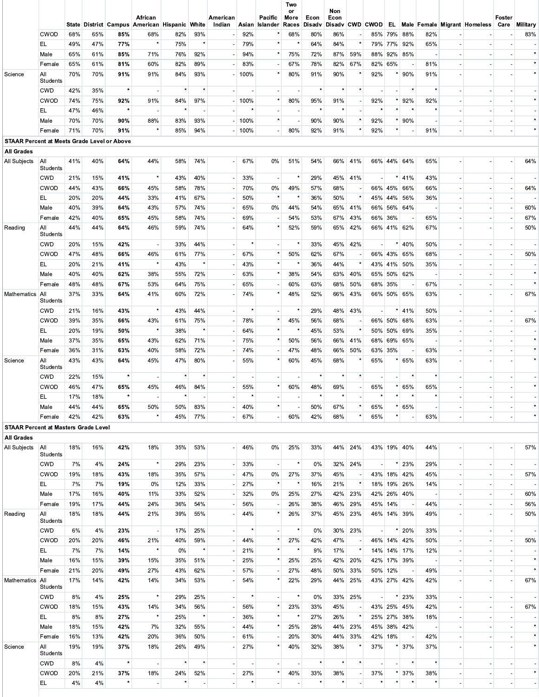|                                                    |                        |     |     |         | African<br>State District Campus American Hispanic White |              |         | American<br>Indian |              | Pacific<br>Asian Islander | Two<br>or<br>More<br>Races | Econ<br><b>Disadv</b> | Non<br>Econ |                          |     |          |              |                          |                          | Disady CWD CWOD EL Male Female Migrant Homeless | Foster<br>Care | Military     |
|----------------------------------------------------|------------------------|-----|-----|---------|----------------------------------------------------------|--------------|---------|--------------------|--------------|---------------------------|----------------------------|-----------------------|-------------|--------------------------|-----|----------|--------------|--------------------------|--------------------------|-------------------------------------------------|----------------|--------------|
|                                                    | <b>CWOD</b>            | 68% | 65% | 85%     | 68%                                                      | 82%          | 93%     |                    | 92%          |                           | 68%                        | 80%                   | 86%         |                          |     |          | 85% 79% 88%  | 82%                      |                          |                                                 |                | 83%          |
|                                                    | EL.                    | 49% | 47% | 77%     |                                                          | 75%          | ż       |                    | 79%          |                           |                            | 64%                   | 84%         |                          |     | 79% 77%  | 92%          | 65%                      |                          |                                                 |                |              |
|                                                    | Male                   | 65% | 61% | 85%     | 71%                                                      | 76%          | 92%     |                    | 94%          | $\star$                   | 75%                        | 72%                   | 87%         | 59%                      |     |          | 88% 92% 85%  |                          |                          |                                                 |                |              |
|                                                    | Female                 | 65% | 61% | 81%     | 60%                                                      | 82%          | 89%     |                    | 83%          |                           | 67%                        | 78%                   | 82%         | 67%                      |     | 82% 65%  |              | 81%                      |                          |                                                 |                |              |
| Science                                            | All                    | 70% | 70% | 91%     | 91%                                                      | 84%          | 93%     |                    | 100%         |                           | 80%                        | 91%                   | 90%         |                          | 92% |          | 90%          | 91%                      |                          |                                                 |                |              |
|                                                    | Students               |     |     |         |                                                          |              |         |                    |              |                           |                            |                       |             |                          |     |          |              |                          |                          |                                                 |                |              |
|                                                    | <b>CWD</b>             | 42% | 35% | $\star$ |                                                          |              |         |                    |              |                           |                            | $\star$               |             |                          |     |          |              | $\star$                  |                          |                                                 |                |              |
|                                                    | <b>CWOD</b>            | 74% | 75% | 92%     | 91%                                                      | 84%          | 97%     |                    | 100%         |                           | 80%                        | 95%                   | 91%         |                          | 92% |          | 92%          | 92%                      |                          |                                                 |                |              |
|                                                    | EL.                    | 47% | 46% | $\star$ |                                                          |              |         |                    |              |                           |                            |                       |             |                          |     |          |              | $\star$                  |                          |                                                 |                |              |
|                                                    | Male                   | 70% | 70% | 90%     | 88%                                                      | 83%          | 93%     |                    | 100%         |                           |                            | 90%                   | 90%         |                          | 92% | $^\star$ | 90%          | $\overline{\phantom{a}}$ |                          |                                                 |                | $\star$      |
|                                                    | Female                 | 71% | 70% | 91%     | $\star$                                                  | 85%          | 94%     |                    | 100%         |                           | 80%                        | 92%                   | 91%         |                          | 92% | $\star$  |              | 91%                      |                          |                                                 |                | $\pmb{\ast}$ |
| <b>STAAR Percent at Meets Grade Level or Above</b> |                        |     |     |         |                                                          |              |         |                    |              |                           |                            |                       |             |                          |     |          |              |                          |                          |                                                 |                |              |
| <b>All Grades</b>                                  |                        |     |     |         |                                                          |              |         |                    |              |                           |                            |                       |             |                          |     |          |              |                          |                          |                                                 |                |              |
| All Subjects                                       | All<br>Students        | 41% | 40% | 64%     | 44%                                                      | 58%          | 74%     |                    | 67%          | 0%                        | 51%                        | 54%                   | 66%         | 41%                      |     |          | 66% 44% 64%  | 65%                      |                          |                                                 |                | 64%          |
|                                                    | <b>CWD</b>             | 21% | 15% | 41%     |                                                          | 43%          | 40%     |                    | 33%          |                           |                            | 29%                   | 45%         | 41%                      |     |          | 41%          | 43%                      |                          |                                                 |                |              |
|                                                    | <b>CWOD</b>            | 44% | 43% | 66%     | 45%                                                      | 58%          | 78%     |                    | 70%          | 0%                        | 49%                        | 57%                   | 68%         |                          |     |          | 66% 45% 66%  | 66%                      |                          |                                                 |                | 64%          |
|                                                    | EL.                    | 20% | 20% | 44%     | 33%                                                      | 41%          | 67%     |                    | 50%          |                           |                            | 36%                   | 50%         |                          |     |          | 45% 44% 56%  | 36%                      |                          |                                                 |                |              |
|                                                    | Male                   | 40% | 39% | 64%     | 43%                                                      | 57%          | 74%     |                    | 65%          | 0%                        | 44%                        | 54%                   | 65%         | 41%                      |     |          | 66% 56% 64%  | $\overline{\phantom{a}}$ |                          |                                                 |                | 60%          |
|                                                    | Female                 | 42% | 40% | 65%     | 45%                                                      | 58%          | 74%     |                    | 69%          |                           | 54%                        | 53%                   | 67%         | 43%                      |     | 66% 36%  |              | 65%                      |                          |                                                 |                | 67%          |
| Reading                                            | All                    | 44% | 44% | 64%     | 46%                                                      | 59%          | 74%     |                    | 64%          | $\star$                   | 52%                        | 59%                   | 65%         | 42%                      |     |          | 66% 41% 62%  | 67%                      |                          |                                                 |                | 50%          |
|                                                    | Students               |     |     |         |                                                          |              |         |                    |              |                           |                            |                       |             |                          |     |          |              |                          |                          |                                                 |                |              |
|                                                    | <b>CWD</b>             | 20% | 15% | 42%     |                                                          | 33%          | 44%     |                    |              |                           |                            | 33%                   | 45%         | 42%                      |     |          | 40%          | 50%                      |                          |                                                 |                |              |
|                                                    | <b>CWOD</b>            | 47% | 48% | 66%     | 46%                                                      | 61%          | 77%     |                    | 67%          | $\star$                   | 50%                        | 62%                   | 67%         |                          |     | 66% 43%  | 65%          | 68%                      |                          |                                                 |                | 50%          |
|                                                    | EL.                    | 20% | 21% | 41%     | $\star$                                                  | 43%          | $\star$ |                    | 43%          | $\star$                   |                            | 36%                   | 44%         |                          |     |          | 43% 41% 50%  | 35%                      |                          |                                                 |                |              |
|                                                    | Male                   | 40% | 40% | 62%     | 38%                                                      | 55%          | 72%     |                    | 63%          |                           | 38%                        | 54%                   | 63%         | 40%                      |     |          | 65% 50% 62%  |                          |                          |                                                 |                |              |
|                                                    | Female                 | 48% | 48% | 67%     | 53%                                                      | 64%          | 75%     |                    | 65%          |                           | 60%                        | 63%                   | 68%         | 50%                      |     | 68% 35%  |              | 67%                      |                          |                                                 |                |              |
| Mathematics                                        | All<br><b>Students</b> | 37% | 33% | 64%     | 41%                                                      | 60%          | 72%     |                    | 74%          |                           | 48%                        | 52%                   | 66%         | 43%                      |     |          | 66% 50% 65%  | 63%                      |                          |                                                 |                | 67%          |
|                                                    | <b>CWD</b>             | 21% | 16% | 43%     | $\star$                                                  | 43%          | 44%     |                    | $\star$      |                           |                            | 29%                   | 48%         | 43%                      |     | $\star$  | 41%          | 50%                      |                          |                                                 |                |              |
|                                                    | CWOD                   | 39% | 35% | 66%     | 43%                                                      | 61%          | 75%     |                    | 78%          |                           | 45%                        | 56%                   | 68%         |                          |     |          | 66% 50% 68%  | 63%                      |                          |                                                 |                | 67%          |
|                                                    | EL.                    | 20% | 19% | 50%     | $\star$                                                  | 38%          | $\star$ |                    | 64%          | $\star$                   |                            | 45%                   | 53%         |                          |     |          | 50% 50% 69%  | 35%                      |                          |                                                 |                |              |
|                                                    | Male                   | 37% | 35% | 65%     | 43%                                                      | 62%          | 71%     |                    | 75%          |                           | 50%                        | 56%                   | 66%         | 41%                      |     |          | 68% 69% 65%  | $\blacksquare$           |                          |                                                 |                |              |
|                                                    | Female                 | 36% | 31% | 63%     | 40%                                                      | 58%          | 72%     |                    | 74%          |                           | 47%                        | 48%                   | 66%         | 50%                      |     | 63% 35%  |              | 63%                      |                          |                                                 |                |              |
| Science                                            | All                    | 43% | 43% | 64%     | 45%                                                      | 47%          | 80%     |                    | 55%          |                           | 60%                        | 45%                   | 68%         |                          | 65% |          | 65%          | 63%                      |                          |                                                 |                |              |
|                                                    | Students               |     |     |         |                                                          |              |         |                    |              |                           |                            | $\star$               |             |                          |     |          |              | $\star$                  |                          |                                                 |                |              |
|                                                    | <b>CWD</b>             | 22% | 15% |         |                                                          |              |         |                    |              |                           |                            |                       |             |                          |     |          |              |                          |                          |                                                 |                |              |
|                                                    | <b>CWOD</b>            | 46% | 47% | 65%     | 45%                                                      | 46%          | 84%     |                    | 55%          |                           | 60%                        | 48%                   | 69%         |                          | 65% |          | 65%          | 65%                      |                          |                                                 |                |              |
|                                                    | EL                     | 17% | 18% |         |                                                          |              |         |                    |              | $\star$                   |                            |                       |             | $\star$                  |     | $\star$  |              |                          |                          |                                                 |                | $\star$      |
|                                                    | Male                   | 44% | 44% | 65%     | 50%                                                      | 50%          | 83%     |                    | 40%          |                           |                            | 50%                   | 67%         | $\star$                  | 65% |          | 65%          | $\sim$                   |                          | $\sim$                                          |                | $\star$      |
|                                                    | Female                 | 42% | 42% | 63%     |                                                          | 45%          | 77%     |                    | 67%          |                           | 60%                        | 42%                   | 68%         |                          | 65% |          |              | 63%                      | $\blacksquare$           | $\overline{\phantom{a}}$                        |                |              |
| <b>STAAR Percent at Masters Grade Level</b>        |                        |     |     |         |                                                          |              |         |                    |              |                           |                            |                       |             |                          |     |          |              |                          |                          |                                                 |                |              |
| <b>All Grades</b><br>All Subjects                  | All<br>Students        | 18% | 16% | 42%     | 18%                                                      | 35%          | 53%     |                    | 46%          | 0%                        | 25%                        | 33%                   | 44%         | 24%                      |     |          | 43% 19% 40%  | 44%                      |                          |                                                 |                | 57%          |
|                                                    | <b>CWD</b>             | 7%  | 4%  | 24%     | $\star$                                                  | 29%          | 23%     |                    | 33%          | $\overline{\phantom{a}}$  |                            | 0%                    | 32%         | 24%                      |     |          | 23%          | 29%                      | $\overline{\phantom{a}}$ |                                                 |                |              |
|                                                    | <b>CWOD</b>            | 19% | 18% | 43%     | 18%                                                      | 35%          | 57%     |                    | 47%          | 0%                        | 27%                        | 37%                   | 45%         |                          |     |          | 43% 18% 42%  | 45%                      |                          |                                                 |                | 57%          |
|                                                    | EL.                    | 7%  | 7%  | 19%     | $0\%$                                                    | 12%          | 33%     |                    | 27%          |                           |                            | 16%                   | 21%         |                          |     |          | 18% 19% 26%  | 14%                      |                          |                                                 |                |              |
|                                                    | Male                   | 17% | 16% | 40%     | 11%                                                      | 33%          | 52%     |                    | 32%          | 0%                        | 25%                        | 27%                   | 42%         | 23%                      |     |          | 42% 26% 40%  | $\tilde{\phantom{a}}$    |                          |                                                 |                | 60%          |
|                                                    | Female                 | 19% | 17% | 44%     | 24%                                                      | 36%          | 54%     |                    | 56%          |                           | 26%                        | 38%                   | 46%         | 29%                      |     | 45% 14%  |              | 44%                      |                          | $\overline{\phantom{a}}$                        |                | 56%          |
| Reading                                            | All                    | 18% | 18% | 44%     | 21%                                                      | 39%          | 55%     |                    | 44%          |                           | 26%                        | 37%                   | 45%         | 23%                      |     |          | 46% 14% 39%  | 49%                      |                          |                                                 |                | 50%          |
|                                                    | Students               |     |     |         |                                                          |              |         |                    |              |                           |                            |                       |             |                          |     |          |              |                          |                          |                                                 |                |              |
|                                                    | <b>CWD</b>             | 6%  | 4%  | 23%     | $\blacksquare$                                           | 17%          | 25%     |                    | $\pmb{\ast}$ | $\overline{\phantom{a}}$  |                            | 0%                    | 30%         | 23%                      |     |          | 20%          | 33%                      | $\blacksquare$           |                                                 |                |              |
|                                                    | <b>CWOD</b>            | 20% | 20% | 46%     | 21%                                                      | 40%          | 59%     |                    | 44%          |                           | 27%                        | 42%                   | 47%         |                          |     |          | 46% 14% 42%  | 50%                      |                          |                                                 |                | 50%          |
|                                                    | EL.                    | 7%  | 7%  | 14%     | $\star$                                                  | 0%           |         |                    | 21%          |                           |                            | 9%                    | 17%         | $\star$                  |     |          | 14% 14% 17%  | 12%                      |                          |                                                 |                |              |
|                                                    | Male                   | 16% | 15% | 39%     | 15%                                                      | 35%          | 51%     |                    | 25%          | $\star$                   | 25%                        | 25%                   | 42%         | 20%                      |     |          | 42% 17% 39%  | $\tilde{\phantom{a}}$    |                          |                                                 |                | $\star$      |
|                                                    | Female                 | 21% | 20% | 49%     | 27%                                                      | 43%          | 62%     |                    | 57%          |                           | 27%                        | 48%                   | 50%         | 33%                      |     | 50% 12%  |              | 49%                      |                          |                                                 |                | $\star$      |
| Mathematics                                        | All<br>Students        | 17% | 14% | 42%     | 14%                                                      | 34%          | 53%     |                    | 54%          |                           | 22%                        | 29%                   | 44%         | 25%                      |     |          | 43% 27% 42%  | 42%                      |                          |                                                 |                | 67%          |
|                                                    | <b>CWD</b>             | 8%  | 4%  | 25%     | $\star$                                                  | 29%          | 25%     |                    | $\star$      |                           |                            | 0%                    | 33%         | 25%                      |     |          | 23%          | 33%                      | $\sim$                   | $\overline{\phantom{a}}$                        |                |              |
|                                                    | CWOD                   | 18% | 15% | 43%     | 14%                                                      | 34%          | 56%     |                    | 56%          |                           | 23%                        | 33%                   | 45%         |                          |     |          | 43% 25% 45%  | 42%                      | $\blacksquare$           |                                                 |                | 67%          |
|                                                    | EL.                    | 8%  | 8%  | 27%     | $\star$                                                  | 25%          |         |                    | 36%          |                           |                            | 27%                   | 26%         |                          |     | 25% 27%  | 38%          | 18%                      |                          |                                                 |                |              |
|                                                    | Male                   | 18% | 15% | 42%     | 7%                                                       | 32%          | 55%     |                    | 44%          |                           | 25%                        | 28%                   | 44%         | 23%                      |     |          | 45% 38% 42%  | $\overline{\phantom{a}}$ |                          |                                                 |                | $\star$      |
|                                                    | Female                 | 16% | 13% | 42%     | 20%                                                      | 36%          | 50%     |                    | 61%          |                           | 20%                        | 30%                   | 44%         | 33%                      |     | 42% 18%  |              | 42%                      | $\overline{\phantom{a}}$ |                                                 |                | $\star$      |
| Science                                            | All                    | 19% | 19% | 37%     | 18%                                                      | 26%          | 49%     |                    | 27%          |                           | 40%                        | 32%                   | 38%         |                          | 37% |          | 37%          | 37%                      |                          |                                                 |                |              |
|                                                    | Students               |     |     |         |                                                          |              |         |                    |              |                           |                            |                       |             |                          |     |          |              |                          |                          |                                                 |                |              |
|                                                    | <b>CWD</b>             | 8%  | 4%  | $\star$ |                                                          | $\pmb{\ast}$ | ×       |                    | $\sim$       |                           |                            | $\star$               | $\star$     | $\pmb{\ast}$             |     |          | $\pmb{\ast}$ | $\star$                  |                          |                                                 |                |              |
|                                                    | <b>CWOD</b>            | 20% | 21% | 37%     | 18%                                                      | 24%          | 52%     |                    | 27%          | $\star$                   | 40%                        | 33%                   | 38%         | ٠                        | 37% |          | 37%          | 38%                      | ä,                       |                                                 |                |              |
|                                                    | EL.                    | 4%  | 4%  | $\star$ | $\overline{\phantom{a}}$                                 |              |         |                    |              |                           |                            | ×                     |             | $\overline{\phantom{a}}$ |     |          |              | $\star$                  | $\overline{\phantom{a}}$ | $\overline{\phantom{a}}$                        |                |              |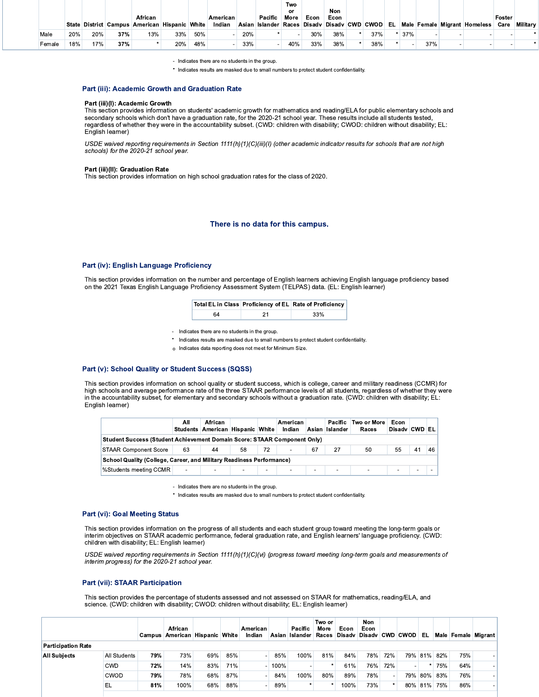|        |     |     |     | <b>African</b>                                |     |     | American I |     | Pacific | Two<br>٥r<br>More | Econ | <b>Non</b><br>Econ |     |     |     |                                                                             | Foster |                 |
|--------|-----|-----|-----|-----------------------------------------------|-----|-----|------------|-----|---------|-------------------|------|--------------------|-----|-----|-----|-----------------------------------------------------------------------------|--------|-----------------|
|        |     |     |     | State District Campus American Hispanic White |     |     | Indian     |     |         |                   |      |                    |     |     |     | Asian Islander Races Disady Disady CWD CWOD EL Male Female Migrant Homeless | Care   | <b>Military</b> |
| Male   | 20% | 20% | 37% | 13%                                           | 33% | 50% |            | 20% |         |                   | 30%  | 38%                | 37% | 37% |     |                                                                             |        |                 |
| Female | 18% | 17% | 37% |                                               | 20% | 48% |            | 33% |         | 40%               | 33%  | 38%                | 38% |     | 37% |                                                                             |        |                 |

<sup>-</sup> Indicates there are no students in the group

Indicates results are masked due to small numbers to protect student confidentiality.

#### Part (iii): Academic Growth and Graduation Rate

#### Part (iii)(I): Academic Growth

This section provides information on students' academic growth for mathematics and reading/ELA for public elementary schools and secondary schools which don't have a graduation rate, for the 2020-21 school year. These results include all students tested, regardless of whether they were in the accountability subset. (CWD: children with disability; CWOD: children without disability; EL: English learner)

USDE waived reporting requirements in Section 1111(h)(1)(C)(iii)(l) (other academic indicator results for schools that are not high schools) for the 2020-21 school year.

#### Part (iii)(II): Graduation Rate

This section provides information on high school graduation rates for the class of 2020.

#### There is no data for this campus.

### Part (iv): English Language Proficiency

This section provides information on the number and percentage of English learners achieving English language proficiency based on the 2021 Texas English Language Proficiency Assessment System (TELPAS) data. (EL: English learner)

|    |    | Total EL in Class   Proficiency of EL   Rate of Proficiency |
|----|----|-------------------------------------------------------------|
| 64 | 21 | 33%                                                         |

- Indicates there are no students in the group.
- Indicates results are masked due to small numbers to protect student confidentiality
- $\div$  Indicates data reporting does not meet for Minimum Size.

#### Part (v): School Quality or Student Success (SQSS)

This section provides information on school quality or student success, which is college, career and military readiness (CCMR) for high schools and average performance rate of the three STAAR performance levels of all students, regardless of whether they were in the accountability subset, for elementary and secondary schools without a graduation rate. (CWD: children with disability; EL: English learner)

|                                                                                 | Αll                      | African<br>Students American Hispanic White |                          |    | American<br>Indian |                          | Pacific<br>Asian Islander | Two or More<br>Races | Econ<br>Disady CWD EL |    |    |
|---------------------------------------------------------------------------------|--------------------------|---------------------------------------------|--------------------------|----|--------------------|--------------------------|---------------------------|----------------------|-----------------------|----|----|
| <b>Student Success (Student Achievement Domain Score: STAAR Component Only)</b> |                          |                                             |                          |    |                    |                          |                           |                      |                       |    |    |
| <b>STAAR Component Score</b>                                                    | 63                       | 44                                          | 58                       | 72 | ۰                  | 67                       | 27                        | 50                   | 55                    | 41 | 46 |
| School Quality (College, Career, and Military Readiness Performance)            |                          |                                             |                          |    |                    |                          |                           |                      |                       |    |    |
| %Students meeting CCMR                                                          | $\overline{\phantom{a}}$ | $\overline{a}$                              | $\overline{\phantom{a}}$ |    |                    | $\overline{\phantom{a}}$ | ۰                         | $\sim$               |                       |    |    |

- Indicates there are no students in the group

\* Indicates results are masked due to small numbers to protect student confidentiality.

# **Part (vi): Goal Meeting Status**

This section provides information on the progress of all students and each student group toward meeting the long-term goals or interim objectives on STAAR academic performance, federal graduation rate, and English learners' language proficiency. (CWD: children with disability; EL: English learner)

USDE waived reporting requirements in Section 1111(h)(1)(C)(vi) (progress toward meeting long-term goals and measurements of interim progress) for the 2020-21 school year.

#### **Part (vii): STAAR Participation**

This section provides the percentage of students assessed and not assessed on STAAR for mathematics, reading/ELA, and science. (CWD: children with disability; CWOD: children without disability; EL: English learner)

|                           |              |     | African<br>Campus American Hispanic White |     |     | American<br>Indian |      | Pacific<br>Asian Islander Races Disady Disady CWD CWOD | Two or<br>More | Econ | Non<br>Econ |     | EL      |     |     | Male Female Migrant |
|---------------------------|--------------|-----|-------------------------------------------|-----|-----|--------------------|------|--------------------------------------------------------|----------------|------|-------------|-----|---------|-----|-----|---------------------|
| <b>Participation Rate</b> |              |     |                                           |     |     |                    |      |                                                        |                |      |             |     |         |     |     |                     |
| <b>All Subjects</b>       | All Students | 79% | 73%                                       | 69% | 85% |                    | 85%  | 100%                                                   | 81%            | 84%  | 78%         | 72% | 79% 81% | 82% | 75% |                     |
|                           | <b>CWD</b>   | 72% | 14%                                       | 83% | 71% |                    | 100% |                                                        |                | 61%  | 76%         | 72% |         | 75% | 64% |                     |
|                           | CWOD         | 79% | 78%                                       | 68% | 87% |                    | 84%  | 100%                                                   | 80%            | 89%  | 78%         |     | 79% 80% | 83% | 76% |                     |
|                           | EL           | 81% | 100%                                      | 68% | 88% |                    | 89%  |                                                        |                | 100% | 73%         |     | 80% 81% | 75% | 86% |                     |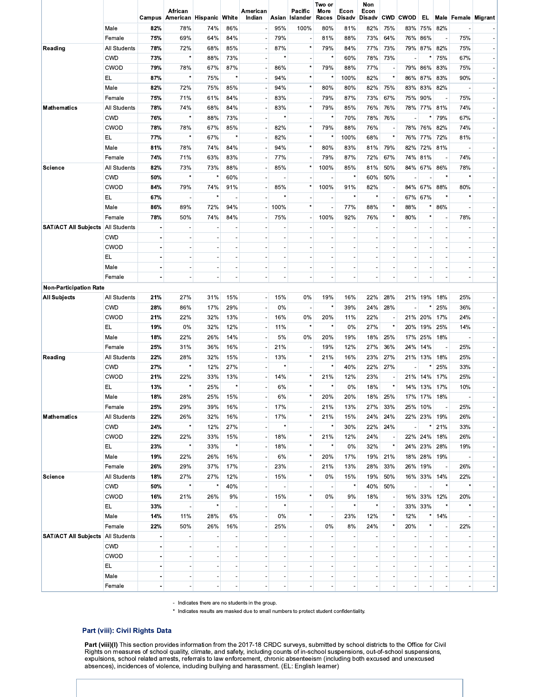|                                          |                     |                | African<br>Campus American Hispanic White |                              |         | American<br>Indian |      | Pacific<br>Asian Islander | Two or<br>More<br>Races | Econ<br>Disadv           | Non<br>Econ<br>Disadv |         | CWD CWOD | EL.     |                          |                          | Male Female Migrant      |
|------------------------------------------|---------------------|----------------|-------------------------------------------|------------------------------|---------|--------------------|------|---------------------------|-------------------------|--------------------------|-----------------------|---------|----------|---------|--------------------------|--------------------------|--------------------------|
|                                          | Male                | 82%            | 78%                                       | 74%                          | 86%     |                    | 95%  | 100%                      | 80%                     | 81%                      | 82%                   | 75%     | 83%      | 75%     | 82%                      |                          |                          |
|                                          | Female              | 75%            | 69%                                       | 64%                          | 84%     |                    | 79%  | $\overline{\phantom{a}}$  | 81%                     | 88%                      | 73%                   | 64%     | 76%      | 86%     | $\overline{\phantom{a}}$ | 75%                      |                          |
| Reading                                  | All Students        | 78%            | 72%                                       | 68%                          | 85%     |                    | 87%  | $\pmb{\ast}$              | 79%                     | 84%                      | 77%                   | 73%     | 79%      | 87%     | 82%                      | 75%                      | - 1                      |
|                                          | <b>CWD</b>          | 73%            | ×                                         | 88%                          | 73%     |                    |      |                           | ×                       | 60%                      | 78%                   | 73%     |          |         | 75%                      | 67%                      |                          |
|                                          | <b>CWOD</b>         | 79%            | 78%                                       | 67%                          | 87%     |                    | 86%  | $\star$                   | 79%                     | 88%                      | 77%                   |         | 79%      | 86%     | 83%                      | 75%                      |                          |
|                                          | EL.                 | 87%            | $\star$                                   | 75%                          | $\ast$  |                    | 94%  | $\star$                   |                         | 100%                     | 82%                   | $\star$ | 86%      | 87%     | 83%                      | 90%                      |                          |
|                                          | Male                | 82%            | 72%                                       | 75%                          | 85%     |                    | 94%  | $\star$                   | 80%                     | 80%                      | 82%                   | 75%     | 83%      | 83%     | 82%                      |                          |                          |
|                                          | Female              | 75%            | 71%                                       | 61%                          | 84%     |                    | 83%  |                           | 79%                     | 87%                      | 73%                   | 67%     | 75%      | 90%     |                          | 75%                      |                          |
| <b>Mathematics</b>                       | <b>All Students</b> | 78%            | 74%                                       | 68%                          | 84%     |                    | 83%  | $\pmb{\star}$             | 79%                     | 85%                      | 76%                   | 76%     | 78%      | 77%     | 81%                      | 74%                      |                          |
|                                          | <b>CWD</b>          | 76%            | $\star$                                   | 88%                          | 73%     |                    |      |                           |                         | 70%                      | 78%                   | 76%     |          |         | 79%                      | 67%                      |                          |
|                                          | CWOD                | 78%            | 78%                                       | 67%                          | 85%     |                    | 82%  | $\star$                   | 79%                     | 88%                      | 76%                   |         | 78%      | 76%     | 82%                      | 74%                      |                          |
|                                          | EL                  | 77%            | ×                                         | 67%                          |         |                    | 82%  | $\star$                   |                         | 100%                     | 68%                   |         | 76%      | 77%     | 72%                      | 81%                      |                          |
|                                          | Male                | 81%            | 78%                                       | 74%                          | 84%     |                    | 94%  | $\star$                   | 80%                     | 83%                      | 81%                   | 79%     | 82%      | 72%     | 81%                      |                          |                          |
|                                          | Female              | 74%            | 71%                                       | 63%                          | 83%     |                    | 77%  | $\overline{a}$            | 79%                     | 87%                      | 72%                   | 67%     | 74%      | 81%     | $\overline{\phantom{a}}$ | 74%                      | $\overline{\phantom{0}}$ |
| Science                                  | <b>All Students</b> | 82%            | 73%                                       | 73%                          | 88%     |                    | 85%  | $\star$                   | 100%                    | 85%                      | 81%                   | 50%     | 84%      | 67%     | 86%                      | 78%                      | - 1                      |
|                                          | <b>CWD</b>          | 50%            | $\star$                                   |                              | 60%     |                    |      |                           |                         | $\star$                  | 60%                   | 50%     |          |         | $\pmb{\ast}$             | ×                        | - 1                      |
|                                          | CWOD                | 84%            | 79%                                       | 74%                          | 91%     |                    | 85%  | $\star$                   | 100%                    | 91%                      | 82%                   |         |          | 84% 67% | 88%                      | 80%                      |                          |
|                                          | EL.                 | 67%            |                                           | $\star$                      |         |                    |      |                           |                         | $\star$                  | $\star$               |         | 67%      | 67%     | $\star$                  |                          |                          |
|                                          | Male                | 86%            | 89%                                       | 72%                          | 94%     |                    | 100% | $\star$                   |                         | 77%                      | 88%                   | $\star$ | 88%      |         | 86%                      | $\blacksquare$           | $\overline{\phantom{0}}$ |
|                                          | Female              | 78%            | 50%                                       | 74%                          | 84%     |                    | 75%  |                           | 100%                    | 92%                      | 76%                   |         | 80%      |         |                          | 78%                      |                          |
| <b>SAT/ACT All Subjects</b>              | All Students        |                |                                           |                              |         |                    |      |                           |                         |                          |                       |         |          |         |                          |                          |                          |
|                                          | <b>CWD</b>          |                |                                           |                              |         |                    |      |                           |                         |                          |                       |         |          |         |                          |                          |                          |
|                                          | <b>CWOD</b>         |                |                                           |                              |         |                    |      |                           |                         |                          |                       |         |          |         |                          | ×                        |                          |
|                                          |                     |                |                                           |                              |         |                    |      |                           |                         |                          |                       |         |          |         |                          |                          |                          |
|                                          | EL                  |                |                                           |                              |         |                    |      |                           |                         |                          |                       |         |          |         |                          |                          |                          |
|                                          | Male                |                |                                           | ٠                            |         |                    |      |                           |                         |                          |                       |         |          |         |                          |                          |                          |
|                                          | Female              |                |                                           |                              |         |                    |      |                           |                         |                          |                       |         |          |         |                          |                          |                          |
| <b>Non-Participation Rate</b>            |                     |                |                                           |                              |         |                    |      |                           |                         |                          |                       |         |          |         |                          |                          |                          |
| <b>All Subjects</b>                      | All Students        | 21%            | 27%                                       | 31%                          | 15%     |                    | 15%  | 0%                        | 19%                     | 16%                      | 22%                   | 28%     | 21%      | 19%     | 18%                      | 25%                      |                          |
|                                          | <b>CWD</b>          | 28%            | 86%                                       | 17%                          | 29%     |                    | 0%   | $\overline{a}$            |                         | 39%                      | 24%                   | 28%     |          |         | 25%                      | 36%                      |                          |
|                                          | CWOD                | 21%            | 22%                                       | 32%                          | 13%     |                    | 16%  | 0%<br>$\pmb{\ast}$        | 20%<br>$\pmb{\ast}$     | 11%                      | 22%                   |         | 21%      | 20%     | 17%                      | 24%                      |                          |
|                                          | EL                  | 19%            | 0%                                        | 32%                          | 12%     |                    | 11%  |                           |                         | 0%                       | 27%                   |         | 20%      | 19%     | 25%                      | 14%                      |                          |
|                                          | Male                | 18%            | 22%                                       | 26%                          | 14%     |                    | 5%   | 0%                        | 20%                     | 19%                      | 18%                   | 25%     | 17%      | 25%     | 18%                      | $\ddot{\phantom{1}}$     | $\sim$ 1                 |
|                                          | Female              | 25%            | 31%                                       | 36%                          | 16%     |                    | 21%  | ÷,                        | 19%                     | 12%                      | 27%                   | 36%     | 24%      | 14%     | $\overline{\phantom{a}}$ | 25%                      |                          |
| Reading                                  | All Students        | 22%            | 28%<br>$\star$                            | 32%                          | 15%     |                    | 13%  | $\star$                   | 21%                     | 16%                      | 23%                   | 27%     | 21%      | 13%     | 18%                      | 25%                      |                          |
|                                          | <b>CWD</b>          | 27%            |                                           | 12%                          | 27%     |                    |      | $\star$                   |                         | 40%                      | 22%                   | 27%     |          |         | 25%                      | 33%                      |                          |
|                                          | <b>CWOD</b>         | 21%            | 22%<br>$\star$                            | 33%                          | 13%     |                    | 14%  | $\star$                   | 21%                     | 12%                      | 23%                   |         | 21%      | 14%     | 17%                      | 25%                      |                          |
|                                          | EL.                 | 13%            |                                           | 25%                          | $\star$ |                    | 6%   |                           |                         | 0%                       | 18%                   |         |          | 14% 13% | 17%                      | 10%                      |                          |
|                                          | Male                | 18%            | 28%                                       | 25%                          | 15%     |                    | 6%   |                           | 20%                     | 20%                      |                       | 18% 25% |          | 17% 17% | 18%                      |                          |                          |
|                                          | Female              | 25%            | 29%                                       | 39%                          | 16%     |                    | 17%  |                           | 21%                     | 13%                      | 27%                   | 33%     |          | 25% 10% | ÷                        | 25%                      |                          |
| <b>Mathematics</b>                       | All Students        | 22%            | 26%                                       | 32%                          | 16%     |                    | 17%  | $\star$                   | 21%                     | 15%                      | 24%                   | 24%     |          | 22% 23% | 19%                      | 26%                      |                          |
|                                          | <b>CWD</b>          | 24%            |                                           | 12%                          | 27%     |                    |      |                           | $\star$                 | 30%                      | 22%                   | 24%     |          |         | 21%                      | 33%                      | ٠.                       |
|                                          | <b>CWOD</b>         | 22%            | 22%                                       | 33%                          | 15%     |                    | 18%  |                           | 21%                     | 12%                      | 24%                   |         |          | 22% 24% | 18%                      | 26%                      | ÷                        |
|                                          | EL                  | 23%            |                                           | 33%                          | $\ast$  |                    | 18%  |                           |                         | 0%                       | 32%                   |         |          | 24% 23% | 28%                      | 19%                      | ÷.                       |
|                                          | Male                | 19%            | 22%                                       | 26%                          | 16%     |                    | 6%   | $\pmb{\ast}$              | 20%                     | 17%                      | 19%                   | 21%     |          | 18% 28% | 19%                      |                          |                          |
|                                          | Female              | 26%            | 29%                                       | 37%                          | 17%     |                    | 23%  |                           | 21%                     | 13%                      | 28%                   | 33%     |          | 26% 19% | $\sim$                   | 26%                      |                          |
| Science                                  | All Students        | 18%            | 27%                                       | 27%                          | 12%     |                    | 15%  | $\star$                   | 0%                      | 15%                      | 19%                   | 50%     |          | 16% 33% | 14%                      | 22%                      |                          |
|                                          | CWD                 | 50%            | $\star$                                   | $\star$                      | 40%     |                    |      | $\blacksquare$            |                         | $\star$                  | 40%                   | 50%     |          |         | $\star$                  | $\star$                  |                          |
|                                          | CWOD                | 16%            | 21%                                       | 26%                          | 9%      |                    | 15%  | $\star$                   | 0%                      | 9%                       | 18%                   |         |          | 16% 33% | 12%                      | 20%                      |                          |
|                                          | EL.                 | 33%            | $\overline{a}$                            | $\star$                      |         |                    |      | $\overline{a}$            |                         | $\star$                  | $\pmb{\ast}$          |         | 33%      | 33%     | $\star$                  |                          |                          |
|                                          | Male                | 14%            | 11%                                       | 28%                          | 6%      |                    | 0%   | $\pmb{\ast}$              |                         | 23%                      | 12%                   |         | 12%      |         | 14%                      | $\overline{\phantom{a}}$ |                          |
|                                          | Female              | 22%            | 50%                                       | 26%                          | 16%     |                    | 25%  | $\overline{\phantom{a}}$  | 0%                      | 8%                       | 24%                   |         | 20%      |         |                          | 22%                      |                          |
| <b>SAT/ACT All Subjects All Students</b> |                     |                |                                           |                              |         |                    |      |                           |                         |                          |                       |         |          |         |                          |                          |                          |
|                                          | <b>CWD</b>          |                |                                           |                              |         |                    |      |                           |                         |                          |                       |         |          |         |                          |                          |                          |
|                                          | <b>CWOD</b>         |                |                                           |                              |         |                    |      |                           |                         |                          |                       |         |          |         |                          |                          |                          |
|                                          | EL                  |                |                                           |                              |         |                    |      |                           |                         |                          |                       |         |          |         |                          | $\overline{\phantom{a}}$ |                          |
|                                          | Male                |                |                                           | $\qquad \qquad \blacksquare$ |         |                    |      | $\overline{\phantom{a}}$  |                         | $\overline{\phantom{a}}$ |                       |         |          |         |                          | $\overline{\phantom{a}}$ |                          |
|                                          | Female              | $\blacksquare$ | $\overline{\phantom{a}}$                  |                              |         |                    | ÷,   |                           |                         |                          |                       |         |          |         |                          |                          |                          |

- Indicates there are no students in the group.

\* Indicates results are masked due to small numbers to protect student confidentiality.

# Part (viii): Civil Rights Data

Part (viii)(I) This section provides information from the 2017-18 CRDC surveys, submitted by school districts to the Office for Civil<br>Rights on measures of school quality, climate, and safety, including counts of in-school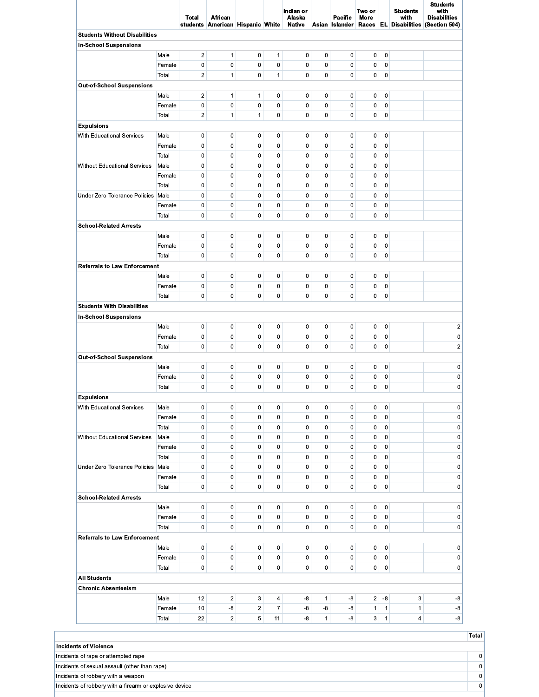| <b>Students Without Disabilities</b><br>In-School Suspensions<br>$\overline{2}$<br>$\pmb{0}$<br>$\pmb{0}$<br>0<br>$\mathbf 0$<br>Male<br>1<br>0<br>1<br>0<br>$\pmb{0}$<br>$\pmb{0}$<br>$\pmb{0}$<br>$\pmb{0}$<br>0<br>$\mathbf 0$<br>$\boldsymbol{0}$<br>$\mathbf 0$<br>Female<br>0<br>$\overline{2}$<br>$\mathbf{1}$<br>Total<br>$\mathbf{1}$<br>$\mathbf 0$<br>0<br>0<br>0<br>0<br>$\mathbf 0$<br><b>Out-of-School Suspensions</b><br>$\sqrt{2}$<br>$\mathbf{1}$<br>0<br>0<br>$\mathbf 0$<br>$\mathbf 0$<br>Male<br>$\mathbf{1}$<br>0<br>0<br>$\pmb{0}$<br>$\pmb{0}$<br>0<br>0<br>$\mathbf 0$<br>0<br>Female<br>0<br>0<br>$\mathbf 0$<br>$\overline{c}$<br>$\mathbf{1}$<br>0<br>0<br>0<br>0<br>Total<br>1<br>0<br>0<br><b>Expulsions</b><br>$\pmb{0}$<br>$\pmb{0}$<br>$\pmb{0}$<br>$\boldsymbol{0}$<br>0<br>$\mathbf 0$<br>$\boldsymbol{0}$<br>$\pmb{0}$<br>With Educational Services<br>Male<br>0<br>$\pmb{0}$<br>$\mathbf 0$<br>0<br>$\mathbf 0$<br>0<br>$\mathbf 0$<br>0<br>$\mathbf 0$<br>$\mathbf 0$<br>Female<br>$\pmb{0}$<br>$\pmb{0}$<br>$\mathbf 0$<br>$\mathbf 0$<br>$\mathbf 0$<br>$\mathbf 0$<br>0<br>0<br>$\mathbf 0$<br>Total<br>$\mathbf 0$<br>$\pmb{0}$<br>$\mathbf 0$<br>0<br>0<br>0<br>0<br>$\mathbf 0$<br>Without Educational Services<br>Male<br>0<br>$\mathbf 0$<br>$\mathbf 0$<br>$\mathbf 0$<br>$\mathbf 0$<br>$\mathbf 0$<br>0<br>0<br>0<br>$\mathbf 0$<br>Female<br>$\pmb{0}$<br>$\pmb{0}$<br>0<br>Total<br>0<br>0<br>$\pmb{0}$<br>0<br>0<br>$\mathbf 0$<br>Under Zero Tolerance Policies<br>$\mathbf 0$<br>$\pmb{0}$<br>$\pmb{0}$<br>$\boldsymbol{0}$<br>0<br>$\mathbf 0$<br>$\boldsymbol{0}$<br>$\mathbf 0$<br>Male<br>0<br>Female<br>$\pmb{0}$<br>0<br>0<br>0<br>0<br>0<br>0<br>0<br>$\mathbf 0$<br>$\pmb{0}$<br>0<br>$\pmb{0}$<br>$\mathbf 0$<br>$\pmb{0}$<br>$\mathbf 0$<br>0<br>0<br>Total<br>0<br><b>School-Related Arrests</b><br>$\pmb{0}$<br>$\pmb{0}$<br>$\pmb{0}$<br>0<br>$\pmb{0}$<br>$\mathbf 0$<br>$\boldsymbol{0}$<br>$\mathbf 0$<br>Male<br>0<br>$\pmb{0}$<br>$\pmb{0}$<br>$\mathsf 0$<br>$\pmb{0}$<br>0<br>$\mathbf 0$<br>$\mathbf 0$<br>0<br>$\mathbf 0$<br>Female<br>$\pmb{0}$<br>0<br>$\mathbf 0$<br>0<br>0<br>0<br>0<br>0<br>$\mathbf 0$<br>Total<br><b>Referrals to Law Enforcement</b><br>$\pmb{0}$<br>$\pmb{0}$<br>$\mathsf 0$<br>0<br>0<br>$\pmb{0}$<br>0<br>$\mathbf 0$<br>Male<br>0<br>$\pmb{0}$<br>0<br>$\pmb{0}$<br>$\mathbf 0$<br>0<br>0<br>0<br>0<br>$\mathbf 0$<br>Female<br>$\mathbf 0$<br>0<br>$\mathbf 0$<br>0<br>0<br>0<br>0<br>0<br>$\pmb{0}$<br>Total<br><b>Students With Disabilities</b><br>In-School Suspensions<br>0<br>Male<br>0<br>0<br>0<br>0<br>0<br>0<br>0<br>0<br>$\mathbf 0$<br>$\pmb{0}$<br>$\pmb{0}$<br>0<br>0<br>$\mathbf 0$<br>$\boldsymbol{0}$<br>$\mathbf 0$<br>Female<br>0<br>$\pmb{0}$<br>Total<br>0<br>0<br>0<br>0<br>0<br>0<br>0<br>$\mathbf 0$<br><b>Out-of-School Suspensions</b><br>$\mathsf 0$<br>$\pmb{0}$<br>0<br>0<br>$\pmb{0}$<br>$\pmb{0}$<br>0<br>$\pmb{0}$<br>Male<br>0<br>$\boldsymbol{0}$<br>Female<br>0<br>0<br>0<br>0<br>0<br>0<br>0<br>$\mathbf 0$<br>$\mathbf 0$<br>0<br>$\mathbf 0$<br>0<br>0<br>0<br>0<br>0<br>$\mathbf 0$<br>Total<br><b>Expulsions</b><br>$\pmb{0}$<br>$\pmb{0}$<br>$\pmb{0}$<br>0<br>$\mathbf 0$<br>With Educational Services<br>Male<br>0<br>0<br>0<br>0<br>$\pmb{0}$<br>$\mathbf 0$<br>$\pmb{0}$<br>$\mathsf 0$<br>$\pmb{0}$<br>$\boldsymbol{0}$<br>0<br>$\pmb{0}$<br>$\overline{0}$<br>Female<br>$\pmb{0}$<br>$\pmb{0}$<br>$0 \quad 0$<br>Total<br>$\mathbf 0$<br>0<br>0<br>0<br>0<br>Without Educational Services<br>Male<br>0<br>0<br>0<br>0<br>0<br>0<br>0<br>$\overline{\mathbf{0}}$<br>$\overline{0}$<br>0<br>0<br>0<br>0<br>0<br>0<br>0<br>$\mathbf 0$<br>Female<br>0<br>$\pmb{0}$<br>$\pmb{0}$<br>0<br>$\pmb{0}$<br>$\pmb{0}$<br>$\mathbf 0$<br>0<br>0<br>$\mathbf 0$<br>Total<br>$\pmb{0}$<br>Under Zero Tolerance Policies Male<br>$\mathsf 0$<br>$\pmb{0}$<br>0<br>$\pmb{0}$<br>$\pmb{0}$<br>0<br>0<br>$\mathbf 0$<br>$\pmb{0}$<br>$\pmb{0}$<br>$\pmb{0}$<br>0<br>0<br>$\mathbf 0$<br>$\boldsymbol{0}$<br>0<br>$\overline{0}$<br>Female<br>0<br>$\mathsf 0$<br>0<br>$\pmb{0}$<br>0<br>0<br>$\mathbf 0$<br>Total<br>0<br>0<br><b>School-Related Arrests</b><br>$\pmb{0}$<br>$\mathbf 0$<br>0<br>0<br>$\boldsymbol{0}$<br>0<br>$\overline{\mathbf{0}}$<br>Male<br>0<br>0 | <b>Students</b><br>with<br><b>Disabilities</b><br>(Section 504) |
|------------------------------------------------------------------------------------------------------------------------------------------------------------------------------------------------------------------------------------------------------------------------------------------------------------------------------------------------------------------------------------------------------------------------------------------------------------------------------------------------------------------------------------------------------------------------------------------------------------------------------------------------------------------------------------------------------------------------------------------------------------------------------------------------------------------------------------------------------------------------------------------------------------------------------------------------------------------------------------------------------------------------------------------------------------------------------------------------------------------------------------------------------------------------------------------------------------------------------------------------------------------------------------------------------------------------------------------------------------------------------------------------------------------------------------------------------------------------------------------------------------------------------------------------------------------------------------------------------------------------------------------------------------------------------------------------------------------------------------------------------------------------------------------------------------------------------------------------------------------------------------------------------------------------------------------------------------------------------------------------------------------------------------------------------------------------------------------------------------------------------------------------------------------------------------------------------------------------------------------------------------------------------------------------------------------------------------------------------------------------------------------------------------------------------------------------------------------------------------------------------------------------------------------------------------------------------------------------------------------------------------------------------------------------------------------------------------------------------------------------------------------------------------------------------------------------------------------------------------------------------------------------------------------------------------------------------------------------------------------------------------------------------------------------------------------------------------------------------------------------------------------------------------------------------------------------------------------------------------------------------------------------------------------------------------------------------------------------------------------------------------------------------------------------------------------------------------------------------------------------------------------------------------------------------------------------------------------------------------------------------------------------------------------------------------------------------------------------------------------------------------------------------------------------------------------------------------------------------------------------------------------------------------------------------------------------------------------------------------------------------------------------------------------------------------------------------------------------------------------------------------------------------------------------------------------------------------------------------------------------------------------------------------------------------------------|-----------------------------------------------------------------|
|                                                                                                                                                                                                                                                                                                                                                                                                                                                                                                                                                                                                                                                                                                                                                                                                                                                                                                                                                                                                                                                                                                                                                                                                                                                                                                                                                                                                                                                                                                                                                                                                                                                                                                                                                                                                                                                                                                                                                                                                                                                                                                                                                                                                                                                                                                                                                                                                                                                                                                                                                                                                                                                                                                                                                                                                                                                                                                                                                                                                                                                                                                                                                                                                                                                                                                                                                                                                                                                                                                                                                                                                                                                                                                                                                                                                                                                                                                                                                                                                                                                                                                                                                                                                                                                                                                                  |                                                                 |
|                                                                                                                                                                                                                                                                                                                                                                                                                                                                                                                                                                                                                                                                                                                                                                                                                                                                                                                                                                                                                                                                                                                                                                                                                                                                                                                                                                                                                                                                                                                                                                                                                                                                                                                                                                                                                                                                                                                                                                                                                                                                                                                                                                                                                                                                                                                                                                                                                                                                                                                                                                                                                                                                                                                                                                                                                                                                                                                                                                                                                                                                                                                                                                                                                                                                                                                                                                                                                                                                                                                                                                                                                                                                                                                                                                                                                                                                                                                                                                                                                                                                                                                                                                                                                                                                                                                  |                                                                 |
|                                                                                                                                                                                                                                                                                                                                                                                                                                                                                                                                                                                                                                                                                                                                                                                                                                                                                                                                                                                                                                                                                                                                                                                                                                                                                                                                                                                                                                                                                                                                                                                                                                                                                                                                                                                                                                                                                                                                                                                                                                                                                                                                                                                                                                                                                                                                                                                                                                                                                                                                                                                                                                                                                                                                                                                                                                                                                                                                                                                                                                                                                                                                                                                                                                                                                                                                                                                                                                                                                                                                                                                                                                                                                                                                                                                                                                                                                                                                                                                                                                                                                                                                                                                                                                                                                                                  |                                                                 |
|                                                                                                                                                                                                                                                                                                                                                                                                                                                                                                                                                                                                                                                                                                                                                                                                                                                                                                                                                                                                                                                                                                                                                                                                                                                                                                                                                                                                                                                                                                                                                                                                                                                                                                                                                                                                                                                                                                                                                                                                                                                                                                                                                                                                                                                                                                                                                                                                                                                                                                                                                                                                                                                                                                                                                                                                                                                                                                                                                                                                                                                                                                                                                                                                                                                                                                                                                                                                                                                                                                                                                                                                                                                                                                                                                                                                                                                                                                                                                                                                                                                                                                                                                                                                                                                                                                                  |                                                                 |
|                                                                                                                                                                                                                                                                                                                                                                                                                                                                                                                                                                                                                                                                                                                                                                                                                                                                                                                                                                                                                                                                                                                                                                                                                                                                                                                                                                                                                                                                                                                                                                                                                                                                                                                                                                                                                                                                                                                                                                                                                                                                                                                                                                                                                                                                                                                                                                                                                                                                                                                                                                                                                                                                                                                                                                                                                                                                                                                                                                                                                                                                                                                                                                                                                                                                                                                                                                                                                                                                                                                                                                                                                                                                                                                                                                                                                                                                                                                                                                                                                                                                                                                                                                                                                                                                                                                  |                                                                 |
|                                                                                                                                                                                                                                                                                                                                                                                                                                                                                                                                                                                                                                                                                                                                                                                                                                                                                                                                                                                                                                                                                                                                                                                                                                                                                                                                                                                                                                                                                                                                                                                                                                                                                                                                                                                                                                                                                                                                                                                                                                                                                                                                                                                                                                                                                                                                                                                                                                                                                                                                                                                                                                                                                                                                                                                                                                                                                                                                                                                                                                                                                                                                                                                                                                                                                                                                                                                                                                                                                                                                                                                                                                                                                                                                                                                                                                                                                                                                                                                                                                                                                                                                                                                                                                                                                                                  |                                                                 |
|                                                                                                                                                                                                                                                                                                                                                                                                                                                                                                                                                                                                                                                                                                                                                                                                                                                                                                                                                                                                                                                                                                                                                                                                                                                                                                                                                                                                                                                                                                                                                                                                                                                                                                                                                                                                                                                                                                                                                                                                                                                                                                                                                                                                                                                                                                                                                                                                                                                                                                                                                                                                                                                                                                                                                                                                                                                                                                                                                                                                                                                                                                                                                                                                                                                                                                                                                                                                                                                                                                                                                                                                                                                                                                                                                                                                                                                                                                                                                                                                                                                                                                                                                                                                                                                                                                                  |                                                                 |
|                                                                                                                                                                                                                                                                                                                                                                                                                                                                                                                                                                                                                                                                                                                                                                                                                                                                                                                                                                                                                                                                                                                                                                                                                                                                                                                                                                                                                                                                                                                                                                                                                                                                                                                                                                                                                                                                                                                                                                                                                                                                                                                                                                                                                                                                                                                                                                                                                                                                                                                                                                                                                                                                                                                                                                                                                                                                                                                                                                                                                                                                                                                                                                                                                                                                                                                                                                                                                                                                                                                                                                                                                                                                                                                                                                                                                                                                                                                                                                                                                                                                                                                                                                                                                                                                                                                  |                                                                 |
|                                                                                                                                                                                                                                                                                                                                                                                                                                                                                                                                                                                                                                                                                                                                                                                                                                                                                                                                                                                                                                                                                                                                                                                                                                                                                                                                                                                                                                                                                                                                                                                                                                                                                                                                                                                                                                                                                                                                                                                                                                                                                                                                                                                                                                                                                                                                                                                                                                                                                                                                                                                                                                                                                                                                                                                                                                                                                                                                                                                                                                                                                                                                                                                                                                                                                                                                                                                                                                                                                                                                                                                                                                                                                                                                                                                                                                                                                                                                                                                                                                                                                                                                                                                                                                                                                                                  |                                                                 |
|                                                                                                                                                                                                                                                                                                                                                                                                                                                                                                                                                                                                                                                                                                                                                                                                                                                                                                                                                                                                                                                                                                                                                                                                                                                                                                                                                                                                                                                                                                                                                                                                                                                                                                                                                                                                                                                                                                                                                                                                                                                                                                                                                                                                                                                                                                                                                                                                                                                                                                                                                                                                                                                                                                                                                                                                                                                                                                                                                                                                                                                                                                                                                                                                                                                                                                                                                                                                                                                                                                                                                                                                                                                                                                                                                                                                                                                                                                                                                                                                                                                                                                                                                                                                                                                                                                                  |                                                                 |
|                                                                                                                                                                                                                                                                                                                                                                                                                                                                                                                                                                                                                                                                                                                                                                                                                                                                                                                                                                                                                                                                                                                                                                                                                                                                                                                                                                                                                                                                                                                                                                                                                                                                                                                                                                                                                                                                                                                                                                                                                                                                                                                                                                                                                                                                                                                                                                                                                                                                                                                                                                                                                                                                                                                                                                                                                                                                                                                                                                                                                                                                                                                                                                                                                                                                                                                                                                                                                                                                                                                                                                                                                                                                                                                                                                                                                                                                                                                                                                                                                                                                                                                                                                                                                                                                                                                  |                                                                 |
|                                                                                                                                                                                                                                                                                                                                                                                                                                                                                                                                                                                                                                                                                                                                                                                                                                                                                                                                                                                                                                                                                                                                                                                                                                                                                                                                                                                                                                                                                                                                                                                                                                                                                                                                                                                                                                                                                                                                                                                                                                                                                                                                                                                                                                                                                                                                                                                                                                                                                                                                                                                                                                                                                                                                                                                                                                                                                                                                                                                                                                                                                                                                                                                                                                                                                                                                                                                                                                                                                                                                                                                                                                                                                                                                                                                                                                                                                                                                                                                                                                                                                                                                                                                                                                                                                                                  |                                                                 |
|                                                                                                                                                                                                                                                                                                                                                                                                                                                                                                                                                                                                                                                                                                                                                                                                                                                                                                                                                                                                                                                                                                                                                                                                                                                                                                                                                                                                                                                                                                                                                                                                                                                                                                                                                                                                                                                                                                                                                                                                                                                                                                                                                                                                                                                                                                                                                                                                                                                                                                                                                                                                                                                                                                                                                                                                                                                                                                                                                                                                                                                                                                                                                                                                                                                                                                                                                                                                                                                                                                                                                                                                                                                                                                                                                                                                                                                                                                                                                                                                                                                                                                                                                                                                                                                                                                                  |                                                                 |
|                                                                                                                                                                                                                                                                                                                                                                                                                                                                                                                                                                                                                                                                                                                                                                                                                                                                                                                                                                                                                                                                                                                                                                                                                                                                                                                                                                                                                                                                                                                                                                                                                                                                                                                                                                                                                                                                                                                                                                                                                                                                                                                                                                                                                                                                                                                                                                                                                                                                                                                                                                                                                                                                                                                                                                                                                                                                                                                                                                                                                                                                                                                                                                                                                                                                                                                                                                                                                                                                                                                                                                                                                                                                                                                                                                                                                                                                                                                                                                                                                                                                                                                                                                                                                                                                                                                  |                                                                 |
|                                                                                                                                                                                                                                                                                                                                                                                                                                                                                                                                                                                                                                                                                                                                                                                                                                                                                                                                                                                                                                                                                                                                                                                                                                                                                                                                                                                                                                                                                                                                                                                                                                                                                                                                                                                                                                                                                                                                                                                                                                                                                                                                                                                                                                                                                                                                                                                                                                                                                                                                                                                                                                                                                                                                                                                                                                                                                                                                                                                                                                                                                                                                                                                                                                                                                                                                                                                                                                                                                                                                                                                                                                                                                                                                                                                                                                                                                                                                                                                                                                                                                                                                                                                                                                                                                                                  |                                                                 |
|                                                                                                                                                                                                                                                                                                                                                                                                                                                                                                                                                                                                                                                                                                                                                                                                                                                                                                                                                                                                                                                                                                                                                                                                                                                                                                                                                                                                                                                                                                                                                                                                                                                                                                                                                                                                                                                                                                                                                                                                                                                                                                                                                                                                                                                                                                                                                                                                                                                                                                                                                                                                                                                                                                                                                                                                                                                                                                                                                                                                                                                                                                                                                                                                                                                                                                                                                                                                                                                                                                                                                                                                                                                                                                                                                                                                                                                                                                                                                                                                                                                                                                                                                                                                                                                                                                                  |                                                                 |
|                                                                                                                                                                                                                                                                                                                                                                                                                                                                                                                                                                                                                                                                                                                                                                                                                                                                                                                                                                                                                                                                                                                                                                                                                                                                                                                                                                                                                                                                                                                                                                                                                                                                                                                                                                                                                                                                                                                                                                                                                                                                                                                                                                                                                                                                                                                                                                                                                                                                                                                                                                                                                                                                                                                                                                                                                                                                                                                                                                                                                                                                                                                                                                                                                                                                                                                                                                                                                                                                                                                                                                                                                                                                                                                                                                                                                                                                                                                                                                                                                                                                                                                                                                                                                                                                                                                  |                                                                 |
|                                                                                                                                                                                                                                                                                                                                                                                                                                                                                                                                                                                                                                                                                                                                                                                                                                                                                                                                                                                                                                                                                                                                                                                                                                                                                                                                                                                                                                                                                                                                                                                                                                                                                                                                                                                                                                                                                                                                                                                                                                                                                                                                                                                                                                                                                                                                                                                                                                                                                                                                                                                                                                                                                                                                                                                                                                                                                                                                                                                                                                                                                                                                                                                                                                                                                                                                                                                                                                                                                                                                                                                                                                                                                                                                                                                                                                                                                                                                                                                                                                                                                                                                                                                                                                                                                                                  |                                                                 |
|                                                                                                                                                                                                                                                                                                                                                                                                                                                                                                                                                                                                                                                                                                                                                                                                                                                                                                                                                                                                                                                                                                                                                                                                                                                                                                                                                                                                                                                                                                                                                                                                                                                                                                                                                                                                                                                                                                                                                                                                                                                                                                                                                                                                                                                                                                                                                                                                                                                                                                                                                                                                                                                                                                                                                                                                                                                                                                                                                                                                                                                                                                                                                                                                                                                                                                                                                                                                                                                                                                                                                                                                                                                                                                                                                                                                                                                                                                                                                                                                                                                                                                                                                                                                                                                                                                                  |                                                                 |
|                                                                                                                                                                                                                                                                                                                                                                                                                                                                                                                                                                                                                                                                                                                                                                                                                                                                                                                                                                                                                                                                                                                                                                                                                                                                                                                                                                                                                                                                                                                                                                                                                                                                                                                                                                                                                                                                                                                                                                                                                                                                                                                                                                                                                                                                                                                                                                                                                                                                                                                                                                                                                                                                                                                                                                                                                                                                                                                                                                                                                                                                                                                                                                                                                                                                                                                                                                                                                                                                                                                                                                                                                                                                                                                                                                                                                                                                                                                                                                                                                                                                                                                                                                                                                                                                                                                  |                                                                 |
|                                                                                                                                                                                                                                                                                                                                                                                                                                                                                                                                                                                                                                                                                                                                                                                                                                                                                                                                                                                                                                                                                                                                                                                                                                                                                                                                                                                                                                                                                                                                                                                                                                                                                                                                                                                                                                                                                                                                                                                                                                                                                                                                                                                                                                                                                                                                                                                                                                                                                                                                                                                                                                                                                                                                                                                                                                                                                                                                                                                                                                                                                                                                                                                                                                                                                                                                                                                                                                                                                                                                                                                                                                                                                                                                                                                                                                                                                                                                                                                                                                                                                                                                                                                                                                                                                                                  |                                                                 |
|                                                                                                                                                                                                                                                                                                                                                                                                                                                                                                                                                                                                                                                                                                                                                                                                                                                                                                                                                                                                                                                                                                                                                                                                                                                                                                                                                                                                                                                                                                                                                                                                                                                                                                                                                                                                                                                                                                                                                                                                                                                                                                                                                                                                                                                                                                                                                                                                                                                                                                                                                                                                                                                                                                                                                                                                                                                                                                                                                                                                                                                                                                                                                                                                                                                                                                                                                                                                                                                                                                                                                                                                                                                                                                                                                                                                                                                                                                                                                                                                                                                                                                                                                                                                                                                                                                                  |                                                                 |
|                                                                                                                                                                                                                                                                                                                                                                                                                                                                                                                                                                                                                                                                                                                                                                                                                                                                                                                                                                                                                                                                                                                                                                                                                                                                                                                                                                                                                                                                                                                                                                                                                                                                                                                                                                                                                                                                                                                                                                                                                                                                                                                                                                                                                                                                                                                                                                                                                                                                                                                                                                                                                                                                                                                                                                                                                                                                                                                                                                                                                                                                                                                                                                                                                                                                                                                                                                                                                                                                                                                                                                                                                                                                                                                                                                                                                                                                                                                                                                                                                                                                                                                                                                                                                                                                                                                  |                                                                 |
|                                                                                                                                                                                                                                                                                                                                                                                                                                                                                                                                                                                                                                                                                                                                                                                                                                                                                                                                                                                                                                                                                                                                                                                                                                                                                                                                                                                                                                                                                                                                                                                                                                                                                                                                                                                                                                                                                                                                                                                                                                                                                                                                                                                                                                                                                                                                                                                                                                                                                                                                                                                                                                                                                                                                                                                                                                                                                                                                                                                                                                                                                                                                                                                                                                                                                                                                                                                                                                                                                                                                                                                                                                                                                                                                                                                                                                                                                                                                                                                                                                                                                                                                                                                                                                                                                                                  |                                                                 |
|                                                                                                                                                                                                                                                                                                                                                                                                                                                                                                                                                                                                                                                                                                                                                                                                                                                                                                                                                                                                                                                                                                                                                                                                                                                                                                                                                                                                                                                                                                                                                                                                                                                                                                                                                                                                                                                                                                                                                                                                                                                                                                                                                                                                                                                                                                                                                                                                                                                                                                                                                                                                                                                                                                                                                                                                                                                                                                                                                                                                                                                                                                                                                                                                                                                                                                                                                                                                                                                                                                                                                                                                                                                                                                                                                                                                                                                                                                                                                                                                                                                                                                                                                                                                                                                                                                                  |                                                                 |
|                                                                                                                                                                                                                                                                                                                                                                                                                                                                                                                                                                                                                                                                                                                                                                                                                                                                                                                                                                                                                                                                                                                                                                                                                                                                                                                                                                                                                                                                                                                                                                                                                                                                                                                                                                                                                                                                                                                                                                                                                                                                                                                                                                                                                                                                                                                                                                                                                                                                                                                                                                                                                                                                                                                                                                                                                                                                                                                                                                                                                                                                                                                                                                                                                                                                                                                                                                                                                                                                                                                                                                                                                                                                                                                                                                                                                                                                                                                                                                                                                                                                                                                                                                                                                                                                                                                  |                                                                 |
|                                                                                                                                                                                                                                                                                                                                                                                                                                                                                                                                                                                                                                                                                                                                                                                                                                                                                                                                                                                                                                                                                                                                                                                                                                                                                                                                                                                                                                                                                                                                                                                                                                                                                                                                                                                                                                                                                                                                                                                                                                                                                                                                                                                                                                                                                                                                                                                                                                                                                                                                                                                                                                                                                                                                                                                                                                                                                                                                                                                                                                                                                                                                                                                                                                                                                                                                                                                                                                                                                                                                                                                                                                                                                                                                                                                                                                                                                                                                                                                                                                                                                                                                                                                                                                                                                                                  |                                                                 |
|                                                                                                                                                                                                                                                                                                                                                                                                                                                                                                                                                                                                                                                                                                                                                                                                                                                                                                                                                                                                                                                                                                                                                                                                                                                                                                                                                                                                                                                                                                                                                                                                                                                                                                                                                                                                                                                                                                                                                                                                                                                                                                                                                                                                                                                                                                                                                                                                                                                                                                                                                                                                                                                                                                                                                                                                                                                                                                                                                                                                                                                                                                                                                                                                                                                                                                                                                                                                                                                                                                                                                                                                                                                                                                                                                                                                                                                                                                                                                                                                                                                                                                                                                                                                                                                                                                                  |                                                                 |
|                                                                                                                                                                                                                                                                                                                                                                                                                                                                                                                                                                                                                                                                                                                                                                                                                                                                                                                                                                                                                                                                                                                                                                                                                                                                                                                                                                                                                                                                                                                                                                                                                                                                                                                                                                                                                                                                                                                                                                                                                                                                                                                                                                                                                                                                                                                                                                                                                                                                                                                                                                                                                                                                                                                                                                                                                                                                                                                                                                                                                                                                                                                                                                                                                                                                                                                                                                                                                                                                                                                                                                                                                                                                                                                                                                                                                                                                                                                                                                                                                                                                                                                                                                                                                                                                                                                  |                                                                 |
|                                                                                                                                                                                                                                                                                                                                                                                                                                                                                                                                                                                                                                                                                                                                                                                                                                                                                                                                                                                                                                                                                                                                                                                                                                                                                                                                                                                                                                                                                                                                                                                                                                                                                                                                                                                                                                                                                                                                                                                                                                                                                                                                                                                                                                                                                                                                                                                                                                                                                                                                                                                                                                                                                                                                                                                                                                                                                                                                                                                                                                                                                                                                                                                                                                                                                                                                                                                                                                                                                                                                                                                                                                                                                                                                                                                                                                                                                                                                                                                                                                                                                                                                                                                                                                                                                                                  | $\overline{\mathbf{c}}$                                         |
|                                                                                                                                                                                                                                                                                                                                                                                                                                                                                                                                                                                                                                                                                                                                                                                                                                                                                                                                                                                                                                                                                                                                                                                                                                                                                                                                                                                                                                                                                                                                                                                                                                                                                                                                                                                                                                                                                                                                                                                                                                                                                                                                                                                                                                                                                                                                                                                                                                                                                                                                                                                                                                                                                                                                                                                                                                                                                                                                                                                                                                                                                                                                                                                                                                                                                                                                                                                                                                                                                                                                                                                                                                                                                                                                                                                                                                                                                                                                                                                                                                                                                                                                                                                                                                                                                                                  | 0                                                               |
|                                                                                                                                                                                                                                                                                                                                                                                                                                                                                                                                                                                                                                                                                                                                                                                                                                                                                                                                                                                                                                                                                                                                                                                                                                                                                                                                                                                                                                                                                                                                                                                                                                                                                                                                                                                                                                                                                                                                                                                                                                                                                                                                                                                                                                                                                                                                                                                                                                                                                                                                                                                                                                                                                                                                                                                                                                                                                                                                                                                                                                                                                                                                                                                                                                                                                                                                                                                                                                                                                                                                                                                                                                                                                                                                                                                                                                                                                                                                                                                                                                                                                                                                                                                                                                                                                                                  | $\overline{c}$                                                  |
|                                                                                                                                                                                                                                                                                                                                                                                                                                                                                                                                                                                                                                                                                                                                                                                                                                                                                                                                                                                                                                                                                                                                                                                                                                                                                                                                                                                                                                                                                                                                                                                                                                                                                                                                                                                                                                                                                                                                                                                                                                                                                                                                                                                                                                                                                                                                                                                                                                                                                                                                                                                                                                                                                                                                                                                                                                                                                                                                                                                                                                                                                                                                                                                                                                                                                                                                                                                                                                                                                                                                                                                                                                                                                                                                                                                                                                                                                                                                                                                                                                                                                                                                                                                                                                                                                                                  |                                                                 |
|                                                                                                                                                                                                                                                                                                                                                                                                                                                                                                                                                                                                                                                                                                                                                                                                                                                                                                                                                                                                                                                                                                                                                                                                                                                                                                                                                                                                                                                                                                                                                                                                                                                                                                                                                                                                                                                                                                                                                                                                                                                                                                                                                                                                                                                                                                                                                                                                                                                                                                                                                                                                                                                                                                                                                                                                                                                                                                                                                                                                                                                                                                                                                                                                                                                                                                                                                                                                                                                                                                                                                                                                                                                                                                                                                                                                                                                                                                                                                                                                                                                                                                                                                                                                                                                                                                                  | $\pmb{0}$                                                       |
|                                                                                                                                                                                                                                                                                                                                                                                                                                                                                                                                                                                                                                                                                                                                                                                                                                                                                                                                                                                                                                                                                                                                                                                                                                                                                                                                                                                                                                                                                                                                                                                                                                                                                                                                                                                                                                                                                                                                                                                                                                                                                                                                                                                                                                                                                                                                                                                                                                                                                                                                                                                                                                                                                                                                                                                                                                                                                                                                                                                                                                                                                                                                                                                                                                                                                                                                                                                                                                                                                                                                                                                                                                                                                                                                                                                                                                                                                                                                                                                                                                                                                                                                                                                                                                                                                                                  | 0                                                               |
|                                                                                                                                                                                                                                                                                                                                                                                                                                                                                                                                                                                                                                                                                                                                                                                                                                                                                                                                                                                                                                                                                                                                                                                                                                                                                                                                                                                                                                                                                                                                                                                                                                                                                                                                                                                                                                                                                                                                                                                                                                                                                                                                                                                                                                                                                                                                                                                                                                                                                                                                                                                                                                                                                                                                                                                                                                                                                                                                                                                                                                                                                                                                                                                                                                                                                                                                                                                                                                                                                                                                                                                                                                                                                                                                                                                                                                                                                                                                                                                                                                                                                                                                                                                                                                                                                                                  | 0                                                               |
|                                                                                                                                                                                                                                                                                                                                                                                                                                                                                                                                                                                                                                                                                                                                                                                                                                                                                                                                                                                                                                                                                                                                                                                                                                                                                                                                                                                                                                                                                                                                                                                                                                                                                                                                                                                                                                                                                                                                                                                                                                                                                                                                                                                                                                                                                                                                                                                                                                                                                                                                                                                                                                                                                                                                                                                                                                                                                                                                                                                                                                                                                                                                                                                                                                                                                                                                                                                                                                                                                                                                                                                                                                                                                                                                                                                                                                                                                                                                                                                                                                                                                                                                                                                                                                                                                                                  |                                                                 |
|                                                                                                                                                                                                                                                                                                                                                                                                                                                                                                                                                                                                                                                                                                                                                                                                                                                                                                                                                                                                                                                                                                                                                                                                                                                                                                                                                                                                                                                                                                                                                                                                                                                                                                                                                                                                                                                                                                                                                                                                                                                                                                                                                                                                                                                                                                                                                                                                                                                                                                                                                                                                                                                                                                                                                                                                                                                                                                                                                                                                                                                                                                                                                                                                                                                                                                                                                                                                                                                                                                                                                                                                                                                                                                                                                                                                                                                                                                                                                                                                                                                                                                                                                                                                                                                                                                                  |                                                                 |
|                                                                                                                                                                                                                                                                                                                                                                                                                                                                                                                                                                                                                                                                                                                                                                                                                                                                                                                                                                                                                                                                                                                                                                                                                                                                                                                                                                                                                                                                                                                                                                                                                                                                                                                                                                                                                                                                                                                                                                                                                                                                                                                                                                                                                                                                                                                                                                                                                                                                                                                                                                                                                                                                                                                                                                                                                                                                                                                                                                                                                                                                                                                                                                                                                                                                                                                                                                                                                                                                                                                                                                                                                                                                                                                                                                                                                                                                                                                                                                                                                                                                                                                                                                                                                                                                                                                  | 0<br>0                                                          |
|                                                                                                                                                                                                                                                                                                                                                                                                                                                                                                                                                                                                                                                                                                                                                                                                                                                                                                                                                                                                                                                                                                                                                                                                                                                                                                                                                                                                                                                                                                                                                                                                                                                                                                                                                                                                                                                                                                                                                                                                                                                                                                                                                                                                                                                                                                                                                                                                                                                                                                                                                                                                                                                                                                                                                                                                                                                                                                                                                                                                                                                                                                                                                                                                                                                                                                                                                                                                                                                                                                                                                                                                                                                                                                                                                                                                                                                                                                                                                                                                                                                                                                                                                                                                                                                                                                                  |                                                                 |
|                                                                                                                                                                                                                                                                                                                                                                                                                                                                                                                                                                                                                                                                                                                                                                                                                                                                                                                                                                                                                                                                                                                                                                                                                                                                                                                                                                                                                                                                                                                                                                                                                                                                                                                                                                                                                                                                                                                                                                                                                                                                                                                                                                                                                                                                                                                                                                                                                                                                                                                                                                                                                                                                                                                                                                                                                                                                                                                                                                                                                                                                                                                                                                                                                                                                                                                                                                                                                                                                                                                                                                                                                                                                                                                                                                                                                                                                                                                                                                                                                                                                                                                                                                                                                                                                                                                  | $\pmb{0}$                                                       |
|                                                                                                                                                                                                                                                                                                                                                                                                                                                                                                                                                                                                                                                                                                                                                                                                                                                                                                                                                                                                                                                                                                                                                                                                                                                                                                                                                                                                                                                                                                                                                                                                                                                                                                                                                                                                                                                                                                                                                                                                                                                                                                                                                                                                                                                                                                                                                                                                                                                                                                                                                                                                                                                                                                                                                                                                                                                                                                                                                                                                                                                                                                                                                                                                                                                                                                                                                                                                                                                                                                                                                                                                                                                                                                                                                                                                                                                                                                                                                                                                                                                                                                                                                                                                                                                                                                                  | $\pmb{0}$                                                       |
|                                                                                                                                                                                                                                                                                                                                                                                                                                                                                                                                                                                                                                                                                                                                                                                                                                                                                                                                                                                                                                                                                                                                                                                                                                                                                                                                                                                                                                                                                                                                                                                                                                                                                                                                                                                                                                                                                                                                                                                                                                                                                                                                                                                                                                                                                                                                                                                                                                                                                                                                                                                                                                                                                                                                                                                                                                                                                                                                                                                                                                                                                                                                                                                                                                                                                                                                                                                                                                                                                                                                                                                                                                                                                                                                                                                                                                                                                                                                                                                                                                                                                                                                                                                                                                                                                                                  | 0                                                               |
|                                                                                                                                                                                                                                                                                                                                                                                                                                                                                                                                                                                                                                                                                                                                                                                                                                                                                                                                                                                                                                                                                                                                                                                                                                                                                                                                                                                                                                                                                                                                                                                                                                                                                                                                                                                                                                                                                                                                                                                                                                                                                                                                                                                                                                                                                                                                                                                                                                                                                                                                                                                                                                                                                                                                                                                                                                                                                                                                                                                                                                                                                                                                                                                                                                                                                                                                                                                                                                                                                                                                                                                                                                                                                                                                                                                                                                                                                                                                                                                                                                                                                                                                                                                                                                                                                                                  | 0                                                               |
|                                                                                                                                                                                                                                                                                                                                                                                                                                                                                                                                                                                                                                                                                                                                                                                                                                                                                                                                                                                                                                                                                                                                                                                                                                                                                                                                                                                                                                                                                                                                                                                                                                                                                                                                                                                                                                                                                                                                                                                                                                                                                                                                                                                                                                                                                                                                                                                                                                                                                                                                                                                                                                                                                                                                                                                                                                                                                                                                                                                                                                                                                                                                                                                                                                                                                                                                                                                                                                                                                                                                                                                                                                                                                                                                                                                                                                                                                                                                                                                                                                                                                                                                                                                                                                                                                                                  | 0                                                               |
|                                                                                                                                                                                                                                                                                                                                                                                                                                                                                                                                                                                                                                                                                                                                                                                                                                                                                                                                                                                                                                                                                                                                                                                                                                                                                                                                                                                                                                                                                                                                                                                                                                                                                                                                                                                                                                                                                                                                                                                                                                                                                                                                                                                                                                                                                                                                                                                                                                                                                                                                                                                                                                                                                                                                                                                                                                                                                                                                                                                                                                                                                                                                                                                                                                                                                                                                                                                                                                                                                                                                                                                                                                                                                                                                                                                                                                                                                                                                                                                                                                                                                                                                                                                                                                                                                                                  | 0                                                               |
|                                                                                                                                                                                                                                                                                                                                                                                                                                                                                                                                                                                                                                                                                                                                                                                                                                                                                                                                                                                                                                                                                                                                                                                                                                                                                                                                                                                                                                                                                                                                                                                                                                                                                                                                                                                                                                                                                                                                                                                                                                                                                                                                                                                                                                                                                                                                                                                                                                                                                                                                                                                                                                                                                                                                                                                                                                                                                                                                                                                                                                                                                                                                                                                                                                                                                                                                                                                                                                                                                                                                                                                                                                                                                                                                                                                                                                                                                                                                                                                                                                                                                                                                                                                                                                                                                                                  | 0                                                               |
|                                                                                                                                                                                                                                                                                                                                                                                                                                                                                                                                                                                                                                                                                                                                                                                                                                                                                                                                                                                                                                                                                                                                                                                                                                                                                                                                                                                                                                                                                                                                                                                                                                                                                                                                                                                                                                                                                                                                                                                                                                                                                                                                                                                                                                                                                                                                                                                                                                                                                                                                                                                                                                                                                                                                                                                                                                                                                                                                                                                                                                                                                                                                                                                                                                                                                                                                                                                                                                                                                                                                                                                                                                                                                                                                                                                                                                                                                                                                                                                                                                                                                                                                                                                                                                                                                                                  |                                                                 |
|                                                                                                                                                                                                                                                                                                                                                                                                                                                                                                                                                                                                                                                                                                                                                                                                                                                                                                                                                                                                                                                                                                                                                                                                                                                                                                                                                                                                                                                                                                                                                                                                                                                                                                                                                                                                                                                                                                                                                                                                                                                                                                                                                                                                                                                                                                                                                                                                                                                                                                                                                                                                                                                                                                                                                                                                                                                                                                                                                                                                                                                                                                                                                                                                                                                                                                                                                                                                                                                                                                                                                                                                                                                                                                                                                                                                                                                                                                                                                                                                                                                                                                                                                                                                                                                                                                                  | $\mathbf 0$                                                     |
| $\pmb{0}$<br>0<br>0<br>0<br>0<br>0<br>0<br>$\overline{0}$<br>$\overline{0}$<br>Female                                                                                                                                                                                                                                                                                                                                                                                                                                                                                                                                                                                                                                                                                                                                                                                                                                                                                                                                                                                                                                                                                                                                                                                                                                                                                                                                                                                                                                                                                                                                                                                                                                                                                                                                                                                                                                                                                                                                                                                                                                                                                                                                                                                                                                                                                                                                                                                                                                                                                                                                                                                                                                                                                                                                                                                                                                                                                                                                                                                                                                                                                                                                                                                                                                                                                                                                                                                                                                                                                                                                                                                                                                                                                                                                                                                                                                                                                                                                                                                                                                                                                                                                                                                                                            | 0                                                               |
| $\mathbf 0$<br>$\mathbf{0}$<br>$\mathbf 0$<br>$\pmb{0}$<br>0<br>0<br>0<br>$0 \quad 0$<br>Total                                                                                                                                                                                                                                                                                                                                                                                                                                                                                                                                                                                                                                                                                                                                                                                                                                                                                                                                                                                                                                                                                                                                                                                                                                                                                                                                                                                                                                                                                                                                                                                                                                                                                                                                                                                                                                                                                                                                                                                                                                                                                                                                                                                                                                                                                                                                                                                                                                                                                                                                                                                                                                                                                                                                                                                                                                                                                                                                                                                                                                                                                                                                                                                                                                                                                                                                                                                                                                                                                                                                                                                                                                                                                                                                                                                                                                                                                                                                                                                                                                                                                                                                                                                                                   | 0                                                               |
| <b>Referrals to Law Enforcement</b>                                                                                                                                                                                                                                                                                                                                                                                                                                                                                                                                                                                                                                                                                                                                                                                                                                                                                                                                                                                                                                                                                                                                                                                                                                                                                                                                                                                                                                                                                                                                                                                                                                                                                                                                                                                                                                                                                                                                                                                                                                                                                                                                                                                                                                                                                                                                                                                                                                                                                                                                                                                                                                                                                                                                                                                                                                                                                                                                                                                                                                                                                                                                                                                                                                                                                                                                                                                                                                                                                                                                                                                                                                                                                                                                                                                                                                                                                                                                                                                                                                                                                                                                                                                                                                                                              |                                                                 |
| Male<br>$\mathbf 0$<br>0<br>$\mathbf 0$<br>0<br>$\mathsf 0$<br>$\boldsymbol{0}$<br>0<br>$0 \quad 0$                                                                                                                                                                                                                                                                                                                                                                                                                                                                                                                                                                                                                                                                                                                                                                                                                                                                                                                                                                                                                                                                                                                                                                                                                                                                                                                                                                                                                                                                                                                                                                                                                                                                                                                                                                                                                                                                                                                                                                                                                                                                                                                                                                                                                                                                                                                                                                                                                                                                                                                                                                                                                                                                                                                                                                                                                                                                                                                                                                                                                                                                                                                                                                                                                                                                                                                                                                                                                                                                                                                                                                                                                                                                                                                                                                                                                                                                                                                                                                                                                                                                                                                                                                                                              | 0                                                               |
| $\pmb{0}$<br>$\pmb{0}$<br>$\mathbf 0$<br>$\pmb{0}$<br>$\mathbf 0$<br>0<br>0<br>$\overline{0}$<br>$\mathbf 0$<br>Female                                                                                                                                                                                                                                                                                                                                                                                                                                                                                                                                                                                                                                                                                                                                                                                                                                                                                                                                                                                                                                                                                                                                                                                                                                                                                                                                                                                                                                                                                                                                                                                                                                                                                                                                                                                                                                                                                                                                                                                                                                                                                                                                                                                                                                                                                                                                                                                                                                                                                                                                                                                                                                                                                                                                                                                                                                                                                                                                                                                                                                                                                                                                                                                                                                                                                                                                                                                                                                                                                                                                                                                                                                                                                                                                                                                                                                                                                                                                                                                                                                                                                                                                                                                           | 0                                                               |
| $\pmb{0}$<br>$\mathbf 0$<br>0<br>$\mathbf 0$<br>$\pmb{0}$<br>0<br>0<br>$\overline{0}$<br>$\overline{0}$<br>Total                                                                                                                                                                                                                                                                                                                                                                                                                                                                                                                                                                                                                                                                                                                                                                                                                                                                                                                                                                                                                                                                                                                                                                                                                                                                                                                                                                                                                                                                                                                                                                                                                                                                                                                                                                                                                                                                                                                                                                                                                                                                                                                                                                                                                                                                                                                                                                                                                                                                                                                                                                                                                                                                                                                                                                                                                                                                                                                                                                                                                                                                                                                                                                                                                                                                                                                                                                                                                                                                                                                                                                                                                                                                                                                                                                                                                                                                                                                                                                                                                                                                                                                                                                                                 | 0                                                               |
| <b>All Students</b>                                                                                                                                                                                                                                                                                                                                                                                                                                                                                                                                                                                                                                                                                                                                                                                                                                                                                                                                                                                                                                                                                                                                                                                                                                                                                                                                                                                                                                                                                                                                                                                                                                                                                                                                                                                                                                                                                                                                                                                                                                                                                                                                                                                                                                                                                                                                                                                                                                                                                                                                                                                                                                                                                                                                                                                                                                                                                                                                                                                                                                                                                                                                                                                                                                                                                                                                                                                                                                                                                                                                                                                                                                                                                                                                                                                                                                                                                                                                                                                                                                                                                                                                                                                                                                                                                              |                                                                 |
| <b>Chronic Absenteeism</b>                                                                                                                                                                                                                                                                                                                                                                                                                                                                                                                                                                                                                                                                                                                                                                                                                                                                                                                                                                                                                                                                                                                                                                                                                                                                                                                                                                                                                                                                                                                                                                                                                                                                                                                                                                                                                                                                                                                                                                                                                                                                                                                                                                                                                                                                                                                                                                                                                                                                                                                                                                                                                                                                                                                                                                                                                                                                                                                                                                                                                                                                                                                                                                                                                                                                                                                                                                                                                                                                                                                                                                                                                                                                                                                                                                                                                                                                                                                                                                                                                                                                                                                                                                                                                                                                                       |                                                                 |
| 12<br>$\overline{\mathbf{c}}$<br>3<br>Male<br>$\mathbf{3}$<br>4<br>-8<br>1<br>-8<br>$2 - 8$                                                                                                                                                                                                                                                                                                                                                                                                                                                                                                                                                                                                                                                                                                                                                                                                                                                                                                                                                                                                                                                                                                                                                                                                                                                                                                                                                                                                                                                                                                                                                                                                                                                                                                                                                                                                                                                                                                                                                                                                                                                                                                                                                                                                                                                                                                                                                                                                                                                                                                                                                                                                                                                                                                                                                                                                                                                                                                                                                                                                                                                                                                                                                                                                                                                                                                                                                                                                                                                                                                                                                                                                                                                                                                                                                                                                                                                                                                                                                                                                                                                                                                                                                                                                                      | -8                                                              |
| $\overline{7}$<br>10<br>-8<br>$\mathbf 2$<br>-8<br>1<br>$\mathbf{1}$<br>Female<br>-8<br>-8<br>$\overline{\phantom{a}}$                                                                                                                                                                                                                                                                                                                                                                                                                                                                                                                                                                                                                                                                                                                                                                                                                                                                                                                                                                                                                                                                                                                                                                                                                                                                                                                                                                                                                                                                                                                                                                                                                                                                                                                                                                                                                                                                                                                                                                                                                                                                                                                                                                                                                                                                                                                                                                                                                                                                                                                                                                                                                                                                                                                                                                                                                                                                                                                                                                                                                                                                                                                                                                                                                                                                                                                                                                                                                                                                                                                                                                                                                                                                                                                                                                                                                                                                                                                                                                                                                                                                                                                                                                                           | -8                                                              |
| 22<br>$\overline{c}$<br>5<br>11<br>-8<br>$\mathbf{1}$<br>$-8$<br>3 <sup>1</sup><br>$\overline{\mathbf{1}}$<br>$\overline{\mathbf{4}}$<br>Total                                                                                                                                                                                                                                                                                                                                                                                                                                                                                                                                                                                                                                                                                                                                                                                                                                                                                                                                                                                                                                                                                                                                                                                                                                                                                                                                                                                                                                                                                                                                                                                                                                                                                                                                                                                                                                                                                                                                                                                                                                                                                                                                                                                                                                                                                                                                                                                                                                                                                                                                                                                                                                                                                                                                                                                                                                                                                                                                                                                                                                                                                                                                                                                                                                                                                                                                                                                                                                                                                                                                                                                                                                                                                                                                                                                                                                                                                                                                                                                                                                                                                                                                                                   | -8                                                              |

|                                                         | Total |
|---------------------------------------------------------|-------|
| <b>Incidents of Violence</b>                            |       |
| Incidents of rape or attempted rape                     | 0     |
| Incidents of sexual assault (other than rape)           | 0     |
| Incidents of robbery with a weapon                      | 0     |
| Incidents of robbery with a firearm or explosive device | 0     |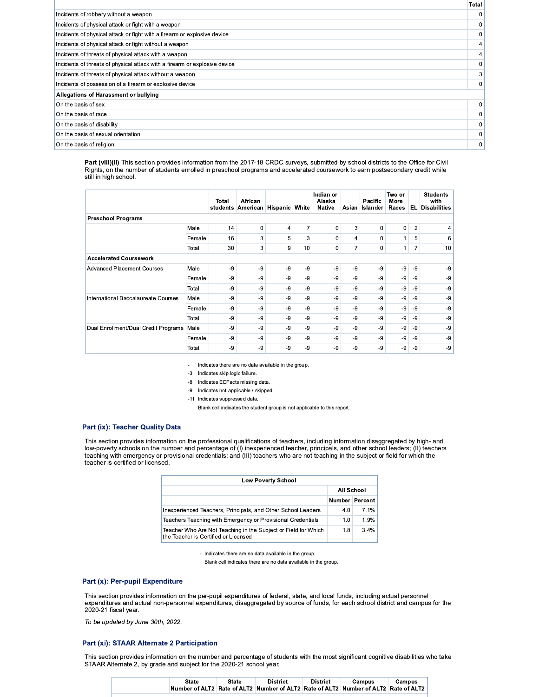|                                                                            | .            |
|----------------------------------------------------------------------------|--------------|
| Incidents of robbery without a weapon                                      | 0            |
| Incidents of physical attack or fight with a weapon                        | 0            |
| Incidents of physical attack or fight with a firearm or explosive device   | $\mathbf{0}$ |
| Incidents of physical attack or fight without a weapon                     | 4            |
| Incidents of threats of physical attack with a weapon                      | 4            |
| Incidents of threats of physical attack with a firearm or explosive device | 0            |
| Incidents of threats of physical attack without a weapon                   | 3            |
| Incidents of possession of a firearm or explosive device                   | 0            |
| Allegations of Harassment or bullying                                      |              |
| On the basis of sex                                                        | $\mathbf 0$  |
| On the basis of race                                                       | 0            |
| On the basis of disability                                                 | 0            |
| On the basis of sexual orientation                                         | 0            |
| On the basis of religion                                                   | 0            |

 $T<sub>0</sub>$ tol

Part (viii)(II) This section provides information from the 2017-18 CRDC surveys, submitted by school districts to the Office for Civil Rights, on the number of students enrolled in preschool programs and accelerated coursework to earn postsecondary credit while still in high school.

|                                      |        | Total<br>students | African<br>American Hispanic White |      |                | Indian or<br>Alaska<br><b>Native</b> | Asian | Pacific<br>Islander | Two or<br>More<br>Races | EL.            | <b>Students</b><br>with<br><b>Disabilities</b> |
|--------------------------------------|--------|-------------------|------------------------------------|------|----------------|--------------------------------------|-------|---------------------|-------------------------|----------------|------------------------------------------------|
| <b>Preschool Programs</b>            |        |                   |                                    |      |                |                                      |       |                     |                         |                |                                                |
|                                      | Male   | 14                | 0                                  | 4    | $\overline{7}$ | 0                                    | 3     | 0                   | $\mathbf 0$             | $\overline{2}$ | 4                                              |
|                                      | Female | 16                | 3                                  | 5    | 3              | 0                                    | 4     | $\Omega$            | $\mathbf{1}$            | 5              | 6                                              |
|                                      | Total  | 30                | 3                                  | 9    | 10             | 0                                    | 7     | 0                   | 1                       | 7              | 10                                             |
| <b>Accelerated Coursework</b>        |        |                   |                                    |      |                |                                      |       |                     |                         |                |                                                |
| <b>Advanced Placement Courses</b>    | Male   | -9                | -9                                 | -9   | $-9$           | $-9$                                 | -9    | $-9$                | $-9$                    | $-9$           | -9                                             |
|                                      | Female | -9                | -9                                 | -9   | -9             | -9                                   | $-9$  | $-9$                | -9                      | -9             | $-9$                                           |
|                                      | Total  | -9                | -9                                 | -9   | $-9$           | -9                                   | -9    | -9                  | -9                      | -9             | -9                                             |
| International Baccalaureate Courses  | Male   | -9                | $-9$                               | -9   | $-9$           | -9                                   | -9    | -9                  | -9                      | -9             | -9                                             |
|                                      | Female | $-9$              | $-9$                               | -9   | $-9$           | -9                                   | $-9$  | -9                  | -9                      | -9             | -9                                             |
|                                      | Total  | $-9$              | $-9$                               | -9   | $-9$           | -9                                   | $-9$  | $-9$                | -9                      | $-9$           | -9                                             |
| Dual Enrollment/Dual Credit Programs | Male   | -9                | -9                                 | -9   | $-9$           | $-9$                                 | -9    | $-9$                | -9                      | -9             | $-9$                                           |
|                                      | Female | $-9$              | -9                                 | $-9$ | $-9$           | $-9$                                 | $-9$  | $-9$                | -9                      | -9             | $-9$                                           |
|                                      | Total  | -9                | -9                                 | -9   | -9             | -9                                   | -9    | -9                  | -9                      | -9             | -9                                             |

Indicates there are no data available in the group.

-3 Indicates skip logic failure.

-8 Indicates EDFacts missing data.

-9 Indicates not applicable / skipped.

-11 Indicates suppressed data.

Blank cell indicates the student group is not applicable to this report.

#### Part (ix): Teacher Quality Data

This section provides information on the professional qualifications of teachers, including information disaggregated by high- and low-poverty schools on the number and percentage of (I) inexperienced teacher, principals, and other school leaders; (II) teachers teaching with emergency or provisional credentials; and (III) teachers who are not teaching in the subject or field for which the teacher is certified or licensed.

| <b>Low Poverty School</b>                                                                              |                   |      |  |  |  |  |  |  |
|--------------------------------------------------------------------------------------------------------|-------------------|------|--|--|--|--|--|--|
|                                                                                                        | <b>All School</b> |      |  |  |  |  |  |  |
|                                                                                                        | Number Percent    |      |  |  |  |  |  |  |
| Inexperienced Teachers, Principals, and Other School Leaders                                           | 4.0               | 7.1% |  |  |  |  |  |  |
| Teachers Teaching with Emergency or Provisional Credentials                                            | 1.0               | 1.9% |  |  |  |  |  |  |
| Teacher Who Are Not Teaching in the Subject or Field for Which<br>the Teacher is Certified or Licensed | 1.8               | 3.4% |  |  |  |  |  |  |

- Indicates there are no data available in the group.

Blank cell indicates there are no data available in the group.

# Part (x): Per-pupil Expenditure

This section provides information on the per-pupil expenditures of federal, state, and local funds, including actual personnel expenditures and actual non-personnel expenditures, disaggregated by source of funds, for each school district and campus for the 2020-21 fiscal year.

To be updated by June 30th, 2022.

### Part (xi): STAAR Alternate 2 Participation

This section provides information on the number and percentage of students with the most significant cognitive disabilities who take STAAR Alternate 2, by grade and subject for the 2020-21 school year.

| State                                                                               | State | District | <b>District</b> | Campus | <b>Campus:</b> |
|-------------------------------------------------------------------------------------|-------|----------|-----------------|--------|----------------|
| Number of ALT2 Rate of ALT2 Number of ALT2 Rate of ALT2 Number of ALT2 Rate of ALT2 |       |          |                 |        |                |
|                                                                                     |       |          |                 |        |                |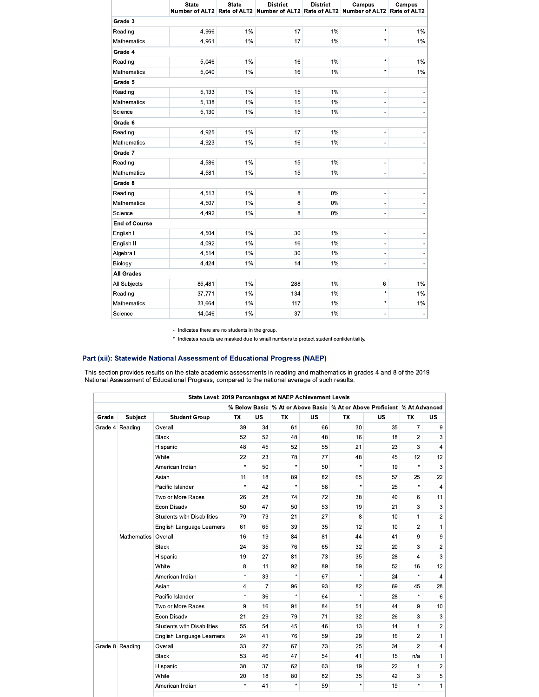|                      | <b>State</b> | <b>State</b> | <b>District</b> | <b>District</b> | Campus<br>Number of ALT2 Rate of ALT2 Number of ALT2 Rate of ALT2 Number of ALT2 Rate of ALT2 | Campus         |
|----------------------|--------------|--------------|-----------------|-----------------|-----------------------------------------------------------------------------------------------|----------------|
| Grade 3              |              |              |                 |                 |                                                                                               |                |
| Reading              | 4,966        | $1\%$        | 17              | $1\%$           | $\star$                                                                                       | 1%             |
| <b>Mathematics</b>   | 4,961        | 1%           | 17              | 1%              | $\star$                                                                                       | 1%             |
| Grade 4              |              |              |                 |                 |                                                                                               |                |
| Reading              | 5,046        | 1%           | 16              | 1%              | $\star$                                                                                       | $1\%$          |
| Mathematics          | 5,040        | $1\%$        | 16              | $1\%$           | $\star$                                                                                       | 1%             |
| Grade 5              |              |              |                 |                 |                                                                                               |                |
| Reading              | 5,133        | 1%           | 15              | 1%              | $\overline{a}$                                                                                |                |
| <b>Mathematics</b>   | 5,138        | $1\%$        | 15              | 1%              | -                                                                                             |                |
| Science              | 5,130        | 1%           | 15              | 1%              | ٠                                                                                             |                |
| Grade 6              |              |              |                 |                 |                                                                                               |                |
| Reading              | 4,925        | 1%           | 17              | 1%              | $\overline{a}$                                                                                |                |
| <b>Mathematics</b>   | 4,923        | $1\%$        | 16              | $1\%$           | $\overline{a}$                                                                                |                |
| Grade 7              |              |              |                 |                 |                                                                                               |                |
| Reading              | 4,586        | 1%           | 15              | $1\%$           | $\overline{a}$                                                                                | $\overline{a}$ |
| <b>Mathematics</b>   | 4,581        | 1%           | 15              | 1%              | $\overline{\phantom{0}}$                                                                      |                |
| Grade 8              |              |              |                 |                 |                                                                                               |                |
| Reading              | 4,513        | 1%           | 8               | 0%              | ÷                                                                                             |                |
| Mathematics          | 4,507        | 1%           | 8               | 0%              | $\centerdot$                                                                                  | $\overline{a}$ |
| Science              | 4,492        | $1\%$        | 8               | 0%              | $\overline{a}$                                                                                |                |
| <b>End of Course</b> |              |              |                 |                 |                                                                                               |                |
| English I            | 4,504        | 1%           | 30              | $1\%$           | -                                                                                             |                |
| English II           | 4,092        | 1%           | 16              | 1%              | $\overline{\phantom{0}}$                                                                      |                |
| Algebra I            | 4,514        | $1\%$        | 30              | 1%              | -                                                                                             |                |
| Biology              | 4,424        | 1%           | 14              | 1%              | ÷                                                                                             |                |
| <b>All Grades</b>    |              |              |                 |                 |                                                                                               |                |
| All Subjects         | 85,481       | $1\%$        | 288             | $1\%$           | 6                                                                                             | 1%             |
| Reading              | 37,771       | $1\%$        | 134             | 1%              | $\star$                                                                                       | 1%             |
| Mathematics          | 33,664       | $1\%$        | 117             | 1%              | $\star$                                                                                       | 1%             |
| Science              | 14,046       | 1%           | 37              | 1%              |                                                                                               | ÷,             |

- Indicates there are no students in the group.

\* Indicates results are masked due to small numbers to protect student confidentiality.

# Part (xii): Statewide National Assessment of Educational Progress (NAEP)

This section provides results on the state academic assessments in reading and mathematics in grades 4 and 8 of the 2019<br>National Assessment of Educational Progress, compared to the national average of such results.

|       |                 | State Level: 2019 Percentages at NAEP Achievement Levels |              |                |                                                                          |           |           |           |                |                |
|-------|-----------------|----------------------------------------------------------|--------------|----------------|--------------------------------------------------------------------------|-----------|-----------|-----------|----------------|----------------|
|       |                 |                                                          |              |                | % Below Basic % At or Above Basic % At or Above Proficient % At Advanced |           |           |           |                |                |
| Grade | Subject         | <b>Student Group</b>                                     | TX           | US             | <b>TX</b>                                                                | <b>US</b> | <b>TX</b> | <b>US</b> | TX             | US             |
|       | Grade 4 Reading | Overall                                                  | 39           | 34             | 61                                                                       | 66        | 30        | 35        | $\overline{7}$ | 9              |
|       |                 | <b>Black</b>                                             | 52           | 52             | 48                                                                       | 48        | 16        | 18        | $\overline{2}$ | 3 <sup>1</sup> |
|       |                 | Hispanic                                                 | 48           | 45             | 52                                                                       | 55        | 21        | 23        | 3              | $\overline{4}$ |
|       |                 | White                                                    | 22           | 23             | 78                                                                       | 77        | 48        | 45        | 12             | 12             |
|       |                 | American Indian                                          | $\star$      | 50             | $\star$                                                                  | 50        | $\star$   | 19        | $\star$        | 3              |
|       |                 | Asian                                                    | 11           | 18             | 89                                                                       | 82        | 65        | 57        | 25             | 22             |
|       |                 | Pacific Islander                                         | $\pmb{\ast}$ | 42             |                                                                          | 58        | $\star$   | 25        | $\star$        | $\overline{4}$ |
|       |                 | Two or More Races                                        | 26           | 28             | 74                                                                       | 72        | 38        | 40        | 6              | 11             |
|       |                 | Econ Disadv                                              | 50           | 47             | 50                                                                       | 53        | 19        | 21        | 3              | $\mathbf{3}$   |
|       |                 | <b>Students with Disabilities</b>                        | 79           | 73             | 21                                                                       | 27        | 8         | 10        | 1              | $\mathbf{2}$   |
|       |                 | English Language Learners                                | 61           | 65             | 39                                                                       | 35        | 12        | 10        | $\overline{2}$ | 1              |
|       | Mathematics     | Overall                                                  | 16           | 19             | 84                                                                       | 81        | 44        | 41        | 9              | 9              |
|       |                 | <b>Black</b>                                             | 24           | 35             | 76                                                                       | 65        | 32        | 20        | 3              | 2              |
|       |                 | Hispanic                                                 | 19           | 27             | 81                                                                       | 73        | 35        | 28        | $\overline{4}$ | 3              |
|       |                 | White                                                    | 8            | 11             | 92                                                                       | 89        | 59        | 52        | 16             | 12             |
|       |                 | American Indian                                          | $\star$      | 33             |                                                                          | 67        | $\star$   | 24        | $\star$        | $\overline{4}$ |
|       |                 | Asian                                                    | 4            | $\overline{7}$ | 96                                                                       | 93        | 82        | 69        | 45             | 28             |
|       |                 | Pacific Islander                                         | $\star$      | 36             | $\star$                                                                  | 64        | $\star$   | 28        | $\star$        | 6              |
|       |                 | Two or More Races                                        | 9            | 16             | 91                                                                       | 84        | 51        | 44        | 9              | 10             |
|       |                 | Econ Disadv                                              | 21           | 29             | 79                                                                       | 71        | 32        | 26        | 3              | 3 <sup>1</sup> |
|       |                 | <b>Students with Disabilities</b>                        | 55           | 54             | 45                                                                       | 46        | 13        | 14        | $\mathbf{1}$   | 2              |
|       |                 | English Language Learners                                | 24           | 41             | 76                                                                       | 59        | 29        | 16        | $\overline{2}$ | 1              |
|       | Grade 8 Reading | Overall                                                  | 33           | 27             | 67                                                                       | 73        | 25        | 34        | $\overline{2}$ | $\overline{4}$ |
|       |                 | <b>Black</b>                                             | 53           | 46             | 47                                                                       | 54        | 41        | 15        | n/a            | 1              |
|       |                 | Hispanic                                                 | 38           | 37             | 62                                                                       | 63        | 19        | 22        | $\mathbf{1}$   | 2              |
|       |                 | White                                                    | 20           | 18             | 80                                                                       | 82        | 35        | 42        | 3              | 5 <sup>1</sup> |
|       |                 | American Indian                                          | $\star$      | 41             | $\star$                                                                  | 59        | $\star$   | 19        | $\pmb{\ast}$   | 1              |